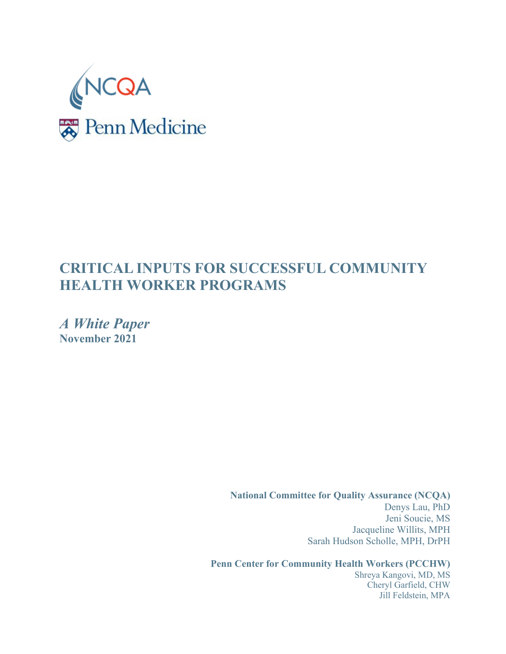

# **CRITICAL INPUTS FOR SUCCESSFUL COMMUNITY HEALTH WORKER PROGRAMS**

*A White Paper* **November 2021**

> **National Committee for Quality Assurance (NCQA)** Denys Lau, PhD Jeni Soucie, MS Jacqueline Willits, MPH Sarah Hudson Scholle, MPH, DrPH

**Penn Center for Community Health Workers (PCCHW)**

Shreya Kangovi, MD, MS Cheryl Garfield, CHW Jill Feldstein, MPA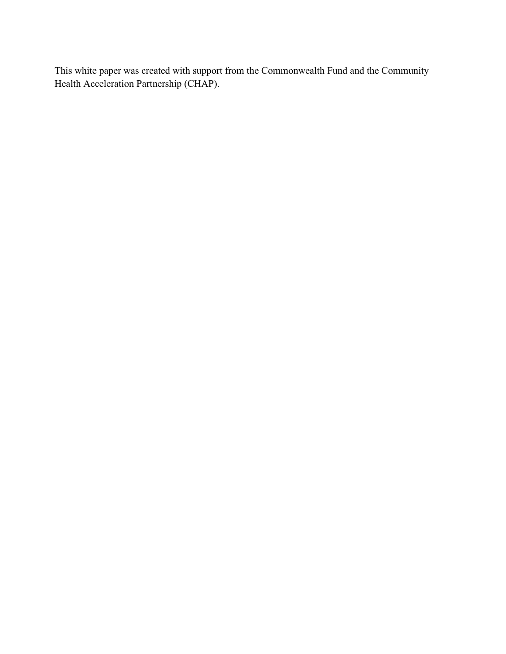This white paper was created with support from the Commonwealth Fund and the Community Health Acceleration Partnership (CHAP).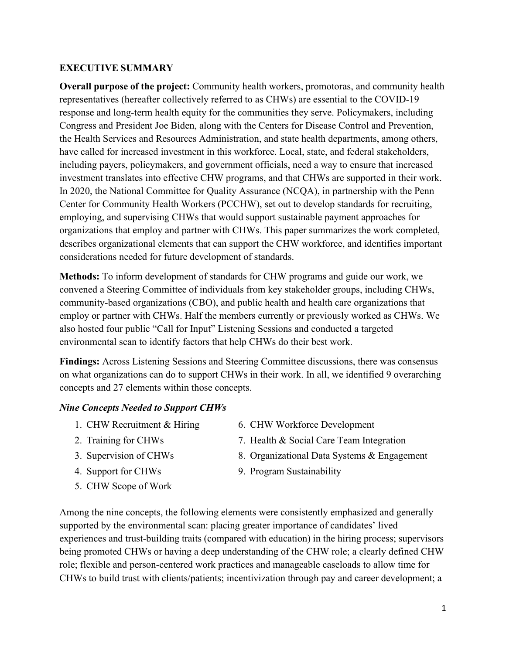### **EXECUTIVE SUMMARY**

**Overall purpose of the project:** Community health workers, promotoras, and community health representatives (hereafter collectively referred to as CHWs) are essential to the COVID-19 response and long-term health equity for the communities they serve. Policymakers, including Congress and President Joe Biden, along with the Centers for Disease Control and Prevention, the Health Services and Resources Administration, and state health departments, among others, have called for increased investment in this workforce. Local, state, and federal stakeholders, including payers, policymakers, and government officials, need a way to ensure that increased investment translates into effective CHW programs, and that CHWs are supported in their work. In 2020, the National Committee for Quality Assurance (NCQA), in partnership with the Penn Center for Community Health Workers (PCCHW), set out to develop standards for recruiting, employing, and supervising CHWs that would support sustainable payment approaches for organizations that employ and partner with CHWs. This paper summarizes the work completed, describes organizational elements that can support the CHW workforce, and identifies important considerations needed for future development of standards.

**Methods:** To inform development of standards for CHW programs and guide our work, we convened a Steering Committee of individuals from key stakeholder groups, including CHWs, community-based organizations (CBO), and public health and health care organizations that employ or partner with CHWs. Half the members currently or previously worked as CHWs. We also hosted four public "Call for Input" Listening Sessions and conducted a targeted environmental scan to identify factors that help CHWs do their best work.

**Findings:** Across Listening Sessions and Steering Committee discussions, there was consensus on what organizations can do to support CHWs in their work. In all, we identified 9 overarching concepts and 27 elements within those concepts.

### *Nine Concepts Needed to Support CHWs*

- 1. CHW Recruitment & Hiring
- 2. Training for CHWs
- 3. Supervision of CHWs
- 4. Support for CHWs
- 5. CHW Scope of Work
- 6. CHW Workforce Development
- 7. Health & Social Care Team Integration
- 8. Organizational Data Systems & Engagement
- 9. Program Sustainability

Among the nine concepts, the following elements were consistently emphasized and generally supported by the environmental scan: placing greater importance of candidates' lived experiences and trust-building traits (compared with education) in the hiring process; supervisors being promoted CHWs or having a deep understanding of the CHW role; a clearly defined CHW role; flexible and person-centered work practices and manageable caseloads to allow time for CHWs to build trust with clients/patients; incentivization through pay and career development; a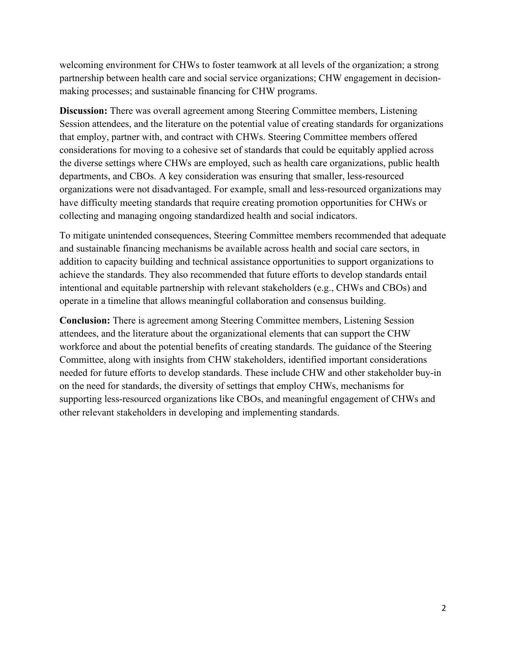welcoming environment for CHWs to foster teamwork at all levels of the organization; a strong partnership between health care and social service organizations; CHW engagement in decisionmaking processes; and sustainable financing for CHW programs.

**Discussion:** There was overall agreement among Steering Committee members, Listening Session attendees, and the literature on the potential value of creating standards for organizations that employ, partner with, and contract with CHWs. Steering Committee members offered considerations for moving to a cohesive set of standards that could be equitably applied across the diverse settings where CHWs are employed, such as health care organizations, public health departments, and CBOs. A key consideration was ensuring that smaller, less-resourced organizations were not disadvantaged. For example, small and less-resourced organizations may have difficulty meeting standards that require creating promotion opportunities for CHWs or collecting and managing ongoing standardized health and social indicators.

To mitigate unintended consequences, Steering Committee members recommended that adequate and sustainable financing mechanisms be available across health and social care sectors, in addition to capacity building and technical assistance opportunities to support organizations to achieve the standards. They also recommended that future efforts to develop standards entail intentional and equitable partnership with relevant stakeholders (e.g., CHWs and CBOs) and operate in a timeline that allows meaningful collaboration and consensus building.

**Conclusion:** There is agreement among Steering Committee members, Listening Session attendees, and the literature about the organizational elements that can support the CHW workforce and about the potential benefits of creating standards. The guidance of the Steering Committee, along with insights from CHW stakeholders, identified important considerations needed for future efforts to develop standards. These include CHW and other stakeholder buy-in on the need for standards, the diversity of settings that employ CHWs, mechanisms for supporting less-resourced organizations like CBOs, and meaningful engagement of CHWs and other relevant stakeholders in developing and implementing standards.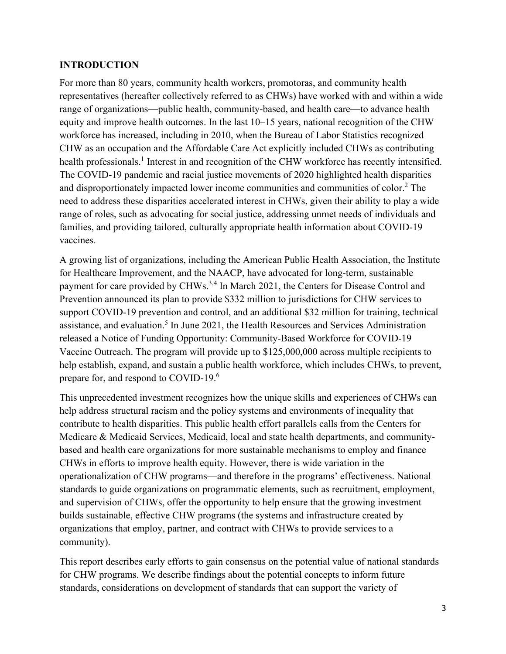#### **INTRODUCTION**

For more than 80 years, community health workers, promotoras, and community health representatives (hereafter collectively referred to as CHWs) have worked with and within a wide range of organizations—public health, community-based, and health care—to advance health equity and improve health outcomes. In the last 10–15 years, national recognition of the CHW workforce has increased, including in 2010, when the Bureau of Labor Statistics recognized CHW as an occupation and the Affordable Care Act explicitly included CHWs as contributing health professionals.<sup>1</sup> Interest in and recognition of the CHW workforce has recently intensified. The COVID-19 pandemic and racial justice movements of 2020 highlighted health disparities and disproportionately impacted lower income communities and communities of color.<sup>2</sup> The need to address these disparities accelerated interest in CHWs, given their ability to play a wide range of roles, such as advocating for social justice, addressing unmet needs of individuals and families, and providing tailored, culturally appropriate health information about COVID-19 vaccines.

A growing list of organizations, including the American Public Health Association, the Institute for Healthcare Improvement, and the NAACP, have advocated for long-term, sustainable payment for care provided by CHWs.<sup>3,4</sup> In March 2021, the Centers for Disease Control and Prevention announced its plan to provide \$332 million to jurisdictions for CHW services to support COVID-19 prevention and control, and an additional \$32 million for training, technical assistance, and evaluation.<sup>5</sup> In June 2021, the Health Resources and Services Administration released a Notice of Funding Opportunity: Community-Based Workforce for COVID-19 Vaccine Outreach. The program will provide up to \$125,000,000 across multiple recipients to help establish, expand, and sustain a public health workforce, which includes CHWs, to prevent, prepare for, and respond to COVID-19.6

This unprecedented investment recognizes how the unique skills and experiences of CHWs can help address structural racism and the policy systems and environments of inequality that contribute to health disparities. This public health effort parallels calls from the Centers for Medicare & Medicaid Services, Medicaid, local and state health departments, and communitybased and health care organizations for more sustainable mechanisms to employ and finance CHWs in efforts to improve health equity. However, there is wide variation in the operationalization of CHW programs—and therefore in the programs' effectiveness. National standards to guide organizations on programmatic elements, such as recruitment, employment, and supervision of CHWs, offer the opportunity to help ensure that the growing investment builds sustainable, effective CHW programs (the systems and infrastructure created by organizations that employ, partner, and contract with CHWs to provide services to a community).

This report describes early efforts to gain consensus on the potential value of national standards for CHW programs. We describe findings about the potential concepts to inform future standards, considerations on development of standards that can support the variety of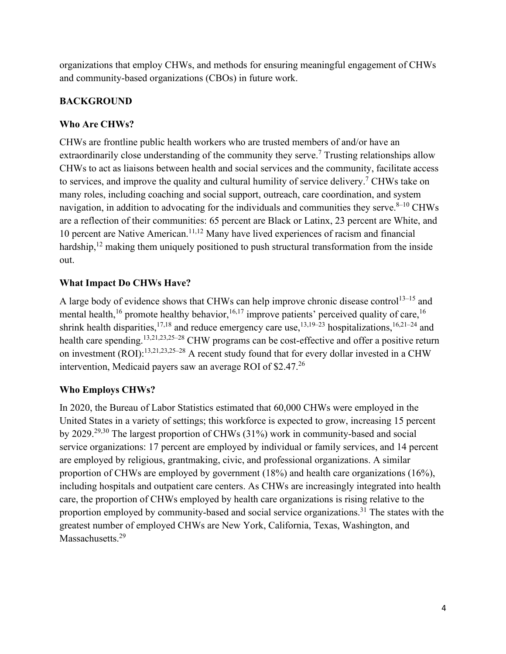organizations that employ CHWs, and methods for ensuring meaningful engagement of CHWs and community-based organizations (CBOs) in future work.

## **BACKGROUND**

### **Who Are CHWs?**

CHWs are frontline public health workers who are trusted members of and/or have an extraordinarily close understanding of the community they serve.<sup>7</sup> Trusting relationships allow CHWs to act as liaisons between health and social services and the community, facilitate access to services, and improve the quality and cultural humility of service delivery.<sup>7</sup> CHWs take on many roles, including coaching and social support, outreach, care coordination, and system navigation, in addition to advocating for the individuals and communities they serve. $8-10$  CHWs are a reflection of their communities: 65 percent are Black or Latinx, 23 percent are White, and 10 percent are Native American.11,12 Many have lived experiences of racism and financial hardship,<sup>12</sup> making them uniquely positioned to push structural transformation from the inside out.

### **What Impact Do CHWs Have?**

A large body of evidence shows that CHWs can help improve chronic disease control<sup>13-15</sup> and mental health,<sup>16</sup> promote healthy behavior,<sup>16,17</sup> improve patients' perceived quality of care,<sup>16</sup> shrink health disparities,<sup>17,18</sup> and reduce emergency care use,<sup>13,19–23</sup> hospitalizations,<sup>16,21–24</sup> and health care spending.<sup>13,21,23,25–28</sup> CHW programs can be cost-effective and offer a positive return on investment (ROI):13,21,23,25–28 A recent study found that for every dollar invested in a CHW intervention, Medicaid payers saw an average ROI of  $$2.47<sup>26</sup>$ 

### **Who Employs CHWs?**

In 2020, the Bureau of Labor Statistics estimated that 60,000 CHWs were employed in the United States in a variety of settings; this workforce is expected to grow, increasing 15 percent by 2029.29,30 The largest proportion of CHWs (31%) work in community-based and social service organizations: 17 percent are employed by individual or family services, and 14 percent are employed by religious, grantmaking, civic, and professional organizations. A similar proportion of CHWs are employed by government (18%) and health care organizations (16%), including hospitals and outpatient care centers. As CHWs are increasingly integrated into health care, the proportion of CHWs employed by health care organizations is rising relative to the proportion employed by community-based and social service organizations.<sup>31</sup> The states with the greatest number of employed CHWs are New York, California, Texas, Washington, and Massachusetts.<sup>29</sup>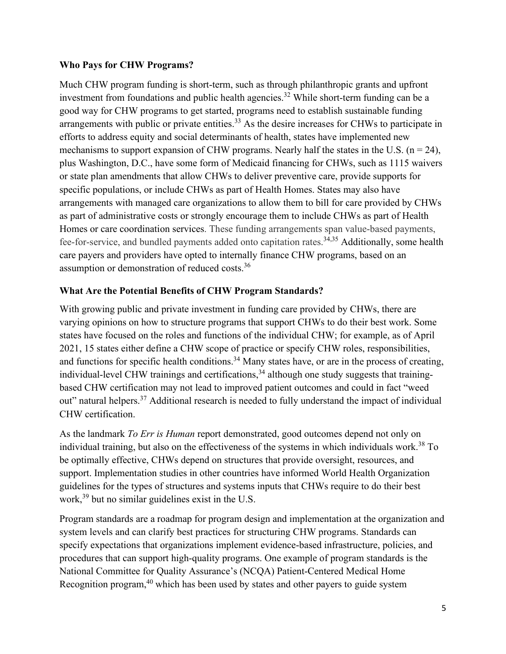#### **Who Pays for CHW Programs?**

Much CHW program funding is short-term, such as through philanthropic grants and upfront investment from foundations and public health agencies.<sup>32</sup> While short-term funding can be a good way for CHW programs to get started, programs need to establish sustainable funding arrangements with public or private entities.<sup>33</sup> As the desire increases for CHWs to participate in efforts to address equity and social determinants of health, states have implemented new mechanisms to support expansion of CHW programs. Nearly half the states in the U.S. ( $n = 24$ ), plus Washington, D.C., have some form of Medicaid financing for CHWs, such as 1115 waivers or state plan amendments that allow CHWs to deliver preventive care, provide supports for specific populations, or include CHWs as part of Health Homes. States may also have arrangements with managed care organizations to allow them to bill for care provided by CHWs as part of administrative costs or strongly encourage them to include CHWs as part of Health Homes or care coordination services. These funding arrangements span value-based payments, fee-for-service, and bundled payments added onto capitation rates.34,35 Additionally, some health care payers and providers have opted to internally finance CHW programs, based on an assumption or demonstration of reduced costs.<sup>36</sup>

### **What Are the Potential Benefits of CHW Program Standards?**

With growing public and private investment in funding care provided by CHWs, there are varying opinions on how to structure programs that support CHWs to do their best work. Some states have focused on the roles and functions of the individual CHW; for example, as of April 2021, 15 states either define a CHW scope of practice or specify CHW roles, responsibilities, and functions for specific health conditions.<sup>34</sup> Many states have, or are in the process of creating, individual-level CHW trainings and certifications,<sup>34</sup> although one study suggests that trainingbased CHW certification may not lead to improved patient outcomes and could in fact "weed out" natural helpers.37 Additional research is needed to fully understand the impact of individual CHW certification.

As the landmark *To Err is Human* report demonstrated, good outcomes depend not only on individual training, but also on the effectiveness of the systems in which individuals work.<sup>38</sup> To be optimally effective, CHWs depend on structures that provide oversight, resources, and support. Implementation studies in other countries have informed World Health Organization guidelines for the types of structures and systems inputs that CHWs require to do their best work,39 but no similar guidelines exist in the U.S.

Program standards are a roadmap for program design and implementation at the organization and system levels and can clarify best practices for structuring CHW programs. Standards can specify expectations that organizations implement evidence-based infrastructure, policies, and procedures that can support high-quality programs. One example of program standards is the National Committee for Quality Assurance's (NCQA) Patient-Centered Medical Home Recognition program,40 which has been used by states and other payers to guide system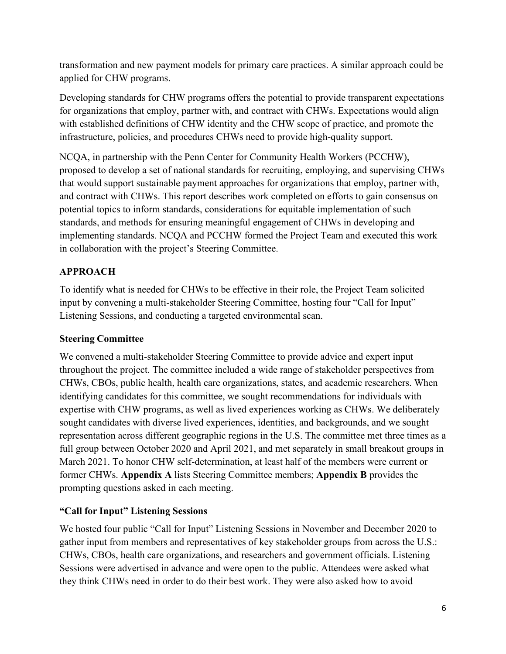transformation and new payment models for primary care practices. A similar approach could be applied for CHW programs.

Developing standards for CHW programs offers the potential to provide transparent expectations for organizations that employ, partner with, and contract with CHWs. Expectations would align with established definitions of CHW identity and the CHW scope of practice, and promote the infrastructure, policies, and procedures CHWs need to provide high-quality support.

NCQA, in partnership with the Penn Center for Community Health Workers (PCCHW), proposed to develop a set of national standards for recruiting, employing, and supervising CHWs that would support sustainable payment approaches for organizations that employ, partner with, and contract with CHWs. This report describes work completed on efforts to gain consensus on potential topics to inform standards, considerations for equitable implementation of such standards, and methods for ensuring meaningful engagement of CHWs in developing and implementing standards. NCQA and PCCHW formed the Project Team and executed this work in collaboration with the project's Steering Committee.

# **APPROACH**

To identify what is needed for CHWs to be effective in their role, the Project Team solicited input by convening a multi-stakeholder Steering Committee, hosting four "Call for Input" Listening Sessions, and conducting a targeted environmental scan.

# **Steering Committee**

We convened a multi-stakeholder Steering Committee to provide advice and expert input throughout the project. The committee included a wide range of stakeholder perspectives from CHWs, CBOs, public health, health care organizations, states, and academic researchers. When identifying candidates for this committee, we sought recommendations for individuals with expertise with CHW programs, as well as lived experiences working as CHWs. We deliberately sought candidates with diverse lived experiences, identities, and backgrounds, and we sought representation across different geographic regions in the U.S. The committee met three times as a full group between October 2020 and April 2021, and met separately in small breakout groups in March 2021. To honor CHW self-determination, at least half of the members were current or former CHWs. **Appendix A** lists Steering Committee members; **Appendix B** provides the prompting questions asked in each meeting.

# **"Call for Input" Listening Sessions**

We hosted four public "Call for Input" Listening Sessions in November and December 2020 to gather input from members and representatives of key stakeholder groups from across the U.S.: CHWs, CBOs, health care organizations, and researchers and government officials. Listening Sessions were advertised in advance and were open to the public. Attendees were asked what they think CHWs need in order to do their best work. They were also asked how to avoid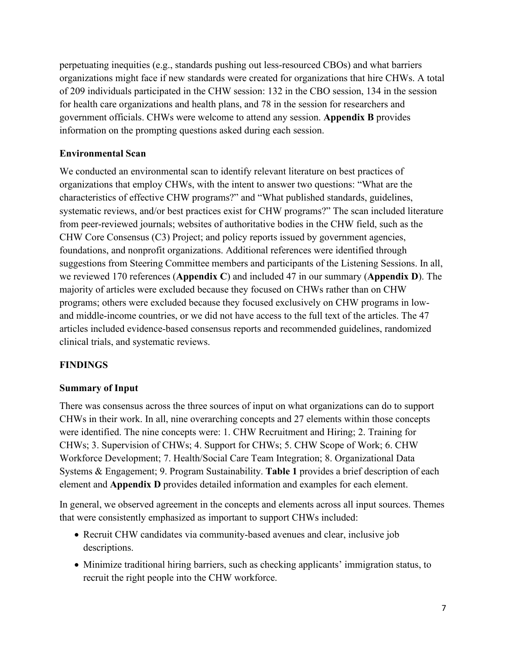perpetuating inequities (e.g., standards pushing out less-resourced CBOs) and what barriers organizations might face if new standards were created for organizations that hire CHWs. A total of 209 individuals participated in the CHW session: 132 in the CBO session, 134 in the session for health care organizations and health plans, and 78 in the session for researchers and government officials. CHWs were welcome to attend any session. **Appendix B** provides information on the prompting questions asked during each session.

### **Environmental Scan**

We conducted an environmental scan to identify relevant literature on best practices of organizations that employ CHWs, with the intent to answer two questions: "What are the characteristics of effective CHW programs?" and "What published standards, guidelines, systematic reviews, and/or best practices exist for CHW programs?" The scan included literature from peer-reviewed journals; websites of authoritative bodies in the CHW field, such as the CHW Core Consensus (C3) Project; and policy reports issued by government agencies, foundations, and nonprofit organizations. Additional references were identified through suggestions from Steering Committee members and participants of the Listening Sessions. In all, we reviewed 170 references (**Appendix C**) and included 47 in our summary (**Appendix D**). The majority of articles were excluded because they focused on CHWs rather than on CHW programs; others were excluded because they focused exclusively on CHW programs in lowand middle-income countries, or we did not have access to the full text of the articles. The 47 articles included evidence-based consensus reports and recommended guidelines, randomized clinical trials, and systematic reviews.

### **FINDINGS**

### **Summary of Input**

There was consensus across the three sources of input on what organizations can do to support CHWs in their work. In all, nine overarching concepts and 27 elements within those concepts were identified. The nine concepts were: 1. CHW Recruitment and Hiring; 2. Training for CHWs; 3. Supervision of CHWs; 4. Support for CHWs; 5. CHW Scope of Work; 6. CHW Workforce Development; 7. Health/Social Care Team Integration; 8. Organizational Data Systems & Engagement; 9. Program Sustainability. **Table 1** provides a brief description of each element and **Appendix D** provides detailed information and examples for each element.

In general, we observed agreement in the concepts and elements across all input sources. Themes that were consistently emphasized as important to support CHWs included:

- Recruit CHW candidates via community-based avenues and clear, inclusive job descriptions.
- Minimize traditional hiring barriers, such as checking applicants' immigration status, to recruit the right people into the CHW workforce.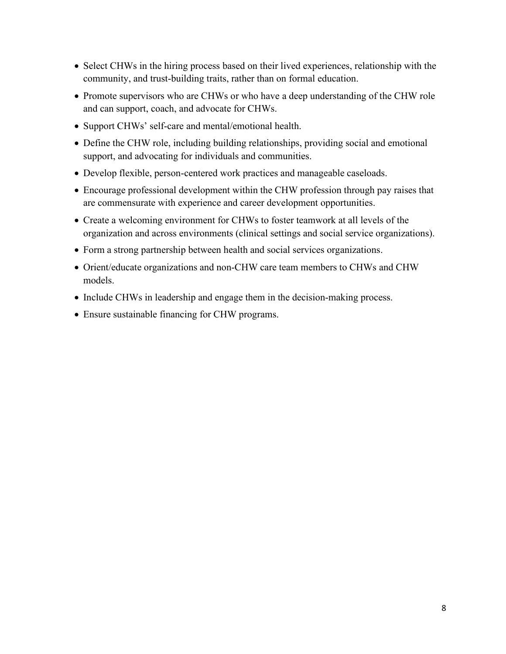- Select CHWs in the hiring process based on their lived experiences, relationship with the community, and trust-building traits, rather than on formal education.
- Promote supervisors who are CHWs or who have a deep understanding of the CHW role and can support, coach, and advocate for CHWs.
- Support CHWs' self-care and mental/emotional health.
- Define the CHW role, including building relationships, providing social and emotional support, and advocating for individuals and communities.
- Develop flexible, person-centered work practices and manageable caseloads.
- Encourage professional development within the CHW profession through pay raises that are commensurate with experience and career development opportunities.
- Create a welcoming environment for CHWs to foster teamwork at all levels of the organization and across environments (clinical settings and social service organizations).
- Form a strong partnership between health and social services organizations.
- Orient/educate organizations and non-CHW care team members to CHWs and CHW models.
- Include CHWs in leadership and engage them in the decision-making process.
- Ensure sustainable financing for CHW programs.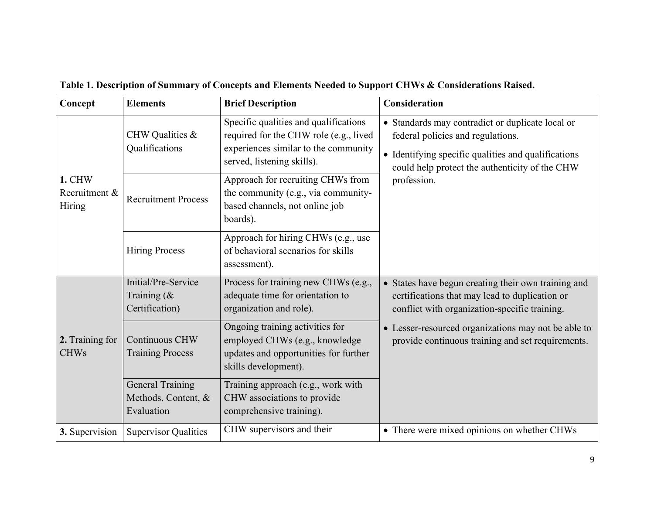| Concept                           | <b>Elements</b>                                              | <b>Brief Description</b>                                                                                                                              | Consideration                                                                                                                                                                                  |  |
|-----------------------------------|--------------------------------------------------------------|-------------------------------------------------------------------------------------------------------------------------------------------------------|------------------------------------------------------------------------------------------------------------------------------------------------------------------------------------------------|--|
|                                   | CHW Qualities &<br>Qualifications                            | Specific qualities and qualifications<br>required for the CHW role (e.g., lived<br>experiences similar to the community<br>served, listening skills). | • Standards may contradict or duplicate local or<br>federal policies and regulations.<br>• Identifying specific qualities and qualifications<br>could help protect the authenticity of the CHW |  |
| 1. CHW<br>Recruitment &<br>Hiring | <b>Recruitment Process</b>                                   | Approach for recruiting CHWs from<br>the community (e.g., via community-<br>based channels, not online job<br>boards).                                | profession.                                                                                                                                                                                    |  |
|                                   | <b>Hiring Process</b>                                        | Approach for hiring CHWs (e.g., use<br>of behavioral scenarios for skills<br>assessment).                                                             |                                                                                                                                                                                                |  |
|                                   | Initial/Pre-Service<br>Training $(x$<br>Certification)       | Process for training new CHWs (e.g.,<br>adequate time for orientation to<br>organization and role).                                                   | • States have begun creating their own training and<br>certifications that may lead to duplication or<br>conflict with organization-specific training.                                         |  |
| 2. Training for<br><b>CHWs</b>    | <b>Continuous CHW</b><br><b>Training Process</b>             | Ongoing training activities for<br>employed CHWs (e.g., knowledge<br>updates and opportunities for further<br>skills development).                    | • Lesser-resourced organizations may not be able to<br>provide continuous training and set requirements.                                                                                       |  |
|                                   | <b>General Training</b><br>Methods, Content, &<br>Evaluation | Training approach (e.g., work with<br>CHW associations to provide<br>comprehensive training).                                                         |                                                                                                                                                                                                |  |
| 3. Supervision                    | <b>Supervisor Qualities</b>                                  | CHW supervisors and their                                                                                                                             | • There were mixed opinions on whether CHWs                                                                                                                                                    |  |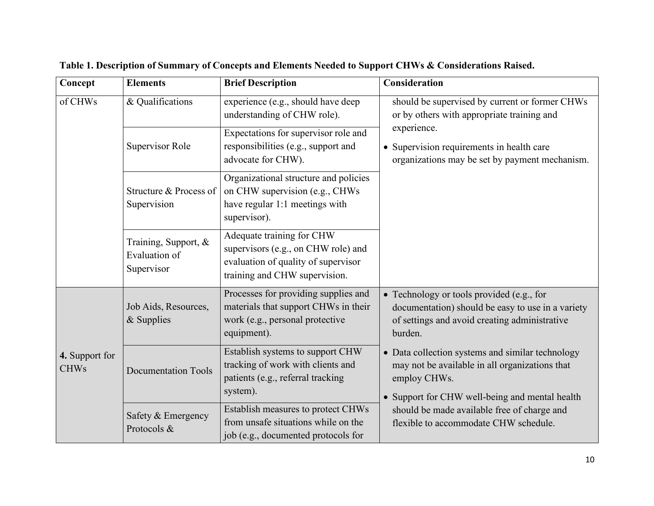| Concept                       | <b>Elements</b>                                                                                                                                                                                 | <b>Brief Description</b>                                                                                                       | Consideration                                                                                                                                                        |  |
|-------------------------------|-------------------------------------------------------------------------------------------------------------------------------------------------------------------------------------------------|--------------------------------------------------------------------------------------------------------------------------------|----------------------------------------------------------------------------------------------------------------------------------------------------------------------|--|
| of CHWs                       | & Qualifications                                                                                                                                                                                | experience (e.g., should have deep<br>understanding of CHW role).                                                              | should be supervised by current or former CHWs<br>or by others with appropriate training and                                                                         |  |
|                               | Supervisor Role                                                                                                                                                                                 | Expectations for supervisor role and<br>responsibilities (e.g., support and<br>advocate for CHW).                              | experience.<br>• Supervision requirements in health care<br>organizations may be set by payment mechanism.                                                           |  |
|                               | Structure & Process of<br>Supervision                                                                                                                                                           | Organizational structure and policies<br>on CHW supervision (e.g., CHWs)<br>have regular 1:1 meetings with<br>supervisor).     |                                                                                                                                                                      |  |
|                               | Adequate training for CHW<br>Training, Support, &<br>supervisors (e.g., on CHW role) and<br>Evaluation of<br>evaluation of quality of supervisor<br>Supervisor<br>training and CHW supervision. |                                                                                                                                |                                                                                                                                                                      |  |
|                               | Job Aids, Resources,<br>& Supplies                                                                                                                                                              | Processes for providing supplies and<br>materials that support CHWs in their<br>work (e.g., personal protective<br>equipment). | • Technology or tools provided (e.g., for<br>documentation) should be easy to use in a variety<br>of settings and avoid creating administrative<br>burden.           |  |
| 4. Support for<br><b>CHWs</b> | <b>Documentation Tools</b>                                                                                                                                                                      | Establish systems to support CHW<br>tracking of work with clients and<br>patients (e.g., referral tracking<br>system).         | • Data collection systems and similar technology<br>may not be available in all organizations that<br>employ CHWs.<br>• Support for CHW well-being and mental health |  |
|                               | Safety & Emergency<br>Protocols &                                                                                                                                                               | Establish measures to protect CHWs<br>from unsafe situations while on the<br>job (e.g., documented protocols for               | should be made available free of charge and<br>flexible to accommodate CHW schedule.                                                                                 |  |

**Table 1. Description of Summary of Concepts and Elements Needed to Support CHWs & Considerations Raised.**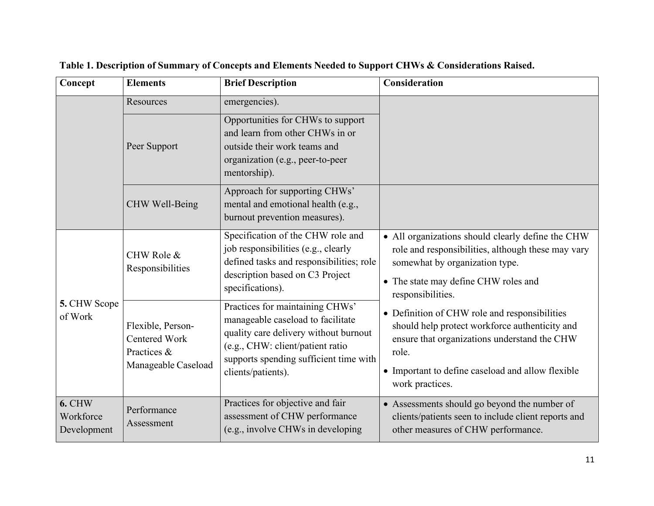| Concept                                   | <b>Elements</b>                                                                 | <b>Brief Description</b>                                                                                                                                                                                          | Consideration                                                                                                                                                                                                                    |
|-------------------------------------------|---------------------------------------------------------------------------------|-------------------------------------------------------------------------------------------------------------------------------------------------------------------------------------------------------------------|----------------------------------------------------------------------------------------------------------------------------------------------------------------------------------------------------------------------------------|
|                                           | Resources                                                                       | emergencies).                                                                                                                                                                                                     |                                                                                                                                                                                                                                  |
|                                           | Peer Support                                                                    | Opportunities for CHWs to support<br>and learn from other CHWs in or<br>outside their work teams and<br>organization (e.g., peer-to-peer<br>mentorship).                                                          |                                                                                                                                                                                                                                  |
|                                           | CHW Well-Being                                                                  | Approach for supporting CHWs'<br>mental and emotional health (e.g.,<br>burnout prevention measures).                                                                                                              |                                                                                                                                                                                                                                  |
| 5. CHW Scope<br>of Work                   | CHW Role &<br>Responsibilities                                                  | Specification of the CHW role and<br>job responsibilities (e.g., clearly<br>defined tasks and responsibilities; role<br>description based on C3 Project<br>specifications).                                       | • All organizations should clearly define the CHW<br>role and responsibilities, although these may vary<br>somewhat by organization type.<br>• The state may define CHW roles and<br>responsibilities.                           |
|                                           | Flexible, Person-<br><b>Centered Work</b><br>Practices &<br>Manageable Caseload | Practices for maintaining CHWs'<br>manageable caseload to facilitate<br>quality care delivery without burnout<br>(e.g., CHW: client/patient ratio<br>supports spending sufficient time with<br>clients/patients). | • Definition of CHW role and responsibilities<br>should help protect workforce authenticity and<br>ensure that organizations understand the CHW<br>role.<br>• Important to define caseload and allow flexible<br>work practices. |
| <b>6. CHW</b><br>Workforce<br>Development | Performance<br>Assessment                                                       | Practices for objective and fair<br>assessment of CHW performance<br>(e.g., involve CHWs in developing                                                                                                            | • Assessments should go beyond the number of<br>clients/patients seen to include client reports and<br>other measures of CHW performance.                                                                                        |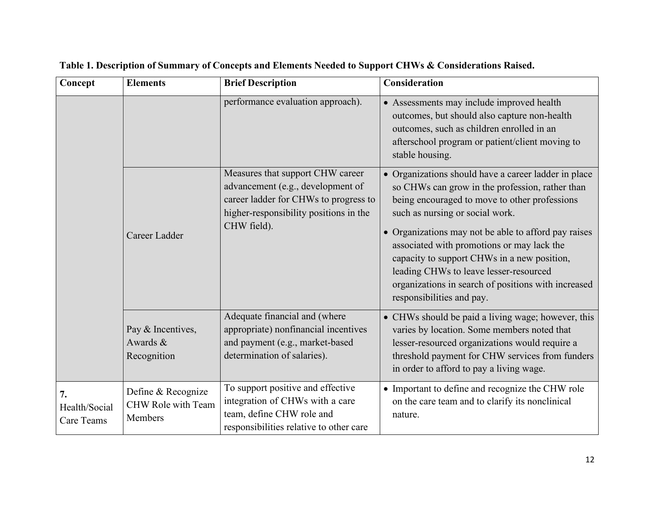| Concept                           | <b>Elements</b>                                     | <b>Brief Description</b>                                                                                                                                                | Consideration                                                                                                                                                                                                                                                                                                                                                                                                                                                                  |
|-----------------------------------|-----------------------------------------------------|-------------------------------------------------------------------------------------------------------------------------------------------------------------------------|--------------------------------------------------------------------------------------------------------------------------------------------------------------------------------------------------------------------------------------------------------------------------------------------------------------------------------------------------------------------------------------------------------------------------------------------------------------------------------|
|                                   |                                                     | performance evaluation approach).                                                                                                                                       | • Assessments may include improved health<br>outcomes, but should also capture non-health<br>outcomes, such as children enrolled in an<br>afterschool program or patient/client moving to<br>stable housing.                                                                                                                                                                                                                                                                   |
|                                   | Career Ladder                                       | Measures that support CHW career<br>advancement (e.g., development of<br>career ladder for CHWs to progress to<br>higher-responsibility positions in the<br>CHW field). | • Organizations should have a career ladder in place<br>so CHWs can grow in the profession, rather than<br>being encouraged to move to other professions<br>such as nursing or social work.<br>• Organizations may not be able to afford pay raises<br>associated with promotions or may lack the<br>capacity to support CHWs in a new position,<br>leading CHWs to leave lesser-resourced<br>organizations in search of positions with increased<br>responsibilities and pay. |
|                                   | Pay & Incentives,<br>Awards &<br>Recognition        | Adequate financial and (where<br>appropriate) nonfinancial incentives<br>and payment (e.g., market-based<br>determination of salaries).                                 | • CHWs should be paid a living wage; however, this<br>varies by location. Some members noted that<br>lesser-resourced organizations would require a<br>threshold payment for CHW services from funders<br>in order to afford to pay a living wage.                                                                                                                                                                                                                             |
| 7.<br>Health/Social<br>Care Teams | Define & Recognize<br>CHW Role with Team<br>Members | To support positive and effective<br>integration of CHWs with a care<br>team, define CHW role and<br>responsibilities relative to other care                            | • Important to define and recognize the CHW role<br>on the care team and to clarify its nonclinical<br>nature.                                                                                                                                                                                                                                                                                                                                                                 |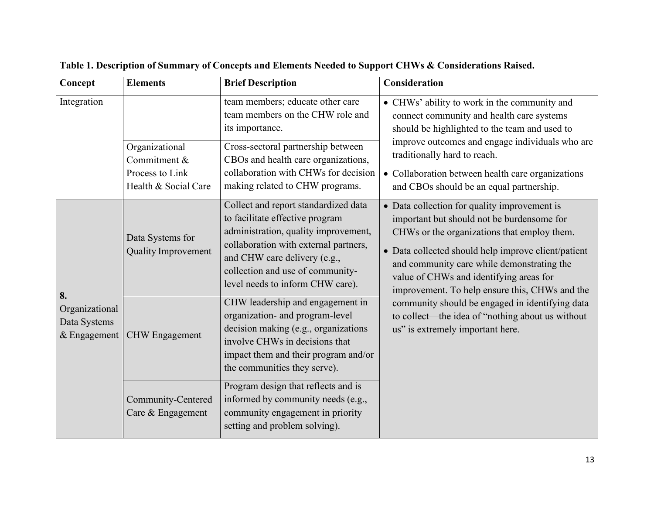| Concept                                                | <b>Elements</b>                                                           | <b>Brief Description</b>                                                                                                                                                                                                                                         | Consideration                                                                                                                                                                                                                                                                                                                               |
|--------------------------------------------------------|---------------------------------------------------------------------------|------------------------------------------------------------------------------------------------------------------------------------------------------------------------------------------------------------------------------------------------------------------|---------------------------------------------------------------------------------------------------------------------------------------------------------------------------------------------------------------------------------------------------------------------------------------------------------------------------------------------|
| Integration                                            | Organizational<br>Commitment &<br>Process to Link<br>Health & Social Care | team members; educate other care<br>team members on the CHW role and<br>its importance.<br>Cross-sectoral partnership between<br>CBOs and health care organizations,<br>collaboration with CHWs for decision<br>making related to CHW programs.                  | • CHWs' ability to work in the community and<br>connect community and health care systems<br>should be highlighted to the team and used to<br>improve outcomes and engage individuals who are<br>traditionally hard to reach.<br>• Collaboration between health care organizations<br>and CBOs should be an equal partnership.              |
|                                                        | Data Systems for<br><b>Quality Improvement</b>                            | Collect and report standardized data<br>to facilitate effective program<br>administration, quality improvement,<br>collaboration with external partners,<br>and CHW care delivery (e.g.,<br>collection and use of community-<br>level needs to inform CHW care). | • Data collection for quality improvement is<br>important but should not be burdensome for<br>CHWs or the organizations that employ them.<br>• Data collected should help improve client/patient<br>and community care while demonstrating the<br>value of CHWs and identifying areas for<br>improvement. To help ensure this, CHWs and the |
| 8.<br>Organizational<br>Data Systems<br>$&$ Engagement | <b>CHW</b> Engagement                                                     | CHW leadership and engagement in<br>organization- and program-level<br>decision making (e.g., organizations<br>involve CHWs in decisions that<br>impact them and their program and/or<br>the communities they serve).                                            | community should be engaged in identifying data<br>to collect—the idea of "nothing about us without<br>us" is extremely important here.                                                                                                                                                                                                     |
|                                                        | Community-Centered<br>Care & Engagement                                   | Program design that reflects and is<br>informed by community needs (e.g.,<br>community engagement in priority<br>setting and problem solving).                                                                                                                   |                                                                                                                                                                                                                                                                                                                                             |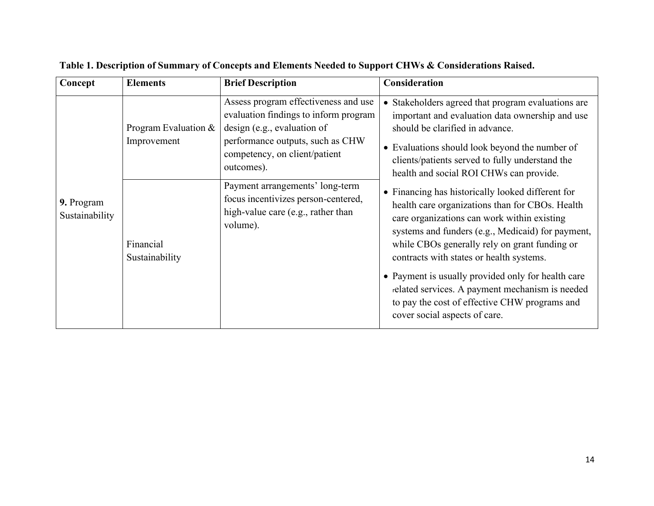| Concept                      | <b>Elements</b>                                                    | <b>Brief Description</b>                                                                                                                                                                                                                                                                                                    | <b>Consideration</b>                                                                                                                                                                                                                                                                                                                                                                                                                                                                                                                                                                                                                                                                                                                                                                                    |
|------------------------------|--------------------------------------------------------------------|-----------------------------------------------------------------------------------------------------------------------------------------------------------------------------------------------------------------------------------------------------------------------------------------------------------------------------|---------------------------------------------------------------------------------------------------------------------------------------------------------------------------------------------------------------------------------------------------------------------------------------------------------------------------------------------------------------------------------------------------------------------------------------------------------------------------------------------------------------------------------------------------------------------------------------------------------------------------------------------------------------------------------------------------------------------------------------------------------------------------------------------------------|
| 9. Program<br>Sustainability | Program Evaluation &<br>Improvement<br>Financial<br>Sustainability | Assess program effectiveness and use<br>evaluation findings to inform program<br>design (e.g., evaluation of<br>performance outputs, such as CHW<br>competency, on client/patient<br>outcomes).<br>Payment arrangements' long-term<br>focus incentivizes person-centered,<br>high-value care (e.g., rather than<br>volume). | Stakeholders agreed that program evaluations are<br>$\bullet$<br>important and evaluation data ownership and use<br>should be clarified in advance.<br>• Evaluations should look beyond the number of<br>clients/patients served to fully understand the<br>health and social ROI CHWs can provide.<br>• Financing has historically looked different for<br>health care organizations than for CBOs. Health<br>care organizations can work within existing<br>systems and funders (e.g., Medicaid) for payment,<br>while CBOs generally rely on grant funding or<br>contracts with states or health systems.<br>• Payment is usually provided only for health care<br>related services. A payment mechanism is needed<br>to pay the cost of effective CHW programs and<br>cover social aspects of care. |
|                              |                                                                    |                                                                                                                                                                                                                                                                                                                             |                                                                                                                                                                                                                                                                                                                                                                                                                                                                                                                                                                                                                                                                                                                                                                                                         |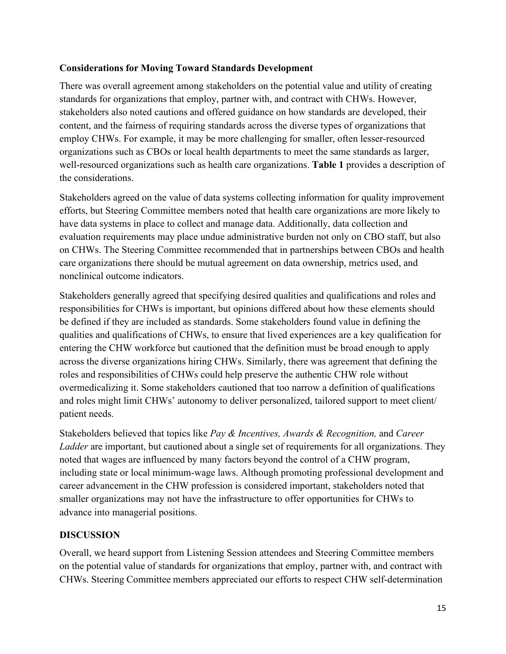### **Considerations for Moving Toward Standards Development**

There was overall agreement among stakeholders on the potential value and utility of creating standards for organizations that employ, partner with, and contract with CHWs. However, stakeholders also noted cautions and offered guidance on how standards are developed, their content, and the fairness of requiring standards across the diverse types of organizations that employ CHWs. For example, it may be more challenging for smaller, often lesser-resourced organizations such as CBOs or local health departments to meet the same standards as larger, well-resourced organizations such as health care organizations. **Table 1** provides a description of the considerations.

Stakeholders agreed on the value of data systems collecting information for quality improvement efforts, but Steering Committee members noted that health care organizations are more likely to have data systems in place to collect and manage data. Additionally, data collection and evaluation requirements may place undue administrative burden not only on CBO staff, but also on CHWs. The Steering Committee recommended that in partnerships between CBOs and health care organizations there should be mutual agreement on data ownership, metrics used, and nonclinical outcome indicators.

Stakeholders generally agreed that specifying desired qualities and qualifications and roles and responsibilities for CHWs is important, but opinions differed about how these elements should be defined if they are included as standards. Some stakeholders found value in defining the qualities and qualifications of CHWs, to ensure that lived experiences are a key qualification for entering the CHW workforce but cautioned that the definition must be broad enough to apply across the diverse organizations hiring CHWs. Similarly, there was agreement that defining the roles and responsibilities of CHWs could help preserve the authentic CHW role without overmedicalizing it. Some stakeholders cautioned that too narrow a definition of qualifications and roles might limit CHWs' autonomy to deliver personalized, tailored support to meet client/ patient needs.

Stakeholders believed that topics like *Pay & Incentives, Awards & Recognition,* and *Career Ladder* are important, but cautioned about a single set of requirements for all organizations. They noted that wages are influenced by many factors beyond the control of a CHW program, including state or local minimum-wage laws. Although promoting professional development and career advancement in the CHW profession is considered important, stakeholders noted that smaller organizations may not have the infrastructure to offer opportunities for CHWs to advance into managerial positions.

### **DISCUSSION**

Overall, we heard support from Listening Session attendees and Steering Committee members on the potential value of standards for organizations that employ, partner with, and contract with CHWs. Steering Committee members appreciated our efforts to respect CHW self-determination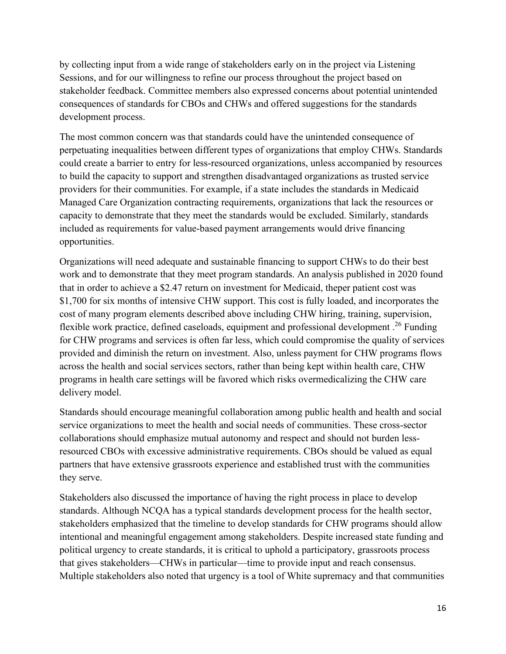by collecting input from a wide range of stakeholders early on in the project via Listening Sessions, and for our willingness to refine our process throughout the project based on stakeholder feedback. Committee members also expressed concerns about potential unintended consequences of standards for CBOs and CHWs and offered suggestions for the standards development process.

The most common concern was that standards could have the unintended consequence of perpetuating inequalities between different types of organizations that employ CHWs. Standards could create a barrier to entry for less-resourced organizations, unless accompanied by resources to build the capacity to support and strengthen disadvantaged organizations as trusted service providers for their communities. For example, if a state includes the standards in Medicaid Managed Care Organization contracting requirements, organizations that lack the resources or capacity to demonstrate that they meet the standards would be excluded. Similarly, standards included as requirements for value-based payment arrangements would drive financing opportunities.

Organizations will need adequate and sustainable financing to support CHWs to do their best work and to demonstrate that they meet program standards. An analysis published in 2020 found that in order to achieve a \$2.47 return on investment for Medicaid, theper patient cost was \$1,700 for six months of intensive CHW support. This cost is fully loaded, and incorporates the cost of many program elements described above including CHW hiring, training, supervision, flexible work practice, defined caseloads, equipment and professional development.<sup>26</sup> Funding for CHW programs and services is often far less, which could compromise the quality of services provided and diminish the return on investment. Also, unless payment for CHW programs flows across the health and social services sectors, rather than being kept within health care, CHW programs in health care settings will be favored which risks overmedicalizing the CHW care delivery model.

Standards should encourage meaningful collaboration among public health and health and social service organizations to meet the health and social needs of communities. These cross-sector collaborations should emphasize mutual autonomy and respect and should not burden lessresourced CBOs with excessive administrative requirements. CBOs should be valued as equal partners that have extensive grassroots experience and established trust with the communities they serve.

Stakeholders also discussed the importance of having the right process in place to develop standards. Although NCQA has a typical standards development process for the health sector, stakeholders emphasized that the timeline to develop standards for CHW programs should allow intentional and meaningful engagement among stakeholders. Despite increased state funding and political urgency to create standards, it is critical to uphold a participatory, grassroots process that gives stakeholders—CHWs in particular—time to provide input and reach consensus. Multiple stakeholders also noted that urgency is a tool of White supremacy and that communities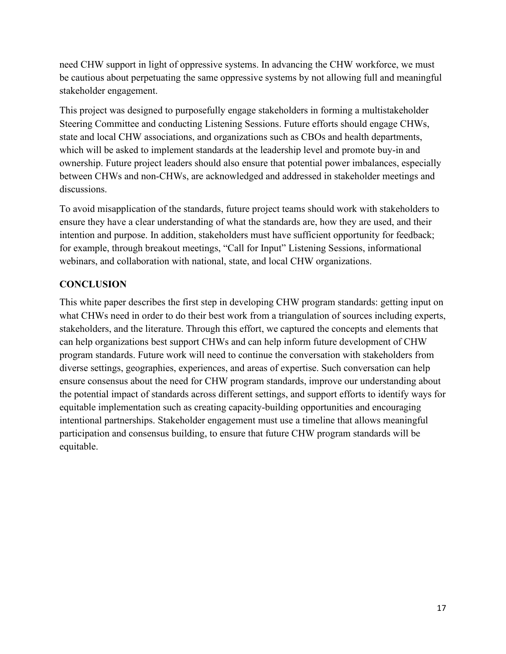need CHW support in light of oppressive systems. In advancing the CHW workforce, we must be cautious about perpetuating the same oppressive systems by not allowing full and meaningful stakeholder engagement.

This project was designed to purposefully engage stakeholders in forming a multistakeholder Steering Committee and conducting Listening Sessions. Future efforts should engage CHWs, state and local CHW associations, and organizations such as CBOs and health departments, which will be asked to implement standards at the leadership level and promote buy-in and ownership. Future project leaders should also ensure that potential power imbalances, especially between CHWs and non-CHWs, are acknowledged and addressed in stakeholder meetings and discussions.

To avoid misapplication of the standards, future project teams should work with stakeholders to ensure they have a clear understanding of what the standards are, how they are used, and their intention and purpose. In addition, stakeholders must have sufficient opportunity for feedback; for example, through breakout meetings, "Call for Input" Listening Sessions, informational webinars, and collaboration with national, state, and local CHW organizations.

### **CONCLUSION**

This white paper describes the first step in developing CHW program standards: getting input on what CHWs need in order to do their best work from a triangulation of sources including experts, stakeholders, and the literature. Through this effort, we captured the concepts and elements that can help organizations best support CHWs and can help inform future development of CHW program standards. Future work will need to continue the conversation with stakeholders from diverse settings, geographies, experiences, and areas of expertise. Such conversation can help ensure consensus about the need for CHW program standards, improve our understanding about the potential impact of standards across different settings, and support efforts to identify ways for equitable implementation such as creating capacity-building opportunities and encouraging intentional partnerships. Stakeholder engagement must use a timeline that allows meaningful participation and consensus building, to ensure that future CHW program standards will be equitable.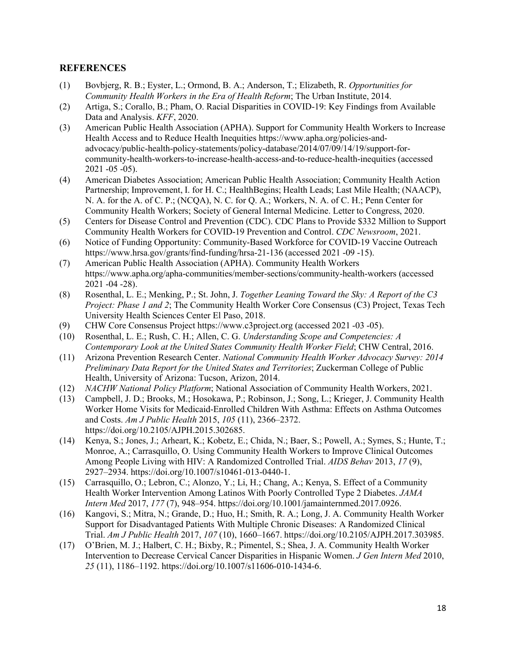#### **REFERENCES**

- (1) Bovbjerg, R. B.; Eyster, L.; Ormond, B. A.; Anderson, T.; Elizabeth, R. *Opportunities for Community Health Workers in the Era of Health Reform*; The Urban Institute, 2014.
- (2) Artiga, S.; Corallo, B.; Pham, O. Racial Disparities in COVID-19: Key Findings from Available Data and Analysis. *KFF*, 2020.
- (3) American Public Health Association (APHA). Support for Community Health Workers to Increase Health Access and to Reduce Health Inequities https:/[/www.apha.org/policies-and](http://www.apha.org/policies-and-)advocacy/public-health-policy-statements/policy-database/2014/07/09/14/19/support-forcommunity-health-workers-to-increase-health-access-and-to-reduce-health-inequities (accessed 2021 -05 -05).
- (4) American Diabetes Association; American Public Health Association; Community Health Action Partnership; Improvement, I. for H. C.; HealthBegins; Health Leads; Last Mile Health; (NAACP), N. A. for the A. of C. P.; (NCQA), N. C. for Q. A.; Workers, N. A. of C. H.; Penn Center for Community Health Workers; Society of General Internal Medicine. Letter to Congress, 2020.
- (5) Centers for Disease Control and Prevention (CDC). CDC Plans to Provide \$332 Million to Support Community Health Workers for COVID-19 Prevention and Control. *CDC Newsroom*, 2021.
- (6) Notice of Funding Opportunity: Community-Based Workforce for COVID-19 Vaccine Outreach https:/[/www.hrsa.gov/grants/find-funding/hrsa-21-136](http://www.hrsa.gov/grants/find-funding/hrsa-21-136) (accessed 2021 -09 -15).
- (7) American Public Health Association (APHA). Community Health Workers https:/[/www.apha.org/apha-communities/member-sections/community-health-workers](http://www.apha.org/apha-communities/member-sections/community-health-workers) (accessed 2021 -04 -28).
- (8) Rosenthal, L. E.; Menking, P.; St. John, J. *Together Leaning Toward the Sky: A Report of the C3 Project: Phase 1 and 2*; The Community Health Worker Core Consensus (C3) Project, Texas Tech University Health Sciences Center El Paso, 2018.
- (9) CHW Core Consensus Project https:/[/www.c3project.org](http://www.c3project.org/) (accessed 2021 -03 -05).
- (10) Rosenthal, L. E.; Rush, C. H.; Allen, C. G. *Understanding Scope and Competencies: A Contemporary Look at the United States Community Health Worker Field*; CHW Central, 2016.
- (11) Arizona Prevention Research Center. *National Community Health Worker Advocacy Survey: 2014 Preliminary Data Report for the United States and Territories*; Zuckerman College of Public Health, University of Arizona: Tucson, Arizon, 2014.
- (12) *NACHW National Policy Platform*; National Association of Community Health Workers, 2021.
- (13) Campbell, J. D.; Brooks, M.; Hosokawa, P.; Robinson, J.; Song, L.; Krieger, J. Community Health Worker Home Visits for Medicaid-Enrolled Children With Asthma: Effects on Asthma Outcomes and Costs. *Am J Public Health* 2015, *105* (11), 2366–2372. https://doi.org/10.2105/AJPH.2015.302685.
- (14) Kenya, S.; Jones, J.; Arheart, K.; Kobetz, E.; Chida, N.; Baer, S.; Powell, A.; Symes, S.; Hunte, T.; Monroe, A.; Carrasquillo, O. Using Community Health Workers to Improve Clinical Outcomes Among People Living with HIV: A Randomized Controlled Trial. *AIDS Behav* 2013, *17* (9), 2927–2934. https://doi.org/10.1007/s10461-013-0440-1.
- (15) Carrasquillo, O.; Lebron, C.; Alonzo, Y.; Li, H.; Chang, A.; Kenya, S. Effect of a Community Health Worker Intervention Among Latinos With Poorly Controlled Type 2 Diabetes. *JAMA Intern Med* 2017, *177* (7), 948–954. https://doi.org/10.1001/jamainternmed.2017.0926.
- (16) Kangovi, S.; Mitra, N.; Grande, D.; Huo, H.; Smith, R. A.; Long, J. A. Community Health Worker Support for Disadvantaged Patients With Multiple Chronic Diseases: A Randomized Clinical Trial. *Am J Public Health* 2017, *107* (10), 1660–1667. https://doi.org/10.2105/AJPH.2017.303985.
- (17) O'Brien, M. J.; Halbert, C. H.; Bixby, R.; Pimentel, S.; Shea, J. A. Community Health Worker Intervention to Decrease Cervical Cancer Disparities in Hispanic Women. *J Gen Intern Med* 2010, *25* (11), 1186–1192. https://doi.org/10.1007/s11606-010-1434-6.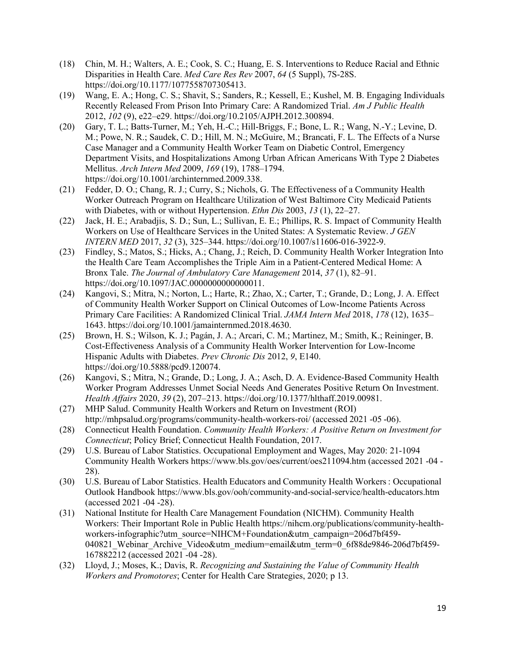- (18) Chin, M. H.; Walters, A. E.; Cook, S. C.; Huang, E. S. Interventions to Reduce Racial and Ethnic Disparities in Health Care. *Med Care Res Rev* 2007, *64* (5 Suppl), 7S-28S. https://doi.org/10.1177/1077558707305413.
- (19) Wang, E. A.; Hong, C. S.; Shavit, S.; Sanders, R.; Kessell, E.; Kushel, M. B. Engaging Individuals Recently Released From Prison Into Primary Care: A Randomized Trial. *Am J Public Health* 2012, *102* (9), e22–e29. https://doi.org/10.2105/AJPH.2012.300894.
- (20) Gary, T. L.; Batts-Turner, M.; Yeh, H.-C.; Hill-Briggs, F.; Bone, L. R.; Wang, N.-Y.; Levine, D. M.; Powe, N. R.; Saudek, C. D.; Hill, M. N.; McGuire, M.; Brancati, F. L. The Effects of a Nurse Case Manager and a Community Health Worker Team on Diabetic Control, Emergency Department Visits, and Hospitalizations Among Urban African Americans With Type 2 Diabetes Mellitus. *Arch Intern Med* 2009, *169* (19), 1788–1794. https://doi.org/10.1001/archinternmed.2009.338.
- (21) Fedder, D. O.; Chang, R. J.; Curry, S.; Nichols, G. The Effectiveness of a Community Health Worker Outreach Program on Healthcare Utilization of West Baltimore City Medicaid Patients with Diabetes, with or without Hypertension. *Ethn Dis* 2003, *13* (1), 22–27.
- (22) Jack, H. E.; Arabadjis, S. D.; Sun, L.; Sullivan, E. E.; Phillips, R. S. Impact of Community Health Workers on Use of Healthcare Services in the United States: A Systematic Review. *J GEN INTERN MED* 2017, *32* (3), 325–344. https://doi.org/10.1007/s11606-016-3922-9.
- (23) Findley, S.; Matos, S.; Hicks, A.; Chang, J.; Reich, D. Community Health Worker Integration Into the Health Care Team Accomplishes the Triple Aim in a Patient-Centered Medical Home: A Bronx Tale. *The Journal of Ambulatory Care Management* 2014, *37* (1), 82–91. https://doi.org/10.1097/JAC.0000000000000011.
- (24) Kangovi, S.; Mitra, N.; Norton, L.; Harte, R.; Zhao, X.; Carter, T.; Grande, D.; Long, J. A. Effect of Community Health Worker Support on Clinical Outcomes of Low-Income Patients Across Primary Care Facilities: A Randomized Clinical Trial. *JAMA Intern Med* 2018, *178* (12), 1635– 1643. https://doi.org/10.1001/jamainternmed.2018.4630.
- (25) Brown, H. S.; Wilson, K. J.; Pagán, J. A.; Arcari, C. M.; Martinez, M.; Smith, K.; Reininger, B. Cost-Effectiveness Analysis of a Community Health Worker Intervention for Low-Income Hispanic Adults with Diabetes. *Prev Chronic Dis* 2012, *9*, E140. https://doi.org/10.5888/pcd9.120074.
- (26) Kangovi, S.; Mitra, N.; Grande, D.; Long, J. A.; Asch, D. A. Evidence-Based Community Health Worker Program Addresses Unmet Social Needs And Generates Positive Return On Investment. *Health Affairs* 2020, *39* (2), 207–213. https://doi.org/10.1377/hlthaff.2019.00981.
- (27) MHP Salud. Community Health Workers and Return on Investment (ROI) <http://mhpsalud.org/programs/community-health-workers-roi/> (accessed 2021 -05 -06).
- (28) Connecticut Health Foundation. *Community Health Workers: A Positive Return on Investment for Connecticut*; Policy Brief; Connecticut Health Foundation, 2017.
- (29) U.S. Bureau of Labor Statistics. Occupational Employment and Wages, May 2020: 21-1094 Community Health Workers https:/[/www.bls.gov/oes/current/oes211094.htm \(](http://www.bls.gov/oes/current/oes211094.htm)accessed 2021 -04 - 28).
- (30) U.S. Bureau of Labor Statistics. Health Educators and Community Health Workers: Occupational Outlook Handbook https:/[/www.bls.gov/ooh/community-and-social-service/health-educators.htm](http://www.bls.gov/ooh/community-and-social-service/health-educators.htm) (accessed 2021 -04 -28).
- (31) National Institute for Health Care Management Foundation (NICHM). Community Health Workers: Their Important Role in Public Health https://nihcm.org/publications/community-healthworkers-infographic?utm\_source=NIHCM+Foundation&utm\_campaign=206d7bf459- 040821\_Webinar\_Archive\_Video&utm\_medium=email&utm\_term=0\_6f88de9846-206d7bf459- 167882212 (accessed 2021 -04 -28).
- (32) Lloyd, J.; Moses, K.; Davis, R. *Recognizing and Sustaining the Value of Community Health Workers and Promotores*; Center for Health Care Strategies, 2020; p 13.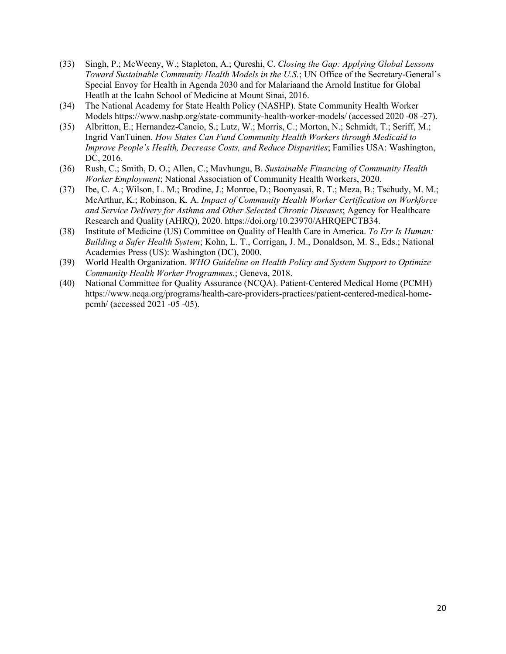- (33) Singh, P.; McWeeny, W.; Stapleton, A.; Qureshi, C. *Closing the Gap: Applying Global Lessons Toward Sustainable Community Health Models in the U.S.*; UN Office of the Secretary-General's Special Envoy for Health in Agenda 2030 and for Malariaand the Arnold Institue for Global Heatlh at the Icahn School of Medicine at Mount Sinai, 2016.
- (34) The National Academy for State Health Policy (NASHP). State Community Health Worker Models https:/[/www.nashp.org/state-community-health-worker-models/](http://www.nashp.org/state-community-health-worker-models/) (accessed 2020 -08 -27).
- (35) Albritton, E.; Hernandez-Cancio, S.; Lutz, W.; Morris, C.; Morton, N.; Schmidt, T.; Seriff, M.; Ingrid VanTuinen. *How States Can Fund Community Health Workers through Medicaid to Improve People's Health, Decrease Costs, and Reduce Disparities*; Families USA: Washington, DC, 2016.
- (36) Rush, C.; Smith, D. O.; Allen, C.; Mavhungu, B. *Sustainable Financing of Community Health Worker Employment*; National Association of Community Health Workers, 2020.
- (37) Ibe, C. A.; Wilson, L. M.; Brodine, J.; Monroe, D.; Boonyasai, R. T.; Meza, B.; Tschudy, M. M.; McArthur, K.; Robinson, K. A. *Impact of Community Health Worker Certification on Workforce and Service Delivery for Asthma and Other Selected Chronic Diseases*; Agency for Healthcare Research and Quality (AHRQ), 2020. https://doi.org/10.23970/AHRQEPCTB34.
- (38) Institute of Medicine (US) Committee on Quality of Health Care in America. *To Err Is Human: Building a Safer Health System*; Kohn, L. T., Corrigan, J. M., Donaldson, M. S., Eds.; National Academies Press (US): Washington (DC), 2000.
- (39) World Health Organization. *WHO Guideline on Health Policy and System Support to Optimize Community Health Worker Programmes.*; Geneva, 2018.
- (40) National Committee for Quality Assurance (NCQA). Patient-Centered Medical Home (PCMH) https:/[/www.ncqa.org/programs/health-care-providers-practices/patient-centered-medical-home](http://www.ncqa.org/programs/health-care-providers-practices/patient-centered-medical-home-)pcmh/ (accessed 2021 -05 -05).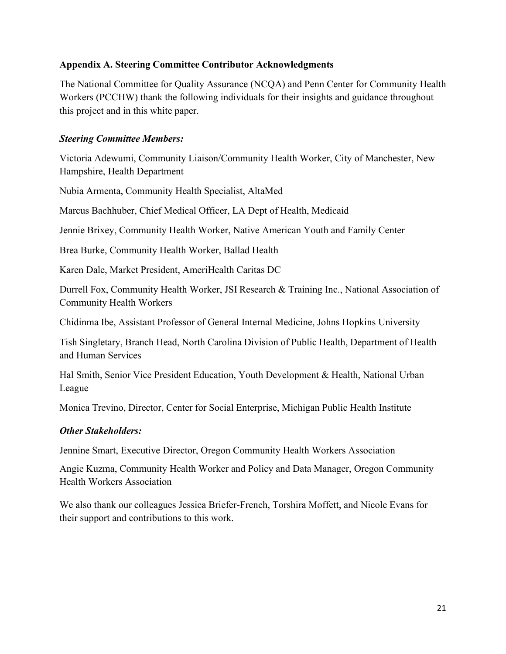#### **Appendix A. Steering Committee Contributor Acknowledgments**

The National Committee for Quality Assurance (NCQA) and Penn Center for Community Health Workers (PCCHW) thank the following individuals for their insights and guidance throughout this project and in this white paper.

#### *Steering Committee Members:*

Victoria Adewumi, Community Liaison/Community Health Worker, City of Manchester, New Hampshire, Health Department

Nubia Armenta, Community Health Specialist, AltaMed

Marcus Bachhuber, Chief Medical Officer, LA Dept of Health, Medicaid

Jennie Brixey, Community Health Worker, Native American Youth and Family Center

Brea Burke, Community Health Worker, Ballad Health

Karen Dale, Market President, AmeriHealth Caritas DC

Durrell Fox, Community Health Worker, JSI Research & Training Inc., National Association of Community Health Workers

Chidinma Ibe, Assistant Professor of General Internal Medicine, Johns Hopkins University

Tish Singletary, Branch Head, North Carolina Division of Public Health, Department of Health and Human Services

Hal Smith, Senior Vice President Education, Youth Development & Health, National Urban League

Monica Trevino, Director, Center for Social Enterprise, Michigan Public Health Institute

### *Other Stakeholders:*

Jennine Smart, Executive Director, Oregon Community Health Workers Association

Angie Kuzma, Community Health Worker and Policy and Data Manager, Oregon Community Health Workers Association

We also thank our colleagues Jessica Briefer-French, Torshira Moffett, and Nicole Evans for their support and contributions to this work.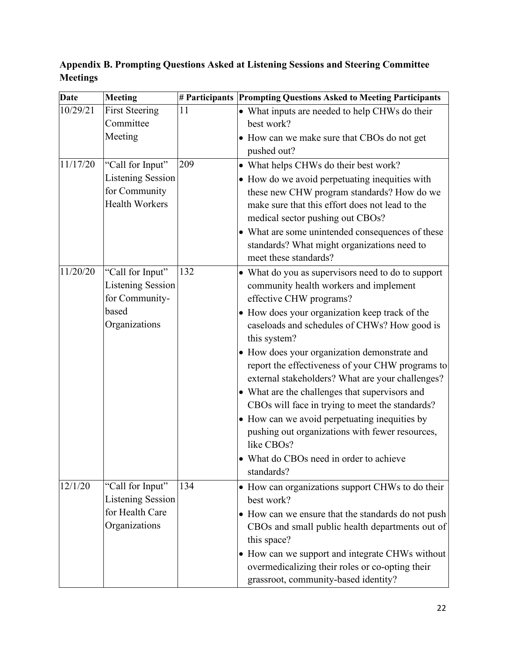**Date Meeting # Participants Prompting Questions Asked to Meeting Participants** 10/29/21 First Steering Committee Meeting 11 • What inputs are needed to help CHWs do their best work? • How can we make sure that CBOs do not get pushed out?  $11/17/20$  "Call for Input" Listening Session for Community Health Workers 209 • What helps CHWs do their best work? • How do we avoid perpetuating inequities with these new CHW program standards? How do we make sure that this effort does not lead to the medical sector pushing out CBOs? • What are some unintended consequences of these standards? What might organizations need to meet these standards?  $11/20/20$  "Call for Input" Listening Session for Communitybased **Organizations** 132 • What do you as supervisors need to do to support community health workers and implement effective CHW programs? • How does your organization keep track of the caseloads and schedules of CHWs? How good is this system? • How does your organization demonstrate and report the effectiveness of your CHW programs to external stakeholders? What are your challenges? • What are the challenges that supervisors and CBOs will face in trying to meet the standards? • How can we avoid perpetuating inequities by pushing out organizations with fewer resources, like CBOs? • What do CBOs need in order to achieve standards?  $12/1/20$  "Call for Input" Listening Session for Health Care **Organizations** 134 • How can organizations support CHWs to do their best work? • How can we ensure that the standards do not push CBOs and small public health departments out of this space? • How can we support and integrate CHWs without overmedicalizing their roles or co-opting their grassroot, community-based identity?

**Appendix B. Prompting Questions Asked at Listening Sessions and Steering Committee Meetings**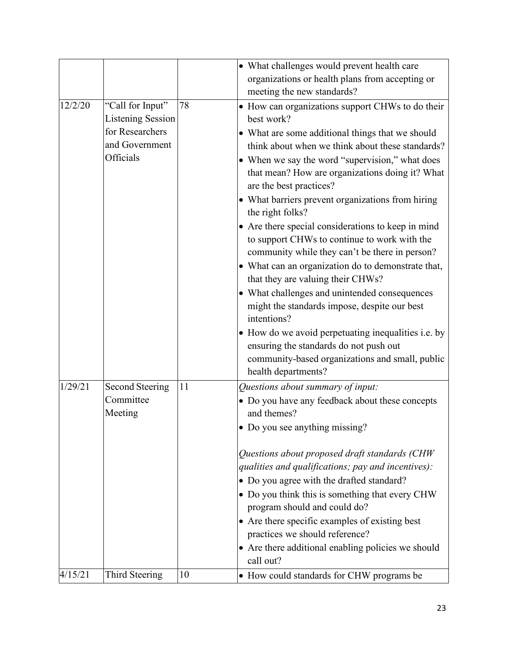|         |                                                |    | • What challenges would prevent health care<br>organizations or health plans from accepting or<br>meeting the new standards?                                                                                                                                                                                                                                                                                                                                                                                                                                                                                                                                                                                                                                                                                                                                 |
|---------|------------------------------------------------|----|--------------------------------------------------------------------------------------------------------------------------------------------------------------------------------------------------------------------------------------------------------------------------------------------------------------------------------------------------------------------------------------------------------------------------------------------------------------------------------------------------------------------------------------------------------------------------------------------------------------------------------------------------------------------------------------------------------------------------------------------------------------------------------------------------------------------------------------------------------------|
| 12/2/20 | "Call for Input"<br><b>Listening Session</b>   | 78 | • How can organizations support CHWs to do their<br>best work?                                                                                                                                                                                                                                                                                                                                                                                                                                                                                                                                                                                                                                                                                                                                                                                               |
|         | for Researchers<br>and Government<br>Officials |    | • What are some additional things that we should<br>think about when we think about these standards?<br>• When we say the word "supervision," what does<br>that mean? How are organizations doing it? What<br>are the best practices?<br>• What barriers prevent organizations from hiring<br>the right folks?<br>• Are there special considerations to keep in mind<br>to support CHWs to continue to work with the<br>community while they can't be there in person?<br>• What can an organization do to demonstrate that,<br>that they are valuing their CHWs?<br>• What challenges and unintended consequences<br>might the standards impose, despite our best<br>intentions?<br>• How do we avoid perpetuating inequalities i.e. by<br>ensuring the standards do not push out<br>community-based organizations and small, public<br>health departments? |
| 1/29/21 | <b>Second Steering</b><br>Committee<br>Meeting | 11 | Questions about summary of input:<br>• Do you have any feedback about these concepts<br>and themes?<br>• Do you see anything missing?                                                                                                                                                                                                                                                                                                                                                                                                                                                                                                                                                                                                                                                                                                                        |
|         |                                                |    | Questions about proposed draft standards (CHW<br>qualities and qualifications; pay and incentives):<br>• Do you agree with the drafted standard?<br>• Do you think this is something that every CHW<br>program should and could do?<br>• Are there specific examples of existing best<br>practices we should reference?<br>• Are there additional enabling policies we should<br>call out?                                                                                                                                                                                                                                                                                                                                                                                                                                                                   |
| 4/15/21 | Third Steering                                 | 10 | • How could standards for CHW programs be                                                                                                                                                                                                                                                                                                                                                                                                                                                                                                                                                                                                                                                                                                                                                                                                                    |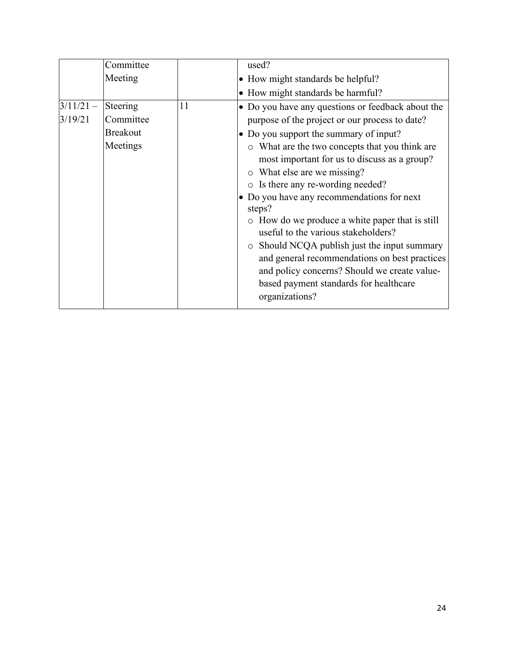|                        | Committee                                            |    | used?                                                                                                                                                                                                                                                              |
|------------------------|------------------------------------------------------|----|--------------------------------------------------------------------------------------------------------------------------------------------------------------------------------------------------------------------------------------------------------------------|
|                        | Meeting                                              |    | • How might standards be helpful?                                                                                                                                                                                                                                  |
|                        |                                                      |    | • How might standards be harmful?                                                                                                                                                                                                                                  |
| $3/11/21 -$<br>3/19/21 | Steering<br>Committee<br><b>Breakout</b><br>Meetings | 11 | • Do you have any questions or feedback about the<br>purpose of the project or our process to date?<br>• Do you support the summary of input?<br>o What are the two concepts that you think are                                                                    |
|                        |                                                      |    | most important for us to discuss as a group?<br>o What else are we missing?<br>o Is there any re-wording needed?<br>• Do you have any recommendations for next<br>steps?<br>• How do we produce a white paper that is still<br>useful to the various stakeholders? |
|                        |                                                      |    | $\circ$ Should NCQA publish just the input summary<br>and general recommendations on best practices<br>and policy concerns? Should we create value-<br>based payment standards for healthcare<br>organizations?                                                    |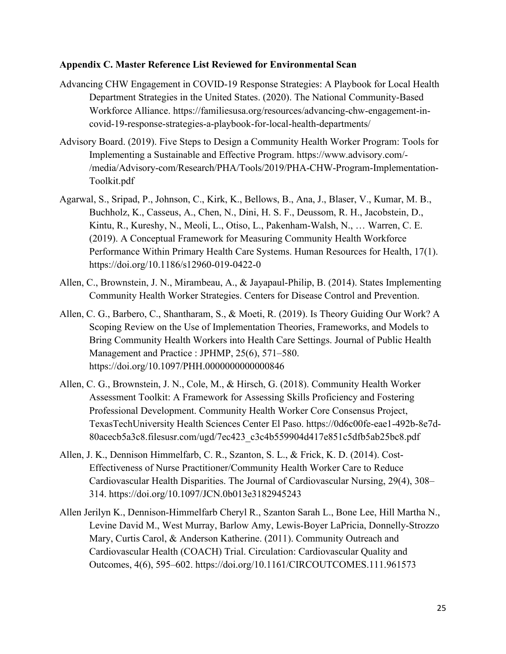#### **Appendix C. Master Reference List Reviewed for Environmental Scan**

- Advancing CHW Engagement in COVID-19 Response Strategies: A Playbook for Local Health Department Strategies in the United States. (2020). The National Community-Based Workforce Alliance. https://familiesusa.org/resources/advancing-chw-engagement-incovid-19-response-strategies-a-playbook-for-local-health-departments/
- Advisory Board. (2019). Five Steps to Design a Community Health Worker Program: Tools for Implementing a Sustainable and Effective Program. https:/[/www.advisory.com/-](http://www.advisory.com/-) /media/Advisory-com/Research/PHA/Tools/2019/PHA-CHW-Program-Implementation-Toolkit.pdf
- Agarwal, S., Sripad, P., Johnson, C., Kirk, K., Bellows, B., Ana, J., Blaser, V., Kumar, M. B., Buchholz, K., Casseus, A., Chen, N., Dini, H. S. F., Deussom, R. H., Jacobstein, D., Kintu, R., Kureshy, N., Meoli, L., Otiso, L., Pakenham-Walsh, N., … Warren, C. E. (2019). A Conceptual Framework for Measuring Community Health Workforce Performance Within Primary Health Care Systems. Human Resources for Health, 17(1). https://doi.org/10.1186/s12960-019-0422-0
- Allen, C., Brownstein, J. N., Mirambeau, A., & Jayapaul-Philip, B. (2014). States Implementing Community Health Worker Strategies. Centers for Disease Control and Prevention.
- Allen, C. G., Barbero, C., Shantharam, S., & Moeti, R. (2019). Is Theory Guiding Our Work? A Scoping Review on the Use of Implementation Theories, Frameworks, and Models to Bring Community Health Workers into Health Care Settings. Journal of Public Health Management and Practice : JPHMP, 25(6), 571–580. https://doi.org/10.1097/PHH.0000000000000846
- Allen, C. G., Brownstein, J. N., Cole, M., & Hirsch, G. (2018). Community Health Worker Assessment Toolkit: A Framework for Assessing Skills Proficiency and Fostering Professional Development. Community Health Worker Core Consensus Project, TexasTechUniversity Health Sciences Center El Paso. https://0d6c00fe-eae1-492b-8e7d-80acecb5a3c8.filesusr.com/ugd/7ec423\_c3c4b559904d417e851c5dfb5ab25bc8.pdf
- Allen, J. K., Dennison Himmelfarb, C. R., Szanton, S. L., & Frick, K. D. (2014). Cost-Effectiveness of Nurse Practitioner/Community Health Worker Care to Reduce Cardiovascular Health Disparities. The Journal of Cardiovascular Nursing, 29(4), 308– 314. https://doi.org/10.1097/JCN.0b013e3182945243
- Allen Jerilyn K., Dennison-Himmelfarb Cheryl R., Szanton Sarah L., Bone Lee, Hill Martha N., Levine David M., West Murray, Barlow Amy, Lewis-Boyer LaPricia, Donnelly-Strozzo Mary, Curtis Carol, & Anderson Katherine. (2011). Community Outreach and Cardiovascular Health (COACH) Trial. Circulation: Cardiovascular Quality and Outcomes, 4(6), 595–602. https://doi.org/10.1161/CIRCOUTCOMES.111.961573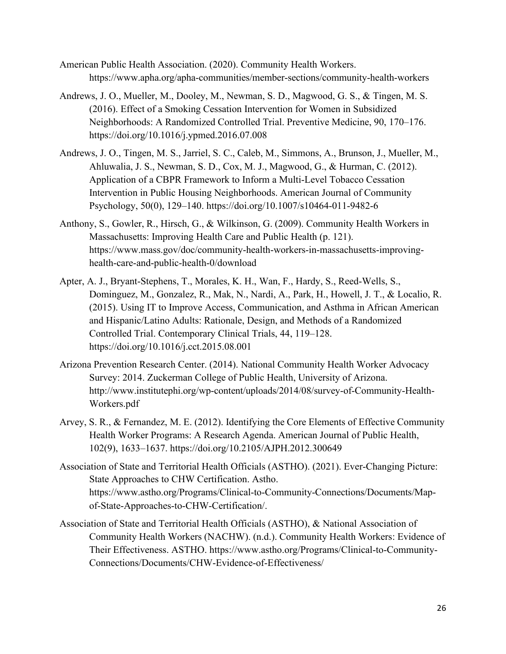- American Public Health Association. (2020). Community Health Workers. https:/[/www.apha.org/apha-communities/member-sections/community-health-workers](http://www.apha.org/apha-communities/member-sections/community-health-workers)
- Andrews, J. O., Mueller, M., Dooley, M., Newman, S. D., Magwood, G. S., & Tingen, M. S. (2016). Effect of a Smoking Cessation Intervention for Women in Subsidized Neighborhoods: A Randomized Controlled Trial. Preventive Medicine, 90, 170–176. https://doi.org/10.1016/j.ypmed.2016.07.008
- Andrews, J. O., Tingen, M. S., Jarriel, S. C., Caleb, M., Simmons, A., Brunson, J., Mueller, M., Ahluwalia, J. S., Newman, S. D., Cox, M. J., Magwood, G., & Hurman, C. (2012). Application of a CBPR Framework to Inform a Multi-Level Tobacco Cessation Intervention in Public Housing Neighborhoods. American Journal of Community Psychology, 50(0), 129–140. https://doi.org/10.1007/s10464-011-9482-6
- Anthony, S., Gowler, R., Hirsch, G., & Wilkinson, G. (2009). Community Health Workers in Massachusetts: Improving Health Care and Public Health (p. 121). http[s://ww](http://www.mass.gov/doc/community-health-workers-in-massachusetts-improving-)w[.mass.gov/doc/community-health-workers-in-massachusetts-improving](http://www.mass.gov/doc/community-health-workers-in-massachusetts-improving-)health-care-and-public-health-0/download
- Apter, A. J., Bryant-Stephens, T., Morales, K. H., Wan, F., Hardy, S., Reed-Wells, S., Dominguez, M., Gonzalez, R., Mak, N., Nardi, A., Park, H., Howell, J. T., & Localio, R. (2015). Using IT to Improve Access, Communication, and Asthma in African American and Hispanic/Latino Adults: Rationale, Design, and Methods of a Randomized Controlled Trial. Contemporary Clinical Trials, 44, 119–128. https://doi.org/10.1016/j.cct.2015.08.001
- Arizona Prevention Research Center. (2014). National Community Health Worker Advocacy Survey: 2014. Zuckerman College of Public Health, University of Arizona. <http://www.institutephi.org/wp-content/uploads/2014/08/survey-of-Community-Health->Workers.pdf
- Arvey, S. R., & Fernandez, M. E. (2012). Identifying the Core Elements of Effective Community Health Worker Programs: A Research Agenda. American Journal of Public Health, 102(9), 1633–1637. https://doi.org/10.2105/AJPH.2012.300649
- Association of State and Territorial Health Officials (ASTHO). (2021). Ever-Changing Picture: State Approaches to CHW Certification. Astho. http[s://ww](http://www.astho.org/Programs/Clinical-to-Community-Connections/Documents/Map-)w[.astho.org/Programs/Clinical-to-Community-Connections/Documents/Map](http://www.astho.org/Programs/Clinical-to-Community-Connections/Documents/Map-)of-State-Approaches-to-CHW-Certification/.
- Association of State and Territorial Health Officials (ASTHO), & National Association of Community Health Workers (NACHW). (n.d.). Community Health Workers: Evidence of Their Effectiveness. ASTHO. http[s://ww](http://www.astho.org/Programs/Clinical-to-Community-)w[.astho.org/Programs/Clinical-to-Community-](http://www.astho.org/Programs/Clinical-to-Community-)Connections/Documents/CHW-Evidence-of-Effectiveness/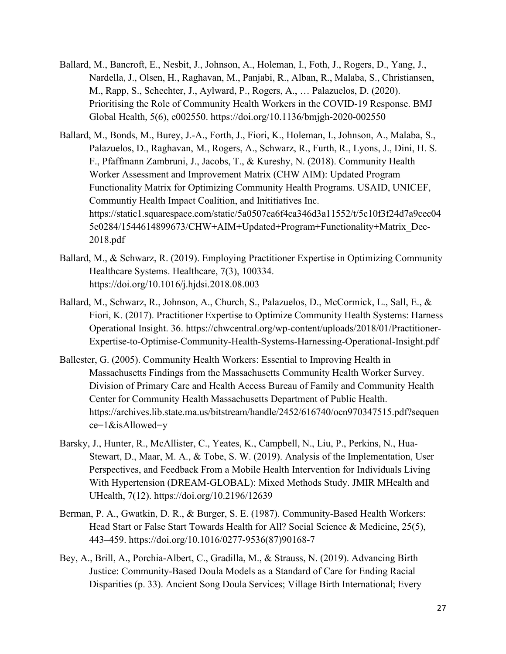- Ballard, M., Bancroft, E., Nesbit, J., Johnson, A., Holeman, I., Foth, J., Rogers, D., Yang, J., Nardella, J., Olsen, H., Raghavan, M., Panjabi, R., Alban, R., Malaba, S., Christiansen, M., Rapp, S., Schechter, J., Aylward, P., Rogers, A., … Palazuelos, D. (2020). Prioritising the Role of Community Health Workers in the COVID-19 Response. BMJ Global Health, 5(6), e002550. https://doi.org/10.1136/bmjgh-2020-002550
- Ballard, M., Bonds, M., Burey, J.-A., Forth, J., Fiori, K., Holeman, I., Johnson, A., Malaba, S., Palazuelos, D., Raghavan, M., Rogers, A., Schwarz, R., Furth, R., Lyons, J., Dini, H. S. F., Pfaffmann Zambruni, J., Jacobs, T., & Kureshy, N. (2018). Community Health Worker Assessment and Improvement Matrix (CHW AIM): Updated Program Functionality Matrix for Optimizing Community Health Programs. USAID, UNICEF, Communtiy Health Impact Coalition, and Inititiatives Inc. https://static1.squarespace.com/static/5a0507ca6f4ca346d3a11552/t/5c10f3f24d7a9cec04 5e0284/1544614899673/CHW+AIM+Updated+Program+Functionality+Matrix\_Dec-2018.pdf
- Ballard, M., & Schwarz, R. (2019). Employing Practitioner Expertise in Optimizing Community Healthcare Systems. Healthcare, 7(3), 100334. https://doi.org/10.1016/j.hjdsi.2018.08.003
- Ballard, M., Schwarz, R., Johnson, A., Church, S., Palazuelos, D., McCormick, L., Sall, E., & Fiori, K. (2017). Practitioner Expertise to Optimize Community Health Systems: Harness Operational Insight. 36. https://chwcentral.org/wp-content/uploads/2018/01/Practitioner-Expertise-to-Optimise-Community-Health-Systems-Harnessing-Operational-Insight.pdf
- Ballester, G. (2005). Community Health Workers: Essential to Improving Health in Massachusetts Findings from the Massachusetts Community Health Worker Survey. Division of Primary Care and Health Access Bureau of Family and Community Health Center for Community Health Massachusetts Department of Public Health. https://archives.lib.state.ma.us/bitstream/handle/2452/616740/ocn970347515.pdf?sequen ce=1&isAllowed=y
- Barsky, J., Hunter, R., McAllister, C., Yeates, K., Campbell, N., Liu, P., Perkins, N., Hua-Stewart, D., Maar, M. A., & Tobe, S. W. (2019). Analysis of the Implementation, User Perspectives, and Feedback From a Mobile Health Intervention for Individuals Living With Hypertension (DREAM-GLOBAL): Mixed Methods Study. JMIR MHealth and UHealth, 7(12). https://doi.org/10.2196/12639
- Berman, P. A., Gwatkin, D. R., & Burger, S. E. (1987). Community-Based Health Workers: Head Start or False Start Towards Health for All? Social Science & Medicine, 25(5), 443–459. https://doi.org/10.1016/0277-9536(87)90168-7
- Bey, A., Brill, A., Porchia-Albert, C., Gradilla, M., & Strauss, N. (2019). Advancing Birth Justice: Community-Based Doula Models as a Standard of Care for Ending Racial Disparities (p. 33). Ancient Song Doula Services; Village Birth International; Every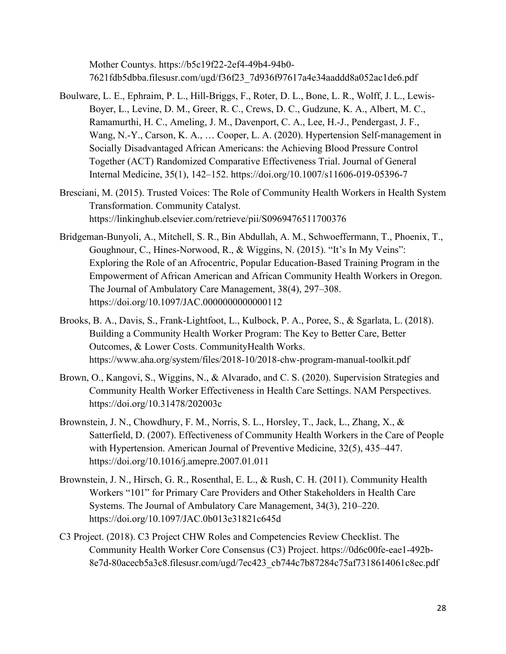Mother Countys. https://b5c19f22-2ef4-49b4-94b0- 7621fdb5dbba.filesusr.com/ugd/f36f23\_7d936f97617a4e34aaddd8a052ac1de6.pdf

- Boulware, L. E., Ephraim, P. L., Hill-Briggs, F., Roter, D. L., Bone, L. R., Wolff, J. L., Lewis-Boyer, L., Levine, D. M., Greer, R. C., Crews, D. C., Gudzune, K. A., Albert, M. C., Ramamurthi, H. C., Ameling, J. M., Davenport, C. A., Lee, H.-J., Pendergast, J. F., Wang, N.-Y., Carson, K. A., … Cooper, L. A. (2020). Hypertension Self-management in Socially Disadvantaged African Americans: the Achieving Blood Pressure Control Together (ACT) Randomized Comparative Effectiveness Trial. Journal of General Internal Medicine, 35(1), 142–152. https://doi.org/10.1007/s11606-019-05396-7
- Bresciani, M. (2015). Trusted Voices: The Role of Community Health Workers in Health System Transformation. Community Catalyst. https://linkinghub.elsevier.com/retrieve/pii/S0969476511700376
- Bridgeman-Bunyoli, A., Mitchell, S. R., Bin Abdullah, A. M., Schwoeffermann, T., Phoenix, T., Goughnour, C., Hines-Norwood, R., & Wiggins, N. (2015). "It's In My Veins": Exploring the Role of an Afrocentric, Popular Education-Based Training Program in the Empowerment of African American and African Community Health Workers in Oregon. The Journal of Ambulatory Care Management, 38(4), 297–308. https://doi.org/10.1097/JAC.0000000000000112
- Brooks, B. A., Davis, S., Frank-Lightfoot, L., Kulbock, P. A., Poree, S., & Sgarlata, L. (2018). Building a Community Health Worker Program: The Key to Better Care, Better Outcomes, & Lower Costs. CommunityHealth Works. http[s://ww](http://www.aha.org/system/files/2018-10/2018-chw-program-manual-toolkit.pdf)w[.aha.org/system/files/2018-10/2018-chw-program-manual-toolkit.pdf](http://www.aha.org/system/files/2018-10/2018-chw-program-manual-toolkit.pdf)
- Brown, O., Kangovi, S., Wiggins, N., & Alvarado, and C. S. (2020). Supervision Strategies and Community Health Worker Effectiveness in Health Care Settings. NAM Perspectives. https://doi.org/10.31478/202003c
- Brownstein, J. N., Chowdhury, F. M., Norris, S. L., Horsley, T., Jack, L., Zhang, X., & Satterfield, D. (2007). Effectiveness of Community Health Workers in the Care of People with Hypertension. American Journal of Preventive Medicine, 32(5), 435–447. https://doi.org/10.1016/j.amepre.2007.01.011
- Brownstein, J. N., Hirsch, G. R., Rosenthal, E. L., & Rush, C. H. (2011). Community Health Workers "101" for Primary Care Providers and Other Stakeholders in Health Care Systems. The Journal of Ambulatory Care Management, 34(3), 210–220. https://doi.org/10.1097/JAC.0b013e31821c645d
- C3 Project. (2018). C3 Project CHW Roles and Competencies Review Checklist. The Community Health Worker Core Consensus (C3) Project. https://0d6c00fe-eae1-492b-8e7d-80acecb5a3c8.filesusr.com/ugd/7ec423\_cb744c7b87284c75af7318614061c8ec.pdf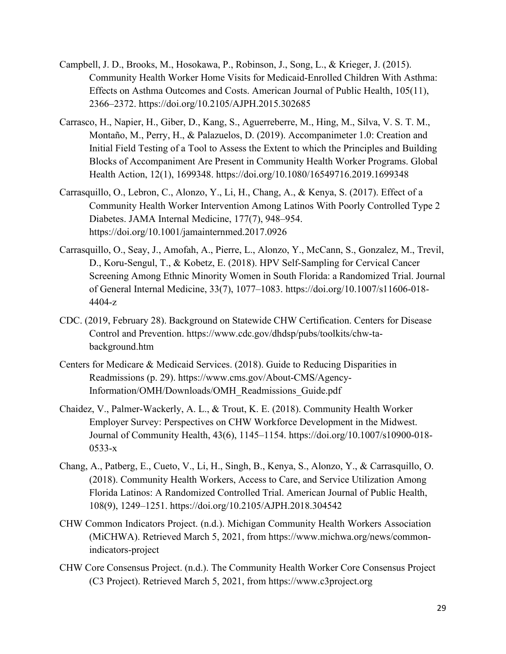- Campbell, J. D., Brooks, M., Hosokawa, P., Robinson, J., Song, L., & Krieger, J. (2015). Community Health Worker Home Visits for Medicaid-Enrolled Children With Asthma: Effects on Asthma Outcomes and Costs. American Journal of Public Health, 105(11), 2366–2372. https://doi.org/10.2105/AJPH.2015.302685
- Carrasco, H., Napier, H., Giber, D., Kang, S., Aguerreberre, M., Hing, M., Silva, V. S. T. M., Montaño, M., Perry, H., & Palazuelos, D. (2019). Accompanimeter 1.0: Creation and Initial Field Testing of a Tool to Assess the Extent to which the Principles and Building Blocks of Accompaniment Are Present in Community Health Worker Programs. Global Health Action, 12(1), 1699348. https://doi.org/10.1080/16549716.2019.1699348
- Carrasquillo, O., Lebron, C., Alonzo, Y., Li, H., Chang, A., & Kenya, S. (2017). Effect of a Community Health Worker Intervention Among Latinos With Poorly Controlled Type 2 Diabetes. JAMA Internal Medicine, 177(7), 948–954. https://doi.org/10.1001/jamainternmed.2017.0926
- Carrasquillo, O., Seay, J., Amofah, A., Pierre, L., Alonzo, Y., McCann, S., Gonzalez, M., Trevil, D., Koru-Sengul, T., & Kobetz, E. (2018). HPV Self-Sampling for Cervical Cancer Screening Among Ethnic Minority Women in South Florida: a Randomized Trial. Journal of General Internal Medicine, 33(7), 1077–1083. https://doi.org/10.1007/s11606-018- 4404-z
- CDC. (2019, February 28). Background on Statewide CHW Certification. Centers for Disease Control and Prevention. https:/[/www.cdc.gov/dhdsp/pubs/toolkits/chw-ta](http://www.cdc.gov/dhdsp/pubs/toolkits/chw-ta-)background.htm
- Centers for Medicare & Medicaid Services. (2018). Guide to Reducing Disparities in Readmissions (p. 29). https:/[/www.cms.gov/About-CMS/Agency-](http://www.cms.gov/About-CMS/Agency-)Information/OMH/Downloads/OMH\_Readmissions\_Guide.pdf
- Chaidez, V., Palmer-Wackerly, A. L., & Trout, K. E. (2018). Community Health Worker Employer Survey: Perspectives on CHW Workforce Development in the Midwest. Journal of Community Health, 43(6), 1145–1154. https://doi.org/10.1007/s10900-018- 0533-x
- Chang, A., Patberg, E., Cueto, V., Li, H., Singh, B., Kenya, S., Alonzo, Y., & Carrasquillo, O. (2018). Community Health Workers, Access to Care, and Service Utilization Among Florida Latinos: A Randomized Controlled Trial. American Journal of Public Health, 108(9), 1249–1251. https://doi.org/10.2105/AJPH.2018.304542
- CHW Common Indicators Project. (n.d.). Michigan Community Health Workers Association (MiCHWA). Retrieved March 5, 2021, from https:/[/www.michwa.org/news/common](http://www.michwa.org/news/common-)indicators-project
- CHW Core Consensus Project. (n.d.). The Community Health Worker Core Consensus Project (C3 Project). Retrieved March 5, 2021, from https:/[/www.c3project.org](http://www.c3project.org/)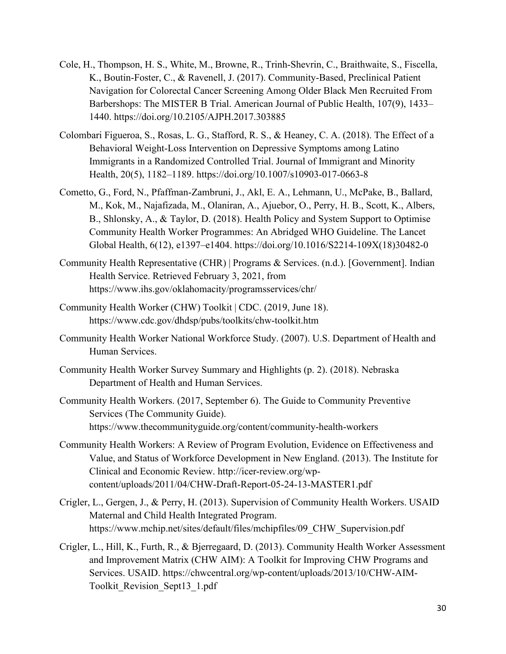- Cole, H., Thompson, H. S., White, M., Browne, R., Trinh-Shevrin, C., Braithwaite, S., Fiscella, K., Boutin-Foster, C., & Ravenell, J. (2017). Community-Based, Preclinical Patient Navigation for Colorectal Cancer Screening Among Older Black Men Recruited From Barbershops: The MISTER B Trial. American Journal of Public Health, 107(9), 1433– 1440. https://doi.org/10.2105/AJPH.2017.303885
- Colombari Figueroa, S., Rosas, L. G., Stafford, R. S., & Heaney, C. A. (2018). The Effect of a Behavioral Weight-Loss Intervention on Depressive Symptoms among Latino Immigrants in a Randomized Controlled Trial. Journal of Immigrant and Minority Health, 20(5), 1182–1189. https://doi.org/10.1007/s10903-017-0663-8
- Cometto, G., Ford, N., Pfaffman-Zambruni, J., Akl, E. A., Lehmann, U., McPake, B., Ballard, M., Kok, M., Najafizada, M., Olaniran, A., Ajuebor, O., Perry, H. B., Scott, K., Albers, B., Shlonsky, A., & Taylor, D. (2018). Health Policy and System Support to Optimise Community Health Worker Programmes: An Abridged WHO Guideline. The Lancet Global Health, 6(12), e1397–e1404. https://doi.org/10.1016/S2214-109X(18)30482-0
- Community Health Representative (CHR) | Programs & Services. (n.d.). [Government]. Indian Health Service. Retrieved February 3, 2021, from https:/[/www.ihs.gov/oklahomacity/programsservices/chr/](http://www.ihs.gov/oklahomacity/programsservices/chr/)
- Community Health Worker (CHW) Toolkit | CDC. (2019, June 18). https:/[/www.cdc.gov/dhdsp/pubs/toolkits/chw-toolkit.htm](http://www.cdc.gov/dhdsp/pubs/toolkits/chw-toolkit.htm)
- Community Health Worker National Workforce Study. (2007). U.S. Department of Health and Human Services.
- Community Health Worker Survey Summary and Highlights (p. 2). (2018). Nebraska Department of Health and Human Services.
- Community Health Workers. (2017, September 6). The Guide to Community Preventive Services (The Community Guide). https:/[/www.thecommunityguide.org/content/community-health-workers](http://www.thecommunityguide.org/content/community-health-workers)
- Community Health Workers: A Review of Program Evolution, Evidence on Effectiveness and Value, and Status of Workforce Development in New England. (2013). The Institute for Clinical and Economic Review. [http://icer-review.org/wp](http://icer-review.org/wp-)content/uploads/2011/04/CHW-Draft-Report-05-24-13-MASTER1.pdf
- Crigler, L., Gergen, J., & Perry, H. (2013). Supervision of Community Health Workers. USAID Maternal and Child Health Integrated Program. http[s://ww](http://www.mchip.net/sites/default/files/mchipfiles/09_CHW_Supervision.pdf)w[.mchip.net/sites/default/files/mchipfiles/09\\_CHW\\_Supervision.pdf](http://www.mchip.net/sites/default/files/mchipfiles/09_CHW_Supervision.pdf)
- Crigler, L., Hill, K., Furth, R., & Bjerregaard, D. (2013). Community Health Worker Assessment and Improvement Matrix (CHW AIM): A Toolkit for Improving CHW Programs and Services. USAID. https://chwcentral.org/wp-content/uploads/2013/10/CHW-AIM-Toolkit\_Revision\_Sept13\_1.pdf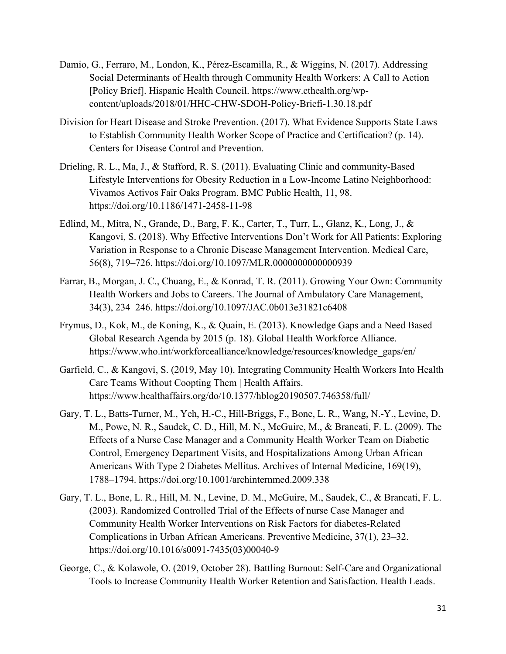- Damio, G., Ferraro, M., London, K., Pérez-Escamilla, R., & Wiggins, N. (2017). Addressing Social Determinants of Health through Community Health Workers: A Call to Action [Policy Brief]. Hispanic Health Council. http[s://ww](http://www.cthealth.org/wp-)w[.cthealth.org/wp](http://www.cthealth.org/wp-)content/uploads/2018/01/HHC-CHW-SDOH-Policy-Briefi-1.30.18.pdf
- Division for Heart Disease and Stroke Prevention. (2017). What Evidence Supports State Laws to Establish Community Health Worker Scope of Practice and Certification? (p. 14). Centers for Disease Control and Prevention.
- Drieling, R. L., Ma, J., & Stafford, R. S. (2011). Evaluating Clinic and community-Based Lifestyle Interventions for Obesity Reduction in a Low-Income Latino Neighborhood: Vivamos Activos Fair Oaks Program. BMC Public Health, 11, 98. https://doi.org/10.1186/1471-2458-11-98
- Edlind, M., Mitra, N., Grande, D., Barg, F. K., Carter, T., Turr, L., Glanz, K., Long, J., & Kangovi, S. (2018). Why Effective Interventions Don't Work for All Patients: Exploring Variation in Response to a Chronic Disease Management Intervention. Medical Care, 56(8), 719–726. https://doi.org/10.1097/MLR.0000000000000939
- Farrar, B., Morgan, J. C., Chuang, E., & Konrad, T. R. (2011). Growing Your Own: Community Health Workers and Jobs to Careers. The Journal of Ambulatory Care Management, 34(3), 234–246. https://doi.org/10.1097/JAC.0b013e31821c6408
- Frymus, D., Kok, M., de Koning, K., & Quain, E. (2013). Knowledge Gaps and a Need Based Global Research Agenda by 2015 (p. 18). Global Health Workforce Alliance. https:/[/www.who.int/workforcealliance/knowledge/resources/knowledge\\_gaps/en/](http://www.who.int/workforcealliance/knowledge/resources/knowledge_gaps/en/)
- Garfield, C., & Kangovi, S. (2019, May 10). Integrating Community Health Workers Into Health Care Teams Without Coopting Them | Health Affairs. http[s://ww](http://www.healthaffairs.org/do/10.1377/hblog20190507.746358/full/)w[.healthaffairs.org/do/10.1377/hblog20190507.746358/full/](http://www.healthaffairs.org/do/10.1377/hblog20190507.746358/full/)
- Gary, T. L., Batts-Turner, M., Yeh, H.-C., Hill-Briggs, F., Bone, L. R., Wang, N.-Y., Levine, D. M., Powe, N. R., Saudek, C. D., Hill, M. N., McGuire, M., & Brancati, F. L. (2009). The Effects of a Nurse Case Manager and a Community Health Worker Team on Diabetic Control, Emergency Department Visits, and Hospitalizations Among Urban African Americans With Type 2 Diabetes Mellitus. Archives of Internal Medicine, 169(19), 1788–1794. https://doi.org/10.1001/archinternmed.2009.338
- Gary, T. L., Bone, L. R., Hill, M. N., Levine, D. M., McGuire, M., Saudek, C., & Brancati, F. L. (2003). Randomized Controlled Trial of the Effects of nurse Case Manager and Community Health Worker Interventions on Risk Factors for diabetes-Related Complications in Urban African Americans. Preventive Medicine, 37(1), 23–32. https://doi.org/10.1016/s0091-7435(03)00040-9
- George, C., & Kolawole, O. (2019, October 28). Battling Burnout: Self-Care and Organizational Tools to Increase Community Health Worker Retention and Satisfaction. Health Leads.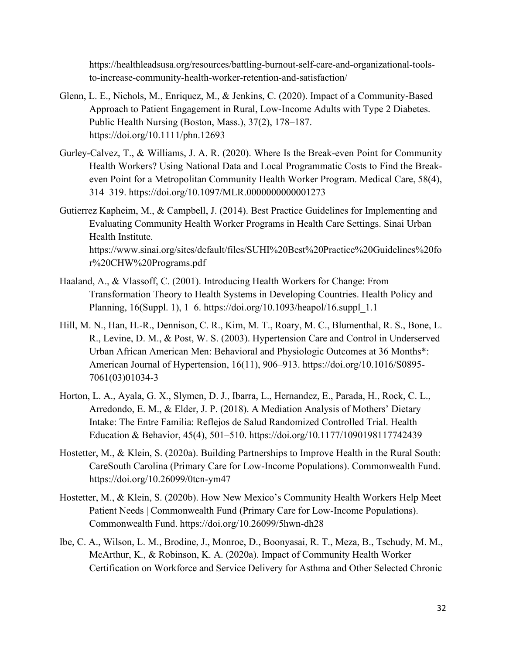https://healthleadsusa.org/resources/battling-burnout-self-care-and-organizational-toolsto-increase-community-health-worker-retention-and-satisfaction/

- Glenn, L. E., Nichols, M., Enriquez, M., & Jenkins, C. (2020). Impact of a Community-Based Approach to Patient Engagement in Rural, Low-Income Adults with Type 2 Diabetes. Public Health Nursing (Boston, Mass.), 37(2), 178–187. https://doi.org/10.1111/phn.12693
- Gurley-Calvez, T., & Williams, J. A. R. (2020). Where Is the Break-even Point for Community Health Workers? Using National Data and Local Programmatic Costs to Find the Breakeven Point for a Metropolitan Community Health Worker Program. Medical Care, 58(4), 314–319. https://doi.org/10.1097/MLR.0000000000001273
- Gutierrez Kapheim, M., & Campbell, J. (2014). Best Practice Guidelines for Implementing and Evaluating Community Health Worker Programs in Health Care Settings. Sinai Urban Health Institute. http[s://ww](http://www.sinai.org/sites/default/files/SUHI%20Best%20Practice%20Guidelines%20fo)w[.sinai.org/sites/default/files/SUHI%20Best%20Practice%20Guidelines%20fo](http://www.sinai.org/sites/default/files/SUHI%20Best%20Practice%20Guidelines%20fo) r%20CHW%20Programs.pdf
- Haaland, A., & Vlassoff, C. (2001). Introducing Health Workers for Change: From Transformation Theory to Health Systems in Developing Countries. Health Policy and Planning, 16(Suppl. 1), 1–6. https://doi.org/10.1093/heapol/16.suppl\_1.1
- Hill, M. N., Han, H.-R., Dennison, C. R., Kim, M. T., Roary, M. C., Blumenthal, R. S., Bone, L. R., Levine, D. M., & Post, W. S. (2003). Hypertension Care and Control in Underserved Urban African American Men: Behavioral and Physiologic Outcomes at 36 Months\*: American Journal of Hypertension, 16(11), 906–913. https://doi.org/10.1016/S0895- 7061(03)01034-3
- Horton, L. A., Ayala, G. X., Slymen, D. J., Ibarra, L., Hernandez, E., Parada, H., Rock, C. L., Arredondo, E. M., & Elder, J. P. (2018). A Mediation Analysis of Mothers' Dietary Intake: The Entre Familia: Reflejos de Salud Randomized Controlled Trial. Health Education & Behavior, 45(4), 501–510. https://doi.org/10.1177/1090198117742439
- Hostetter, M., & Klein, S. (2020a). Building Partnerships to Improve Health in the Rural South: CareSouth Carolina (Primary Care for Low-Income Populations). Commonwealth Fund. https://doi.org/10.26099/0tcn-ym47
- Hostetter, M., & Klein, S. (2020b). How New Mexico's Community Health Workers Help Meet Patient Needs | Commonwealth Fund (Primary Care for Low-Income Populations). Commonwealth Fund. https://doi.org/10.26099/5hwn-dh28
- Ibe, C. A., Wilson, L. M., Brodine, J., Monroe, D., Boonyasai, R. T., Meza, B., Tschudy, M. M., McArthur, K., & Robinson, K. A. (2020a). Impact of Community Health Worker Certification on Workforce and Service Delivery for Asthma and Other Selected Chronic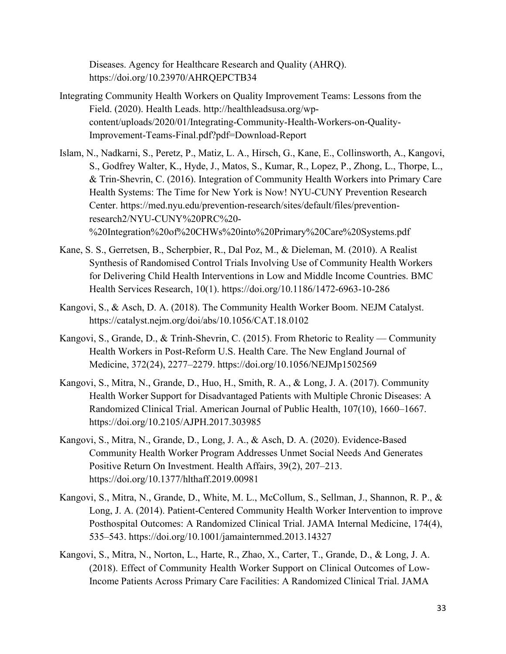Diseases. Agency for Healthcare Research and Quality (AHRQ). https://doi.org/10.23970/AHRQEPCTB34

- Integrating Community Health Workers on Quality Improvement Teams: Lessons from the Field. (2020). Health Leads. [http://healthleadsusa.org/wp](http://healthleadsusa.org/wp-)content/uploads/2020/01/Integrating-Community-Health-Workers-on-Quality-Improvement-Teams-Final.pdf?pdf=Download-Report
- Islam, N., Nadkarni, S., Peretz, P., Matiz, L. A., Hirsch, G., Kane, E., Collinsworth, A., Kangovi, S., Godfrey Walter, K., Hyde, J., Matos, S., Kumar, R., Lopez, P., Zhong, L., Thorpe, L., & Trin-Shevrin, C. (2016). Integration of Community Health Workers into Primary Care Health Systems: The Time for New York is Now! NYU-CUNY Prevention Research Center. https://med.nyu.edu/prevention-research/sites/default/files/preventionresearch2/NYU-CUNY%20PRC%20- %20Integration%20of%20CHWs%20into%20Primary%20Care%20Systems.pdf
- Kane, S. S., Gerretsen, B., Scherpbier, R., Dal Poz, M., & Dieleman, M. (2010). A Realist Synthesis of Randomised Control Trials Involving Use of Community Health Workers for Delivering Child Health Interventions in Low and Middle Income Countries. BMC Health Services Research, 10(1). https://doi.org/10.1186/1472-6963-10-286
- Kangovi, S., & Asch, D. A. (2018). The Community Health Worker Boom. NEJM Catalyst. https://catalyst.nejm.org/doi/abs/10.1056/CAT.18.0102
- Kangovi, S., Grande, D., & Trinh-Shevrin, C. (2015). From Rhetoric to Reality Community Health Workers in Post-Reform U.S. Health Care. The New England Journal of Medicine, 372(24), 2277–2279. https://doi.org/10.1056/NEJMp1502569
- Kangovi, S., Mitra, N., Grande, D., Huo, H., Smith, R. A., & Long, J. A. (2017). Community Health Worker Support for Disadvantaged Patients with Multiple Chronic Diseases: A Randomized Clinical Trial. American Journal of Public Health, 107(10), 1660–1667. https://doi.org/10.2105/AJPH.2017.303985
- Kangovi, S., Mitra, N., Grande, D., Long, J. A., & Asch, D. A. (2020). Evidence-Based Community Health Worker Program Addresses Unmet Social Needs And Generates Positive Return On Investment. Health Affairs, 39(2), 207–213. https://doi.org/10.1377/hlthaff.2019.00981
- Kangovi, S., Mitra, N., Grande, D., White, M. L., McCollum, S., Sellman, J., Shannon, R. P., & Long, J. A. (2014). Patient-Centered Community Health Worker Intervention to improve Posthospital Outcomes: A Randomized Clinical Trial. JAMA Internal Medicine, 174(4), 535–543. https://doi.org/10.1001/jamainternmed.2013.14327
- Kangovi, S., Mitra, N., Norton, L., Harte, R., Zhao, X., Carter, T., Grande, D., & Long, J. A. (2018). Effect of Community Health Worker Support on Clinical Outcomes of Low-Income Patients Across Primary Care Facilities: A Randomized Clinical Trial. JAMA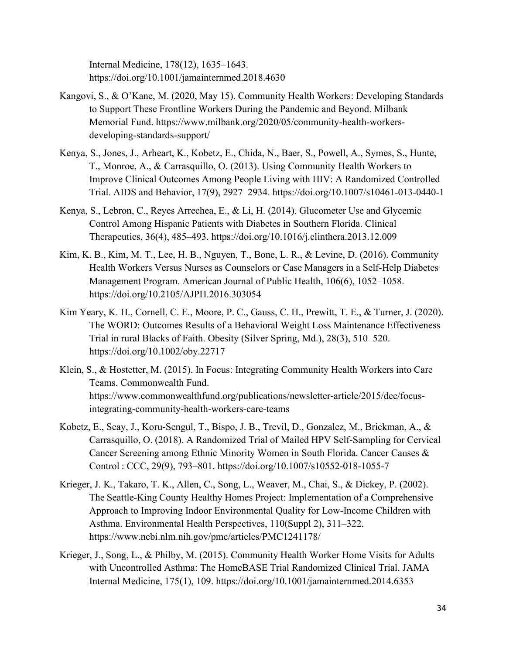Internal Medicine, 178(12), 1635–1643. https://doi.org/10.1001/jamainternmed.2018.4630

- Kangovi, S., & O'Kane, M. (2020, May 15). Community Health Workers: Developing Standards to Support These Frontline Workers During the Pandemic and Beyond. Milbank Memorial Fund. http[s://www.milbank.org/2020/05/community-health-workers](http://www.milbank.org/2020/05/community-health-workers-)developing-standards-support/
- Kenya, S., Jones, J., Arheart, K., Kobetz, E., Chida, N., Baer, S., Powell, A., Symes, S., Hunte, T., Monroe, A., & Carrasquillo, O. (2013). Using Community Health Workers to Improve Clinical Outcomes Among People Living with HIV: A Randomized Controlled Trial. AIDS and Behavior, 17(9), 2927–2934. https://doi.org/10.1007/s10461-013-0440-1
- Kenya, S., Lebron, C., Reyes Arrechea, E., & Li, H. (2014). Glucometer Use and Glycemic Control Among Hispanic Patients with Diabetes in Southern Florida. Clinical Therapeutics, 36(4), 485–493. https://doi.org/10.1016/j.clinthera.2013.12.009
- Kim, K. B., Kim, M. T., Lee, H. B., Nguyen, T., Bone, L. R., & Levine, D. (2016). Community Health Workers Versus Nurses as Counselors or Case Managers in a Self-Help Diabetes Management Program. American Journal of Public Health, 106(6), 1052–1058. https://doi.org/10.2105/AJPH.2016.303054
- Kim Yeary, K. H., Cornell, C. E., Moore, P. C., Gauss, C. H., Prewitt, T. E., & Turner, J. (2020). The WORD: Outcomes Results of a Behavioral Weight Loss Maintenance Effectiveness Trial in rural Blacks of Faith. Obesity (Silver Spring, Md.), 28(3), 510–520. https://doi.org/10.1002/oby.22717
- Klein, S., & Hostetter, M. (2015). In Focus: Integrating Community Health Workers into Care Teams. Commonwealth Fund. https:/[/www.commonwealthfund.org/publications/newsletter-article/2015/dec/focus](http://www.commonwealthfund.org/publications/newsletter-article/2015/dec/focus-)integrating-community-health-workers-care-teams
- Kobetz, E., Seay, J., Koru-Sengul, T., Bispo, J. B., Trevil, D., Gonzalez, M., Brickman, A., & Carrasquillo, O. (2018). A Randomized Trial of Mailed HPV Self-Sampling for Cervical Cancer Screening among Ethnic Minority Women in South Florida. Cancer Causes & Control : CCC, 29(9), 793–801. https://doi.org/10.1007/s10552-018-1055-7
- Krieger, J. K., Takaro, T. K., Allen, C., Song, L., Weaver, M., Chai, S., & Dickey, P. (2002). The Seattle-King County Healthy Homes Project: Implementation of a Comprehensive Approach to Improving Indoor Environmental Quality for Low-Income Children with Asthma. Environmental Health Perspectives, 110(Suppl 2), 311–322. https:/[/www.ncbi.nlm.nih.gov/pmc/articles/PMC1241178/](http://www.ncbi.nlm.nih.gov/pmc/articles/PMC1241178/)
- Krieger, J., Song, L., & Philby, M. (2015). Community Health Worker Home Visits for Adults with Uncontrolled Asthma: The HomeBASE Trial Randomized Clinical Trial. JAMA Internal Medicine, 175(1), 109. https://doi.org/10.1001/jamainternmed.2014.6353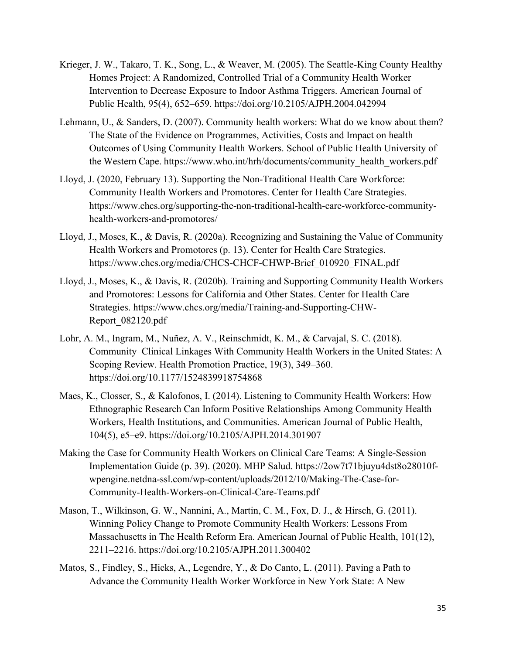- Krieger, J. W., Takaro, T. K., Song, L., & Weaver, M. (2005). The Seattle-King County Healthy Homes Project: A Randomized, Controlled Trial of a Community Health Worker Intervention to Decrease Exposure to Indoor Asthma Triggers. American Journal of Public Health, 95(4), 652–659. https://doi.org/10.2105/AJPH.2004.042994
- Lehmann, U., & Sanders, D. (2007). Community health workers: What do we know about them? The State of the Evidence on Programmes, Activities, Costs and Impact on health Outcomes of Using Community Health Workers. School of Public Health University of the Western Cape. https:/[/www.who.int/hrh/documents/community\\_health\\_workers.pdf](http://www.who.int/hrh/documents/community_health_workers.pdf)
- Lloyd, J. (2020, February 13). Supporting the Non-Traditional Health Care Workforce: Community Health Workers and Promotores. Center for Health Care Strategies. https:/[/www.chcs.org/supporting-the-non-traditional-health-care-workforce-community](http://www.chcs.org/supporting-the-non-traditional-health-care-workforce-community-)health-workers-and-promotores/
- Lloyd, J., Moses, K., & Davis, R. (2020a). Recognizing and Sustaining the Value of Community Health Workers and Promotores (p. 13). Center for Health Care Strategies. http[s://ww](http://www.chcs.org/media/CHCS-CHCF-CHWP-Brief_010920_FINAL.pdf)w[.chcs.org/media/CHCS-CHCF-CHWP-Brief\\_010920\\_FINAL.pdf](http://www.chcs.org/media/CHCS-CHCF-CHWP-Brief_010920_FINAL.pdf)
- Lloyd, J., Moses, K., & Davis, R. (2020b). Training and Supporting Community Health Workers and Promotores: Lessons for California and Other States. Center for Health Care Strategies. http[s://ww](http://www.chcs.org/media/Training-and-Supporting-CHW-)w[.chcs.org/media/Training-and-Supporting-CHW-](http://www.chcs.org/media/Training-and-Supporting-CHW-)Report\_082120.pdf
- Lohr, A. M., Ingram, M., Nuñez, A. V., Reinschmidt, K. M., & Carvajal, S. C. (2018). Community–Clinical Linkages With Community Health Workers in the United States: A Scoping Review. Health Promotion Practice, 19(3), 349–360. https://doi.org/10.1177/1524839918754868
- Maes, K., Closser, S., & Kalofonos, I. (2014). Listening to Community Health Workers: How Ethnographic Research Can Inform Positive Relationships Among Community Health Workers, Health Institutions, and Communities. American Journal of Public Health, 104(5), e5–e9. https://doi.org/10.2105/AJPH.2014.301907
- Making the Case for Community Health Workers on Clinical Care Teams: A Single-Session Implementation Guide (p. 39). (2020). MHP Salud. https://2ow7t71bjuyu4dst8o28010fwpengine.netdna-ssl.com/wp-content/uploads/2012/10/Making-The-Case-for-Community-Health-Workers-on-Clinical-Care-Teams.pdf
- Mason, T., Wilkinson, G. W., Nannini, A., Martin, C. M., Fox, D. J., & Hirsch, G. (2011). Winning Policy Change to Promote Community Health Workers: Lessons From Massachusetts in The Health Reform Era. American Journal of Public Health, 101(12), 2211–2216. https://doi.org/10.2105/AJPH.2011.300402
- Matos, S., Findley, S., Hicks, A., Legendre, Y., & Do Canto, L. (2011). Paving a Path to Advance the Community Health Worker Workforce in New York State: A New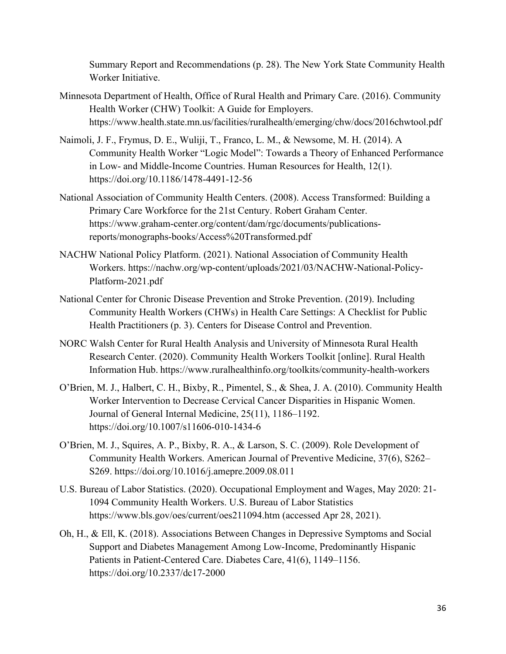Summary Report and Recommendations (p. 28). The New York State Community Health Worker Initiative.

- Minnesota Department of Health, Office of Rural Health and Primary Care. (2016). Community Health Worker (CHW) Toolkit: A Guide for Employers. https:/[/www.health.state.mn.us/facilities/ruralhealth/emerging/chw/docs/2016chwtool.pdf](http://www.health.state.mn.us/facilities/ruralhealth/emerging/chw/docs/2016chwtool.pdf)
- Naimoli, J. F., Frymus, D. E., Wuliji, T., Franco, L. M., & Newsome, M. H. (2014). A Community Health Worker "Logic Model": Towards a Theory of Enhanced Performance in Low- and Middle-Income Countries. Human Resources for Health, 12(1). https://doi.org/10.1186/1478-4491-12-56
- National Association of Community Health Centers. (2008). Access Transformed: Building a Primary Care Workforce for the 21st Century. Robert Graham Center. https:/[/www.graham-center.org/content/dam/rgc/documents/publications](http://www.graham-center.org/content/dam/rgc/documents/publications-)reports/monographs-books/Access%20Transformed.pdf
- NACHW National Policy Platform. (2021). National Association of Community Health Workers. https://nachw.org/wp-content/uploads/2021/03/NACHW-National-Policy-Platform-2021.pdf
- National Center for Chronic Disease Prevention and Stroke Prevention. (2019). Including Community Health Workers (CHWs) in Health Care Settings: A Checklist for Public Health Practitioners (p. 3). Centers for Disease Control and Prevention.
- NORC Walsh Center for Rural Health Analysis and University of Minnesota Rural Health Research Center. (2020). Community Health Workers Toolkit [online]. Rural Health Information Hub. https:/[/www.ruralhealthinfo.org/toolkits/community-health-workers](http://www.ruralhealthinfo.org/toolkits/community-health-workers)
- O'Brien, M. J., Halbert, C. H., Bixby, R., Pimentel, S., & Shea, J. A. (2010). Community Health Worker Intervention to Decrease Cervical Cancer Disparities in Hispanic Women. Journal of General Internal Medicine, 25(11), 1186–1192. https://doi.org/10.1007/s11606-010-1434-6
- O'Brien, M. J., Squires, A. P., Bixby, R. A., & Larson, S. C. (2009). Role Development of Community Health Workers. American Journal of Preventive Medicine, 37(6), S262– S269. https://doi.org/10.1016/j.amepre.2009.08.011
- U.S. Bureau of Labor Statistics. (2020). Occupational Employment and Wages, May 2020: 21- 1094 Community Health Workers. U.S. Bureau of Labor Statistics https:/[/www.bls.gov/oes/current/oes211094.htm](http://www.bls.gov/oes/current/oes211094.htm) (accessed Apr 28, 2021).
- Oh, H., & Ell, K. (2018). Associations Between Changes in Depressive Symptoms and Social Support and Diabetes Management Among Low-Income, Predominantly Hispanic Patients in Patient-Centered Care. Diabetes Care, 41(6), 1149–1156. https://doi.org/10.2337/dc17-2000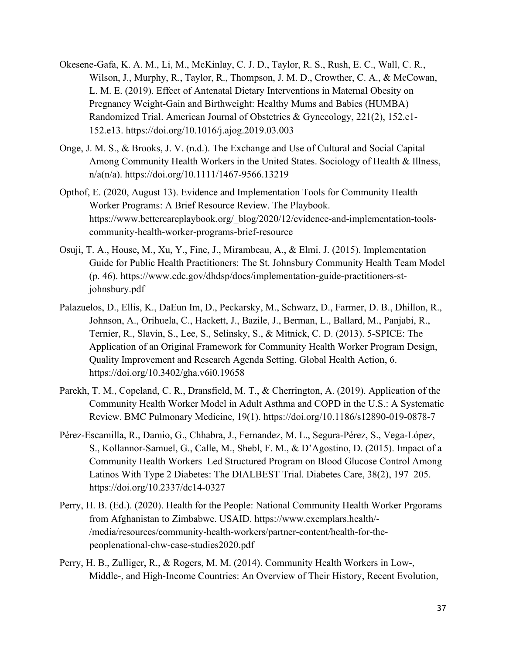- Okesene-Gafa, K. A. M., Li, M., McKinlay, C. J. D., Taylor, R. S., Rush, E. C., Wall, C. R., Wilson, J., Murphy, R., Taylor, R., Thompson, J. M. D., Crowther, C. A., & McCowan, L. M. E. (2019). Effect of Antenatal Dietary Interventions in Maternal Obesity on Pregnancy Weight-Gain and Birthweight: Healthy Mums and Babies (HUMBA) Randomized Trial. American Journal of Obstetrics & Gynecology, 221(2), 152.e1- 152.e13. https://doi.org/10.1016/j.ajog.2019.03.003
- Onge, J. M. S., & Brooks, J. V. (n.d.). The Exchange and Use of Cultural and Social Capital Among Community Health Workers in the United States. Sociology of Health & Illness, n/a(n/a). https://doi.org/10.1111/1467-9566.13219
- Opthof, E. (2020, August 13). Evidence and Implementation Tools for Community Health Worker Programs: A Brief Resource Review. The Playbook. https:/[/www.bettercareplaybook.org/\\_blog/2020/12/evidence-and-implementation-tools](http://www.bettercareplaybook.org/_blog/2020/12/evidence-and-implementation-tools-)community-health-worker-programs-brief-resource
- Osuji, T. A., House, M., Xu, Y., Fine, J., Mirambeau, A., & Elmi, J. (2015). Implementation Guide for Public Health Practitioners: The St. Johnsbury Community Health Team Model (p. 46). https:/[/www.cdc.gov/dhdsp/docs/implementation-guide-practitioners-st](http://www.cdc.gov/dhdsp/docs/implementation-guide-practitioners-st-)johnsbury.pdf
- Palazuelos, D., Ellis, K., DaEun Im, D., Peckarsky, M., Schwarz, D., Farmer, D. B., Dhillon, R., Johnson, A., Orihuela, C., Hackett, J., Bazile, J., Berman, L., Ballard, M., Panjabi, R., Ternier, R., Slavin, S., Lee, S., Selinsky, S., & Mitnick, C. D. (2013). 5-SPICE: The Application of an Original Framework for Community Health Worker Program Design, Quality Improvement and Research Agenda Setting. Global Health Action, 6. https://doi.org/10.3402/gha.v6i0.19658
- Parekh, T. M., Copeland, C. R., Dransfield, M. T., & Cherrington, A. (2019). Application of the Community Health Worker Model in Adult Asthma and COPD in the U.S.: A Systematic Review. BMC Pulmonary Medicine, 19(1). https://doi.org/10.1186/s12890-019-0878-7
- Pérez-Escamilla, R., Damio, G., Chhabra, J., Fernandez, M. L., Segura-Pérez, S., Vega-López, S., Kollannor-Samuel, G., Calle, M., Shebl, F. M., & D'Agostino, D. (2015). Impact of a Community Health Workers–Led Structured Program on Blood Glucose Control Among Latinos With Type 2 Diabetes: The DIALBEST Trial. Diabetes Care, 38(2), 197–205. https://doi.org/10.2337/dc14-0327
- Perry, H. B. (Ed.). (2020). Health for the People: National Community Health Worker Prgorams from Afghanistan to Zimbabwe. USAID. https:/[/www.exemplars.health/-](http://www.exemplars.health/-) /media/resources/community-health-workers/partner-content/health-for-thepeoplenational-chw-case-studies2020.pdf
- Perry, H. B., Zulliger, R., & Rogers, M. M. (2014). Community Health Workers in Low-, Middle-, and High-Income Countries: An Overview of Their History, Recent Evolution,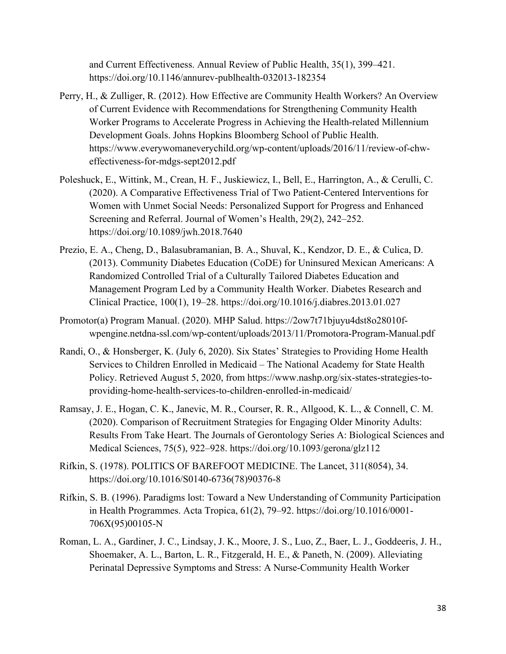and Current Effectiveness. Annual Review of Public Health, 35(1), 399–421. https://doi.org/10.1146/annurev-publhealth-032013-182354

- Perry, H., & Zulliger, R. (2012). How Effective are Community Health Workers? An Overview of Current Evidence with Recommendations for Strengthening Community Health Worker Programs to Accelerate Progress in Achieving the Health-related Millennium Development Goals. Johns Hopkins Bloomberg School of Public Health. https:/[/www.everywomaneverychild.org/wp-content/uploads/2016/11/review-of-chw](http://www.everywomaneverychild.org/wp-content/uploads/2016/11/review-of-chw-)effectiveness-for-mdgs-sept2012.pdf
- Poleshuck, E., Wittink, M., Crean, H. F., Juskiewicz, I., Bell, E., Harrington, A., & Cerulli, C. (2020). A Comparative Effectiveness Trial of Two Patient-Centered Interventions for Women with Unmet Social Needs: Personalized Support for Progress and Enhanced Screening and Referral. Journal of Women's Health, 29(2), 242–252. https://doi.org/10.1089/jwh.2018.7640
- Prezio, E. A., Cheng, D., Balasubramanian, B. A., Shuval, K., Kendzor, D. E., & Culica, D. (2013). Community Diabetes Education (CoDE) for Uninsured Mexican Americans: A Randomized Controlled Trial of a Culturally Tailored Diabetes Education and Management Program Led by a Community Health Worker. Diabetes Research and Clinical Practice, 100(1), 19–28. https://doi.org/10.1016/j.diabres.2013.01.027
- Promotor(a) Program Manual. (2020). MHP Salud. https://2ow7t71bjuyu4dst8o28010fwpengine.netdna-ssl.com/wp-content/uploads/2013/11/Promotora-Program-Manual.pdf
- Randi, O., & Honsberger, K. (July 6, 2020). Six States' Strategies to Providing Home Health Services to Children Enrolled in Medicaid – The National Academy for State Health Policy. Retrieved August 5, 2020, from https:/[/www.nashp.org/six-states-strategies-to](http://www.nashp.org/six-states-strategies-to-)providing-home-health-services-to-children-enrolled-in-medicaid/
- Ramsay, J. E., Hogan, C. K., Janevic, M. R., Courser, R. R., Allgood, K. L., & Connell, C. M. (2020). Comparison of Recruitment Strategies for Engaging Older Minority Adults: Results From Take Heart. The Journals of Gerontology Series A: Biological Sciences and Medical Sciences, 75(5), 922–928. https://doi.org/10.1093/gerona/glz112
- Rifkin, S. (1978). POLITICS OF BAREFOOT MEDICINE. The Lancet, 311(8054), 34. https://doi.org/10.1016/S0140-6736(78)90376-8
- Rifkin, S. B. (1996). Paradigms lost: Toward a New Understanding of Community Participation in Health Programmes. Acta Tropica, 61(2), 79–92. https://doi.org/10.1016/0001- 706X(95)00105-N
- Roman, L. A., Gardiner, J. C., Lindsay, J. K., Moore, J. S., Luo, Z., Baer, L. J., Goddeeris, J. H., Shoemaker, A. L., Barton, L. R., Fitzgerald, H. E., & Paneth, N. (2009). Alleviating Perinatal Depressive Symptoms and Stress: A Nurse-Community Health Worker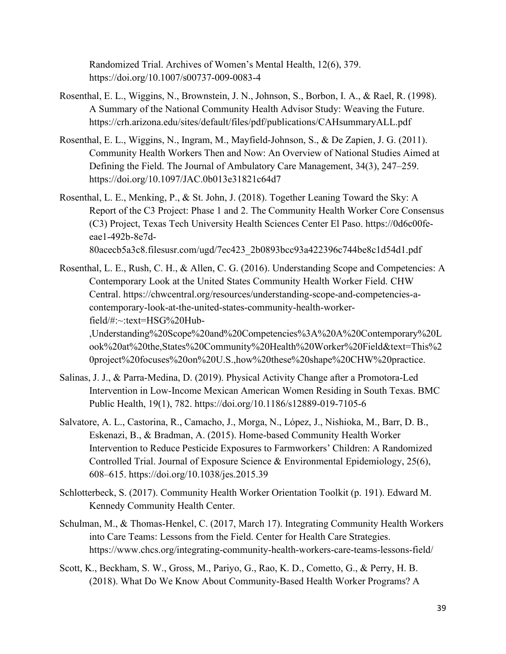Randomized Trial. Archives of Women's Mental Health, 12(6), 379. https://doi.org/10.1007/s00737-009-0083-4

- Rosenthal, E. L., Wiggins, N., Brownstein, J. N., Johnson, S., Borbon, I. A., & Rael, R. (1998). A Summary of the National Community Health Advisor Study: Weaving the Future. https://crh.arizona.edu/sites/default/files/pdf/publications/CAHsummaryALL.pdf
- Rosenthal, E. L., Wiggins, N., Ingram, M., Mayfield-Johnson, S., & De Zapien, J. G. (2011). Community Health Workers Then and Now: An Overview of National Studies Aimed at Defining the Field. The Journal of Ambulatory Care Management, 34(3), 247–259. https://doi.org/10.1097/JAC.0b013e31821c64d7
- Rosenthal, L. E., Menking, P., & St. John, J. (2018). Together Leaning Toward the Sky: A Report of the C3 Project: Phase 1 and 2. The Community Health Worker Core Consensus (C3) Project, Texas Tech University Health Sciences Center El Paso. https://0d6c00feeae1-492b-8e7d-80acecb5a3c8.filesusr.com/ugd/7ec423\_2b0893bcc93a422396c744be8c1d54d1.pdf
- Rosenthal, L. E., Rush, C. H., & Allen, C. G. (2016). Understanding Scope and Competencies: A Contemporary Look at the United States Community Health Worker Field. CHW Central. https://chwcentral.org/resources/understanding-scope-and-competencies-acontemporary-look-at-the-united-states-community-health-workerfield/#:~:text=HSG%20Hub-

,Understanding%20Scope%20and%20Competencies%3A%20A%20Contemporary%20L ook%20at%20the,States%20Community%20Health%20Worker%20Field&text=This%2 0project%20focuses%20on%20U.S.,how%20these%20shape%20CHW%20practice.

- Salinas, J. J., & Parra-Medina, D. (2019). Physical Activity Change after a Promotora-Led Intervention in Low-Income Mexican American Women Residing in South Texas. BMC Public Health, 19(1), 782. https://doi.org/10.1186/s12889-019-7105-6
- Salvatore, A. L., Castorina, R., Camacho, J., Morga, N., López, J., Nishioka, M., Barr, D. B., Eskenazi, B., & Bradman, A. (2015). Home-based Community Health Worker Intervention to Reduce Pesticide Exposures to Farmworkers' Children: A Randomized Controlled Trial. Journal of Exposure Science & Environmental Epidemiology, 25(6), 608–615. https://doi.org/10.1038/jes.2015.39
- Schlotterbeck, S. (2017). Community Health Worker Orientation Toolkit (p. 191). Edward M. Kennedy Community Health Center.
- Schulman, M., & Thomas-Henkel, C. (2017, March 17). Integrating Community Health Workers into Care Teams: Lessons from the Field. Center for Health Care Strategies. https:/[/www.chcs.org/integrating-community-health-workers-care-teams-lessons-field/](http://www.chcs.org/integrating-community-health-workers-care-teams-lessons-field/)
- Scott, K., Beckham, S. W., Gross, M., Pariyo, G., Rao, K. D., Cometto, G., & Perry, H. B. (2018). What Do We Know About Community-Based Health Worker Programs? A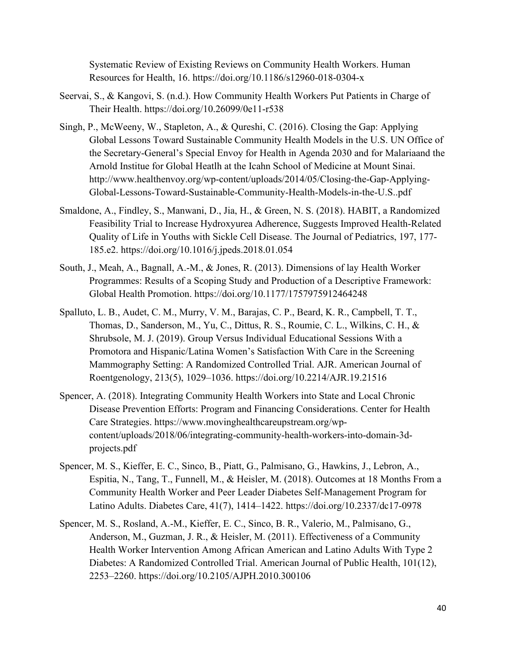Systematic Review of Existing Reviews on Community Health Workers. Human Resources for Health, 16. https://doi.org/10.1186/s12960-018-0304-x

- Seervai, S., & Kangovi, S. (n.d.). How Community Health Workers Put Patients in Charge of Their Health. https://doi.org/10.26099/0e11-r538
- Singh, P., McWeeny, W., Stapleton, A., & Qureshi, C. (2016). Closing the Gap: Applying Global Lessons Toward Sustainable Community Health Models in the U.S. UN Office of the Secretary-General's Special Envoy for Health in Agenda 2030 and for Malariaand the Arnold Institue for Global Heatlh at the Icahn School of Medicine at Mount Sinai. <http://www.healthenvoy.org/wp-content/uploads/2014/05/Closing-the-Gap-Applying->Global-Lessons-Toward-Sustainable-Community-Health-Models-in-the-U.S..pdf
- Smaldone, A., Findley, S., Manwani, D., Jia, H., & Green, N. S. (2018). HABIT, a Randomized Feasibility Trial to Increase Hydroxyurea Adherence, Suggests Improved Health-Related Quality of Life in Youths with Sickle Cell Disease. The Journal of Pediatrics, 197, 177- 185.e2. https://doi.org/10.1016/j.jpeds.2018.01.054
- South, J., Meah, A., Bagnall, A.-M., & Jones, R. (2013). Dimensions of lay Health Worker Programmes: Results of a Scoping Study and Production of a Descriptive Framework: Global Health Promotion. https://doi.org/10.1177/1757975912464248
- Spalluto, L. B., Audet, C. M., Murry, V. M., Barajas, C. P., Beard, K. R., Campbell, T. T., Thomas, D., Sanderson, M., Yu, C., Dittus, R. S., Roumie, C. L., Wilkins, C. H., & Shrubsole, M. J. (2019). Group Versus Individual Educational Sessions With a Promotora and Hispanic/Latina Women's Satisfaction With Care in the Screening Mammography Setting: A Randomized Controlled Trial. AJR. American Journal of Roentgenology, 213(5), 1029–1036. https://doi.org/10.2214/AJR.19.21516
- Spencer, A. (2018). Integrating Community Health Workers into State and Local Chronic Disease Prevention Efforts: Program and Financing Considerations. Center for Health Care Strategies. https:/[/www.movinghealthcareupstream.org/wp](http://www.movinghealthcareupstream.org/wp-)content/uploads/2018/06/integrating-community-health-workers-into-domain-3dprojects.pdf
- Spencer, M. S., Kieffer, E. C., Sinco, B., Piatt, G., Palmisano, G., Hawkins, J., Lebron, A., Espitia, N., Tang, T., Funnell, M., & Heisler, M. (2018). Outcomes at 18 Months From a Community Health Worker and Peer Leader Diabetes Self-Management Program for Latino Adults. Diabetes Care, 41(7), 1414–1422. https://doi.org/10.2337/dc17-0978
- Spencer, M. S., Rosland, A.-M., Kieffer, E. C., Sinco, B. R., Valerio, M., Palmisano, G., Anderson, M., Guzman, J. R., & Heisler, M. (2011). Effectiveness of a Community Health Worker Intervention Among African American and Latino Adults With Type 2 Diabetes: A Randomized Controlled Trial. American Journal of Public Health, 101(12), 2253–2260. https://doi.org/10.2105/AJPH.2010.300106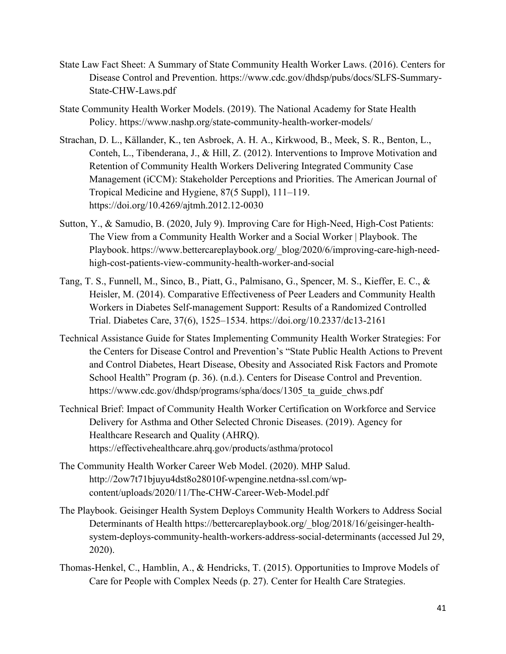- State Law Fact Sheet: A Summary of State Community Health Worker Laws. (2016). Centers for Disease Control and Prevention. https:/[/www.cdc.gov/dhdsp/pubs/docs/SLFS-Summary-](http://www.cdc.gov/dhdsp/pubs/docs/SLFS-Summary-)State-CHW-Laws.pdf
- State Community Health Worker Models. (2019). The National Academy for State Health Policy. https:/[/www.nashp.org/state-community-health-worker-models/](http://www.nashp.org/state-community-health-worker-models/)
- Strachan, D. L., Källander, K., ten Asbroek, A. H. A., Kirkwood, B., Meek, S. R., Benton, L., Conteh, L., Tibenderana, J., & Hill, Z. (2012). Interventions to Improve Motivation and Retention of Community Health Workers Delivering Integrated Community Case Management (iCCM): Stakeholder Perceptions and Priorities. The American Journal of Tropical Medicine and Hygiene, 87(5 Suppl), 111–119. https://doi.org/10.4269/ajtmh.2012.12-0030
- Sutton, Y., & Samudio, B. (2020, July 9). Improving Care for High-Need, High-Cost Patients: The View from a Community Health Worker and a Social Worker | Playbook. The Playbook. https:/[/www.bettercareplaybook.org/\\_blog/2020/6/improving-care-high-need](http://www.bettercareplaybook.org/_blog/2020/6/improving-care-high-need-)high-cost-patients-view-community-health-worker-and-social
- Tang, T. S., Funnell, M., Sinco, B., Piatt, G., Palmisano, G., Spencer, M. S., Kieffer, E. C., & Heisler, M. (2014). Comparative Effectiveness of Peer Leaders and Community Health Workers in Diabetes Self-management Support: Results of a Randomized Controlled Trial. Diabetes Care, 37(6), 1525–1534. https://doi.org/10.2337/dc13-2161
- Technical Assistance Guide for States Implementing Community Health Worker Strategies: For the Centers for Disease Control and Prevention's "State Public Health Actions to Prevent and Control Diabetes, Heart Disease, Obesity and Associated Risk Factors and Promote School Health" Program (p. 36). (n.d.). Centers for Disease Control and Prevention. https:/[/www.cdc.gov/dhdsp/programs/spha/docs/1305\\_ta\\_guide\\_chws.pdf](http://www.cdc.gov/dhdsp/programs/spha/docs/1305_ta_guide_chws.pdf)
- Technical Brief: Impact of Community Health Worker Certification on Workforce and Service Delivery for Asthma and Other Selected Chronic Diseases. (2019). Agency for Healthcare Research and Quality (AHRQ). https://effectivehealthcare.ahrq.gov/products/asthma/protocol
- The Community Health Worker Career Web Model. (2020). MHP Salud. [http://2ow7t71bjuyu4dst8o28010f-wpengine.netdna-ssl.com/wp](http://2ow7t71bjuyu4dst8o28010f-wpengine.netdna-ssl.com/wp-)content/uploads/2020/11/The-CHW-Career-Web-Model.pdf
- The Playbook. Geisinger Health System Deploys Community Health Workers to Address Social Determinants of Health https://bettercareplaybook.org/\_blog/2018/16/geisinger-healthsystem-deploys-community-health-workers-address-social-determinants (accessed Jul 29, 2020).
- Thomas-Henkel, C., Hamblin, A., & Hendricks, T. (2015). Opportunities to Improve Models of Care for People with Complex Needs (p. 27). Center for Health Care Strategies.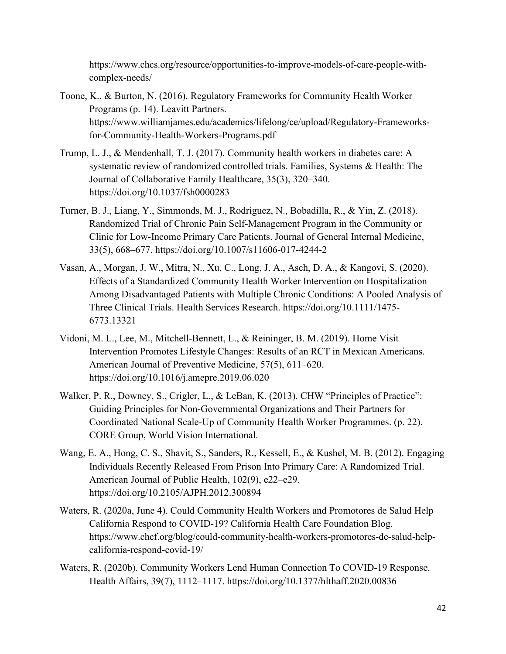https:/[/www.chcs.org/resource/opportunities-to-improve-models-of-care-people-with](http://www.chcs.org/resource/opportunities-to-improve-models-of-care-people-with-)complex-needs/

- Toone, K., & Burton, N. (2016). Regulatory Frameworks for Community Health Worker Programs (p. 14). Leavitt Partners. http[s://ww](http://www.williamjames.edu/academics/lifelong/ce/upload/Regulatory-Frameworks-)w[.williamjames.edu/academics/lifelong/ce/upload/Regulatory-Frameworks](http://www.williamjames.edu/academics/lifelong/ce/upload/Regulatory-Frameworks-)for-Community-Health-Workers-Programs.pdf
- Trump, L. J., & Mendenhall, T. J. (2017). Community health workers in diabetes care: A systematic review of randomized controlled trials. Families, Systems & Health: The Journal of Collaborative Family Healthcare, 35(3), 320–340. https://doi.org/10.1037/fsh0000283
- Turner, B. J., Liang, Y., Simmonds, M. J., Rodriguez, N., Bobadilla, R., & Yin, Z. (2018). Randomized Trial of Chronic Pain Self-Management Program in the Community or Clinic for Low-Income Primary Care Patients. Journal of General Internal Medicine, 33(5), 668–677. https://doi.org/10.1007/s11606-017-4244-2
- Vasan, A., Morgan, J. W., Mitra, N., Xu, C., Long, J. A., Asch, D. A., & Kangovi, S. (2020). Effects of a Standardized Community Health Worker Intervention on Hospitalization Among Disadvantaged Patients with Multiple Chronic Conditions: A Pooled Analysis of Three Clinical Trials. Health Services Research. https://doi.org/10.1111/1475- 6773.13321
- Vidoni, M. L., Lee, M., Mitchell-Bennett, L., & Reininger, B. M. (2019). Home Visit Intervention Promotes Lifestyle Changes: Results of an RCT in Mexican Americans. American Journal of Preventive Medicine, 57(5), 611–620. https://doi.org/10.1016/j.amepre.2019.06.020
- Walker, P. R., Downey, S., Crigler, L., & LeBan, K. (2013). CHW "Principles of Practice": Guiding Principles for Non-Governmental Organizations and Their Partners for Coordinated National Scale-Up of Community Health Worker Programmes. (p. 22). CORE Group, World Vision International.
- Wang, E. A., Hong, C. S., Shavit, S., Sanders, R., Kessell, E., & Kushel, M. B. (2012). Engaging Individuals Recently Released From Prison Into Primary Care: A Randomized Trial. American Journal of Public Health, 102(9), e22–e29. https://doi.org/10.2105/AJPH.2012.300894
- Waters, R. (2020a, June 4). Could Community Health Workers and Promotores de Salud Help California Respond to COVID-19? California Health Care Foundation Blog. https:/[/www.chcf.org/blog/could-community-health-workers-promotores-de-salud-help](http://www.chcf.org/blog/could-community-health-workers-promotores-de-salud-help-)california-respond-covid-19/
- Waters, R. (2020b). Community Workers Lend Human Connection To COVID-19 Response. Health Affairs, 39(7), 1112–1117. https://doi.org/10.1377/hlthaff.2020.00836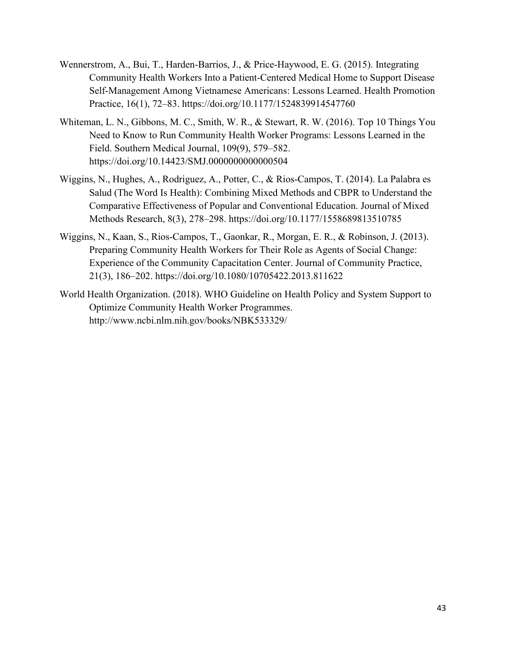- Wennerstrom, A., Bui, T., Harden-Barrios, J., & Price-Haywood, E. G. (2015). Integrating Community Health Workers Into a Patient-Centered Medical Home to Support Disease Self-Management Among Vietnamese Americans: Lessons Learned. Health Promotion Practice, 16(1), 72–83. https://doi.org/10.1177/1524839914547760
- Whiteman, L. N., Gibbons, M. C., Smith, W. R., & Stewart, R. W. (2016). Top 10 Things You Need to Know to Run Community Health Worker Programs: Lessons Learned in the Field. Southern Medical Journal, 109(9), 579–582. https://doi.org/10.14423/SMJ.0000000000000504
- Wiggins, N., Hughes, A., Rodriguez, A., Potter, C., & Rios-Campos, T. (2014). La Palabra es Salud (The Word Is Health): Combining Mixed Methods and CBPR to Understand the Comparative Effectiveness of Popular and Conventional Education. Journal of Mixed Methods Research, 8(3), 278–298. https://doi.org/10.1177/1558689813510785
- Wiggins, N., Kaan, S., Rios-Campos, T., Gaonkar, R., Morgan, E. R., & Robinson, J. (2013). Preparing Community Health Workers for Their Role as Agents of Social Change: Experience of the Community Capacitation Center. Journal of Community Practice, 21(3), 186–202. https://doi.org/10.1080/10705422.2013.811622
- World Health Organization. (2018). WHO Guideline on Health Policy and System Support to Optimize Community Health Worker Programmes. <http://www.ncbi.nlm.nih.gov/books/NBK533329/>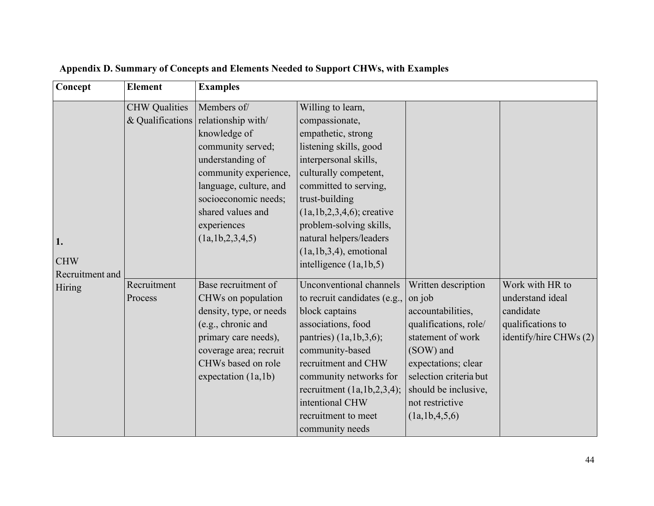| Concept                                 | <b>Element</b>         | <b>Examples</b>                                                                                                                                                                                                                              |                                                                                                                                                                                                                                                                                                                            |                                                                                                                                                                                                                            |                                                                                                 |
|-----------------------------------------|------------------------|----------------------------------------------------------------------------------------------------------------------------------------------------------------------------------------------------------------------------------------------|----------------------------------------------------------------------------------------------------------------------------------------------------------------------------------------------------------------------------------------------------------------------------------------------------------------------------|----------------------------------------------------------------------------------------------------------------------------------------------------------------------------------------------------------------------------|-------------------------------------------------------------------------------------------------|
| 1.                                      | <b>CHW</b> Qualities   | Members of/<br>& Qualifications relationship with<br>knowledge of<br>community served;<br>understanding of<br>community experience,<br>language, culture, and<br>socioeconomic needs;<br>shared values and<br>experiences<br>(la,1b,2,3,4,5) | Willing to learn,<br>compassionate,<br>empathetic, strong<br>listening skills, good<br>interpersonal skills,<br>culturally competent,<br>committed to serving,<br>trust-building<br>$(la,1b,2,3,4,6)$ ; creative<br>problem-solving skills,<br>natural helpers/leaders<br>$(la, lb, 3, 4)$ , emotional                     |                                                                                                                                                                                                                            |                                                                                                 |
| <b>CHW</b><br>Recruitment and<br>Hiring | Recruitment<br>Process | Base recruitment of<br>CHWs on population<br>density, type, or needs<br>(e.g., chronic and<br>primary care needs),<br>coverage area; recruit<br>CHWs based on role<br>expectation (1a,1b)                                                    | intelligence $(la, lb, 5)$<br>Unconventional channels<br>to recruit candidates (e.g.,<br>block captains<br>associations, food<br>pantries) $(1a,1b,3,6);$<br>community-based<br>recruitment and CHW<br>community networks for<br>recruitment $(1a,1b,2,3,4);$<br>intentional CHW<br>recruitment to meet<br>community needs | Written description<br>on job<br>accountabilities,<br>qualifications, role/<br>statement of work<br>(SOW) and<br>expectations; clear<br>selection criteria but<br>should be inclusive,<br>not restrictive<br>(la,1b,4,5,6) | Work with HR to<br>understand ideal<br>candidate<br>qualifications to<br>identify/hire CHWs (2) |

# **Appendix D. Summary of Concepts and Elements Needed to Support CHWs, with Examples**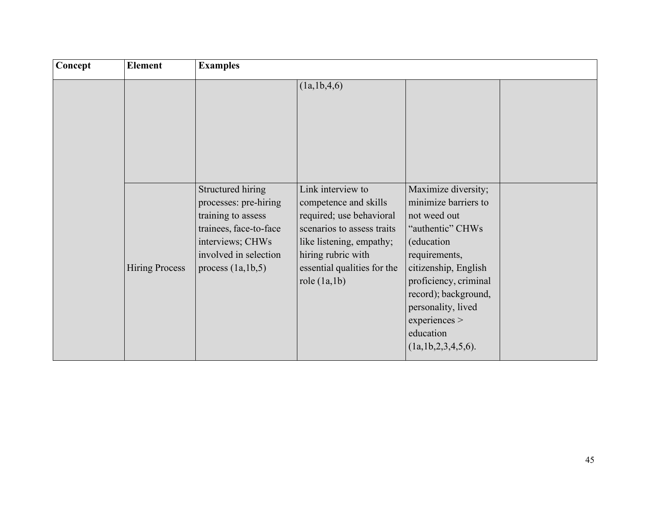| Concept | <b>Element</b>        | <b>Examples</b>                                                                                                                                                |                                                                                                                                                                                                         |                                                                                                                                                                                                                                                                         |  |  |
|---------|-----------------------|----------------------------------------------------------------------------------------------------------------------------------------------------------------|---------------------------------------------------------------------------------------------------------------------------------------------------------------------------------------------------------|-------------------------------------------------------------------------------------------------------------------------------------------------------------------------------------------------------------------------------------------------------------------------|--|--|
|         |                       |                                                                                                                                                                | (1a, 1b, 4, 6)                                                                                                                                                                                          |                                                                                                                                                                                                                                                                         |  |  |
|         | <b>Hiring Process</b> | Structured hiring<br>processes: pre-hiring<br>training to assess<br>trainees, face-to-face<br>interviews; CHWs<br>involved in selection<br>process $(1a,1b,5)$ | Link interview to<br>competence and skills<br>required; use behavioral<br>scenarios to assess traits<br>like listening, empathy;<br>hiring rubric with<br>essential qualities for the<br>role $(1a,1b)$ | Maximize diversity;<br>minimize barriers to<br>not weed out<br>"authentic" CHWs<br>(education<br>requirements,<br>citizenship, English<br>proficiency, criminal<br>record); background,<br>personality, lived<br>experiences ><br>education<br>(1a, 1b, 2, 3, 4, 5, 6). |  |  |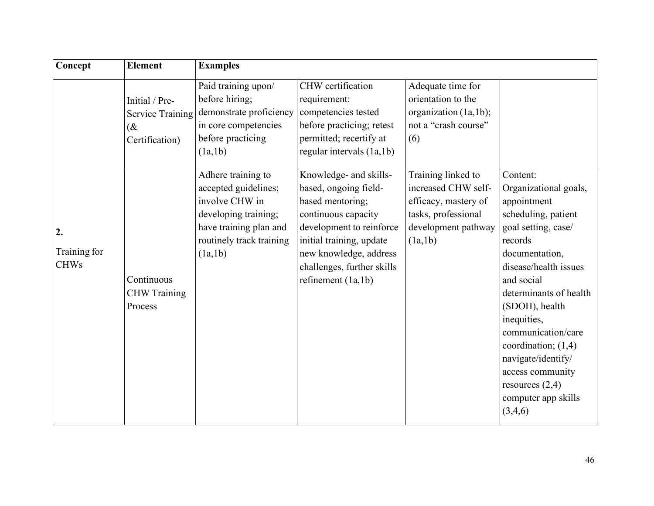| Concept                           | Element                                                                 | <b>Examples</b>                                                                                                                                       |                                                                                                                                                                                                                                    |                                                                                                                            |                                                                                                                                                                                                                                                                                                                                                                               |
|-----------------------------------|-------------------------------------------------------------------------|-------------------------------------------------------------------------------------------------------------------------------------------------------|------------------------------------------------------------------------------------------------------------------------------------------------------------------------------------------------------------------------------------|----------------------------------------------------------------------------------------------------------------------------|-------------------------------------------------------------------------------------------------------------------------------------------------------------------------------------------------------------------------------------------------------------------------------------------------------------------------------------------------------------------------------|
|                                   | Initial / Pre-<br><b>Service Training</b><br>$\alpha$<br>Certification) | Paid training upon/<br>before hiring;<br>demonstrate proficiency<br>in core competencies<br>before practicing<br>(la,1b)                              | CHW certification<br>requirement:<br>competencies tested<br>before practicing; retest<br>permitted; recertify at<br>regular intervals (1a,1b)                                                                                      | Adequate time for<br>orientation to the<br>organization (1a,1b);<br>not a "crash course"<br>(6)                            |                                                                                                                                                                                                                                                                                                                                                                               |
| 2.<br>Training for<br><b>CHWs</b> | Continuous<br><b>CHW</b> Training<br>Process                            | Adhere training to<br>accepted guidelines;<br>involve CHW in<br>developing training;<br>have training plan and<br>routinely track training<br>(la,1b) | Knowledge- and skills-<br>based, ongoing field-<br>based mentoring;<br>continuous capacity<br>development to reinforce<br>initial training, update<br>new knowledge, address<br>challenges, further skills<br>refinement $(la,1b)$ | Training linked to<br>increased CHW self-<br>efficacy, mastery of<br>tasks, professional<br>development pathway<br>(la,1b) | Content:<br>Organizational goals,<br>appointment<br>scheduling, patient<br>goal setting, case/<br>records<br>documentation,<br>disease/health issues<br>and social<br>determinants of health<br>(SDOH), health<br>inequities,<br>communication/care<br>coordination; $(1,4)$<br>navigate/identify/<br>access community<br>resources $(2,4)$<br>computer app skills<br>(3,4,6) |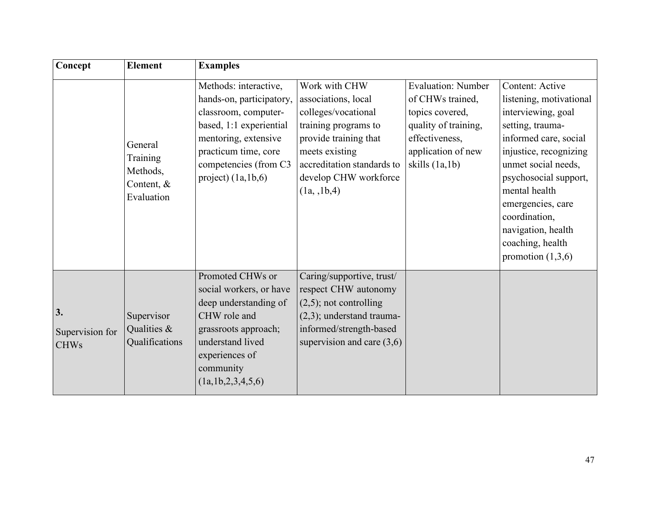| Concept                              | <b>Element</b>                                                | <b>Examples</b>                                                                                                                                                                                       |                                                                                                                                                                                                      |                                                                                                                                                      |                                                                                                                                                                                                                                                                                                                 |
|--------------------------------------|---------------------------------------------------------------|-------------------------------------------------------------------------------------------------------------------------------------------------------------------------------------------------------|------------------------------------------------------------------------------------------------------------------------------------------------------------------------------------------------------|------------------------------------------------------------------------------------------------------------------------------------------------------|-----------------------------------------------------------------------------------------------------------------------------------------------------------------------------------------------------------------------------------------------------------------------------------------------------------------|
|                                      | General<br>Training<br>Methods,<br>Content, $&$<br>Evaluation | Methods: interactive,<br>hands-on, participatory,<br>classroom, computer-<br>based, 1:1 experiential<br>mentoring, extensive<br>practicum time, core<br>competencies (from C3<br>project) $(1a,1b,6)$ | Work with CHW<br>associations, local<br>colleges/vocational<br>training programs to<br>provide training that<br>meets existing<br>accreditation standards to<br>develop CHW workforce<br>(1a, 1b, 4) | <b>Evaluation: Number</b><br>of CHWs trained,<br>topics covered,<br>quality of training,<br>effectiveness,<br>application of new<br>skills $(1a,1b)$ | Content: Active<br>listening, motivational<br>interviewing, goal<br>setting, trauma-<br>informed care, social<br>injustice, recognizing<br>unmet social needs,<br>psychosocial support,<br>mental health<br>emergencies, care<br>coordination,<br>navigation, health<br>coaching, health<br>promotion $(1,3,6)$ |
| 3.<br>Supervision for<br><b>CHWs</b> | Supervisor<br>Qualities &<br>Qualifications                   | Promoted CHWs or<br>social workers, or have<br>deep understanding of<br>CHW role and<br>grassroots approach;<br>understand lived<br>experiences of<br>community<br>(1a, 1b, 2, 3, 4, 5, 6)            | Caring/supportive, trust/<br>respect CHW autonomy<br>$(2,5)$ ; not controlling<br>$(2,3)$ ; understand trauma-<br>informed/strength-based<br>supervision and care $(3,6)$                            |                                                                                                                                                      |                                                                                                                                                                                                                                                                                                                 |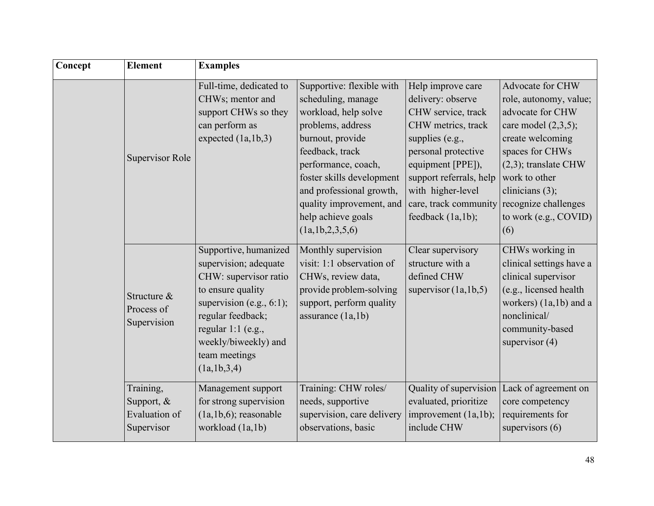| Concept | <b>Element</b>                                         | <b>Examples</b>                                                                                                                                                                                                                |                                                                                                                                                                                                                                                                                          |                                                                                                                                                                                                                                                 |                                                                                                                                                                                                                                                           |
|---------|--------------------------------------------------------|--------------------------------------------------------------------------------------------------------------------------------------------------------------------------------------------------------------------------------|------------------------------------------------------------------------------------------------------------------------------------------------------------------------------------------------------------------------------------------------------------------------------------------|-------------------------------------------------------------------------------------------------------------------------------------------------------------------------------------------------------------------------------------------------|-----------------------------------------------------------------------------------------------------------------------------------------------------------------------------------------------------------------------------------------------------------|
|         | Supervisor Role                                        | Full-time, dedicated to<br>CHWs; mentor and<br>support CHWs so they<br>can perform as<br>expected $(la, lb, 3)$                                                                                                                | Supportive: flexible with<br>scheduling, manage<br>workload, help solve<br>problems, address<br>burnout, provide<br>feedback, track<br>performance, coach,<br>foster skills development<br>and professional growth,<br>quality improvement, and<br>help achieve goals<br>(la,1b,2,3,5,6) | Help improve care<br>delivery: observe<br>CHW service, track<br>CHW metrics, track<br>supplies (e.g.,<br>personal protective<br>equipment [PPE]),<br>support referrals, help<br>with higher-level<br>care, track community<br>feedback (1a,1b); | Advocate for CHW<br>role, autonomy, value;<br>advocate for CHW<br>care model $(2,3,5)$ ;<br>create welcoming<br>spaces for CHWs<br>$(2,3)$ ; translate CHW<br>work to other<br>clinicians $(3)$ ;<br>recognize challenges<br>to work (e.g., COVID)<br>(6) |
|         | Structure &<br>Process of<br>Supervision               | Supportive, humanized<br>supervision; adequate<br>CHW: supervisor ratio<br>to ensure quality<br>supervision (e.g., $6:1$ );<br>regular feedback;<br>regular 1:1 (e.g.,<br>weekly/biweekly) and<br>team meetings<br>(la,1b,3,4) | Monthly supervision<br>visit: 1:1 observation of<br>CHWs, review data,<br>provide problem-solving<br>support, perform quality<br>assurance $(la,1b)$                                                                                                                                     | Clear supervisory<br>structure with a<br>defined CHW<br>supervisor $(la, lb, 5)$                                                                                                                                                                | CHWs working in<br>clinical settings have a<br>clinical supervisor<br>(e.g., licensed health<br>workers) (1a,1b) and a<br>nonclinical/<br>community-based<br>supervisor $(4)$                                                                             |
|         | Training,<br>Support, &<br>Evaluation of<br>Supervisor | Management support<br>for strong supervision<br>$(la,1b,6);$ reasonable<br>workload (1a,1b)                                                                                                                                    | Training: CHW roles/<br>needs, supportive<br>supervision, care delivery<br>observations, basic                                                                                                                                                                                           | Quality of supervision<br>evaluated, prioritize<br>improvement (1a,1b);<br>include CHW                                                                                                                                                          | Lack of agreement on<br>core competency<br>requirements for<br>supervisors $(6)$                                                                                                                                                                          |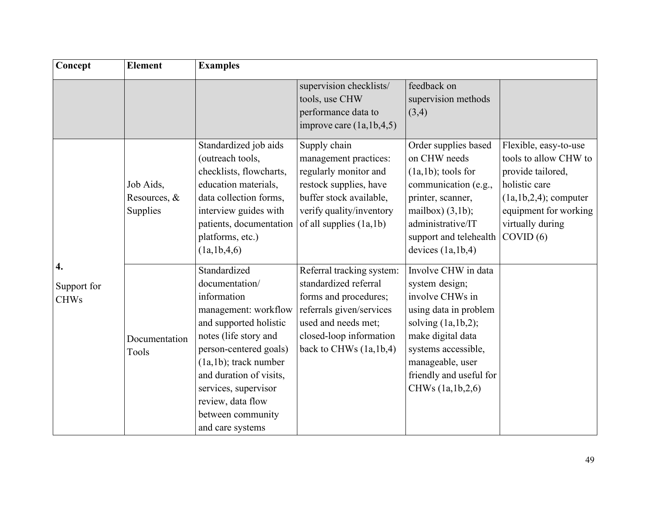| Concept                          | <b>Element</b>                        | <b>Examples</b>                                                                                                                                                                                                                                                                                 |                                                                                                                                                                                     |                                                                                                                                                                                                                               |                                                                                                                                                                              |
|----------------------------------|---------------------------------------|-------------------------------------------------------------------------------------------------------------------------------------------------------------------------------------------------------------------------------------------------------------------------------------------------|-------------------------------------------------------------------------------------------------------------------------------------------------------------------------------------|-------------------------------------------------------------------------------------------------------------------------------------------------------------------------------------------------------------------------------|------------------------------------------------------------------------------------------------------------------------------------------------------------------------------|
|                                  |                                       |                                                                                                                                                                                                                                                                                                 | supervision checklists/<br>tools, use CHW<br>performance data to<br>improve care $(1a, 1b, 4, 5)$                                                                                   | feedback on<br>supervision methods<br>(3,4)                                                                                                                                                                                   |                                                                                                                                                                              |
|                                  | Job Aids,<br>Resources, &<br>Supplies | Standardized job aids<br>(outreach tools,<br>checklists, flowcharts,<br>education materials,<br>data collection forms,<br>interview guides with<br>patients, documentation<br>platforms, etc.)<br>(la,1b,4,6)                                                                                   | Supply chain<br>management practices:<br>regularly monitor and<br>restock supplies, have<br>buffer stock available,<br>verify quality/inventory<br>of all supplies $(1a,1b)$        | Order supplies based<br>on CHW needs<br>$(la,1b)$ ; tools for<br>communication (e.g.,<br>printer, scanner,<br>mailbox) $(3,1b)$ ;<br>administrative/IT<br>support and telehealth<br>devices $(la, lb, 4)$                     | Flexible, easy-to-use<br>tools to allow CHW to<br>provide tailored,<br>holistic care<br>$(la, lb, 2, 4)$ ; computer<br>equipment for working<br>virtually during<br>COVID(6) |
| 4.<br>Support for<br><b>CHWs</b> | Documentation<br>Tools                | Standardized<br>documentation/<br>information<br>management: workflow<br>and supported holistic<br>notes (life story and<br>person-centered goals)<br>$(la,1b)$ ; track number<br>and duration of visits,<br>services, supervisor<br>review, data flow<br>between community<br>and care systems | Referral tracking system:<br>standardized referral<br>forms and procedures;<br>referrals given/services<br>used and needs met;<br>closed-loop information<br>back to CHWs (1a,1b,4) | Involve CHW in data<br>system design;<br>involve CHWs in<br>using data in problem<br>solving $(la, lb, 2);$<br>make digital data<br>systems accessible,<br>manageable, user<br>friendly and useful for<br>CHWs (1a, 1b, 2, 6) |                                                                                                                                                                              |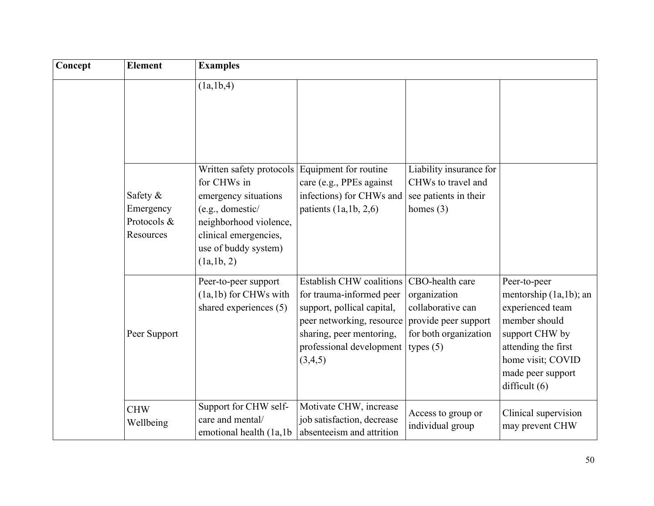| Concept | <b>Element</b>                                    | <b>Examples</b>                                                                                                                                                             |                                                                                                                                                                                           |                                                                                                                      |                                                                                                                                                                                   |
|---------|---------------------------------------------------|-----------------------------------------------------------------------------------------------------------------------------------------------------------------------------|-------------------------------------------------------------------------------------------------------------------------------------------------------------------------------------------|----------------------------------------------------------------------------------------------------------------------|-----------------------------------------------------------------------------------------------------------------------------------------------------------------------------------|
|         |                                                   | (la,1b,4)                                                                                                                                                                   |                                                                                                                                                                                           |                                                                                                                      |                                                                                                                                                                                   |
|         | Safety &<br>Emergency<br>Protocols &<br>Resources | Written safety protocols<br>for CHWs in<br>emergency situations<br>(e.g., domestic/<br>neighborhood violence,<br>clinical emergencies,<br>use of buddy system)<br>(la,1b,2) | Equipment for routine<br>care (e.g., PPEs against<br>infections) for CHWs and<br>patients $(1a,1b, 2,6)$                                                                                  | Liability insurance for<br>CHWs to travel and<br>see patients in their<br>homes $(3)$                                |                                                                                                                                                                                   |
|         | Peer Support                                      | Peer-to-peer support<br>(1a,1b) for CHWs with<br>shared experiences (5)                                                                                                     | <b>Establish CHW coalitions</b><br>for trauma-informed peer<br>support, pollical capital,<br>peer networking, resource<br>sharing, peer mentoring,<br>professional development<br>(3,4,5) | CBO-health care<br>organization<br>collaborative can<br>provide peer support<br>for both organization<br>types $(5)$ | Peer-to-peer<br>mentorship (1a,1b); an<br>experienced team<br>member should<br>support CHW by<br>attending the first<br>home visit; COVID<br>made peer support<br>difficult $(6)$ |
|         | <b>CHW</b><br>Wellbeing                           | Support for CHW self-<br>care and mental/<br>emotional health (1a,1b)                                                                                                       | Motivate CHW, increase<br>job satisfaction, decrease<br>absenteeism and attrition                                                                                                         | Access to group or<br>individual group                                                                               | Clinical supervision<br>may prevent CHW                                                                                                                                           |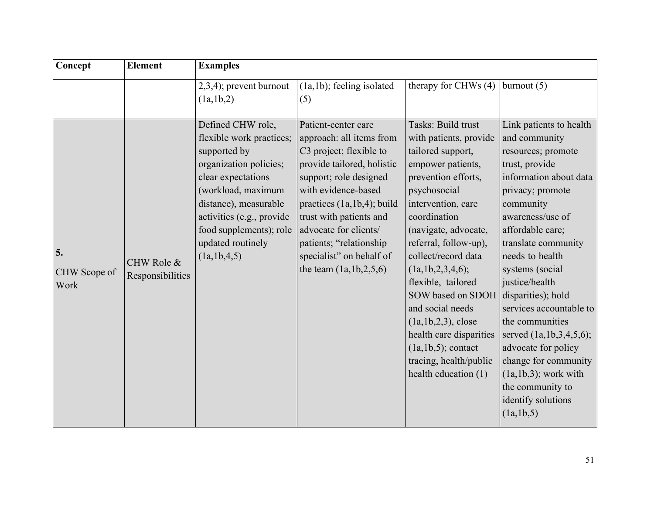| Concept                    | <b>Element</b>                 | <b>Examples</b>                                                                                                                                                                                                                                          |                                                                                                                                                                                                                                                                                                                                      |                                                                                                                                                                                                                                                                                                                                                                                                                                                                     |                                                                                                                                                                                                                                                                                                                                                                                                                                                                                                             |
|----------------------------|--------------------------------|----------------------------------------------------------------------------------------------------------------------------------------------------------------------------------------------------------------------------------------------------------|--------------------------------------------------------------------------------------------------------------------------------------------------------------------------------------------------------------------------------------------------------------------------------------------------------------------------------------|---------------------------------------------------------------------------------------------------------------------------------------------------------------------------------------------------------------------------------------------------------------------------------------------------------------------------------------------------------------------------------------------------------------------------------------------------------------------|-------------------------------------------------------------------------------------------------------------------------------------------------------------------------------------------------------------------------------------------------------------------------------------------------------------------------------------------------------------------------------------------------------------------------------------------------------------------------------------------------------------|
|                            |                                | 2,3,4); prevent burnout<br>(la,1b,2)                                                                                                                                                                                                                     | (1a,1b); feeling isolated<br>(5)                                                                                                                                                                                                                                                                                                     | therapy for CHWs (4)                                                                                                                                                                                                                                                                                                                                                                                                                                                | burnout $(5)$                                                                                                                                                                                                                                                                                                                                                                                                                                                                                               |
| 5.<br>CHW Scope of<br>Work | CHW Role &<br>Responsibilities | Defined CHW role,<br>flexible work practices;<br>supported by<br>organization policies;<br>clear expectations<br>(workload, maximum<br>distance), measurable<br>activities (e.g., provide<br>food supplements); role<br>updated routinely<br>(la,1b,4,5) | Patient-center care<br>approach: all items from<br>C3 project; flexible to<br>provide tailored, holistic<br>support; role designed<br>with evidence-based<br>practices (1a, 1b, 4); build<br>trust with patients and<br>advocate for clients/<br>patients; "relationship<br>specialist" on behalf of<br>the team $(1a, 1b, 2, 5, 6)$ | Tasks: Build trust<br>with patients, provide<br>tailored support,<br>empower patients,<br>prevention efforts,<br>psychosocial<br>intervention, care<br>coordination<br>(navigate, advocate,<br>referral, follow-up),<br>collect/record data<br>(1a, 1b, 2, 3, 4, 6);<br>flexible, tailored<br>SOW based on SDOH<br>and social needs<br>$(la,1b,2,3)$ , close<br>health care disparities<br>$(la,1b,5);$ contact<br>tracing, health/public<br>health education $(1)$ | Link patients to health<br>and community<br>resources; promote<br>trust, provide<br>information about data<br>privacy; promote<br>community<br>awareness/use of<br>affordable care;<br>translate community<br>needs to health<br>systems (social<br>justice/health<br>disparities); hold<br>services accountable to<br>the communities<br>served $(1a, 1b, 3, 4, 5, 6);$<br>advocate for policy<br>change for community<br>$(la, lb, 3)$ ; work with<br>the community to<br>identify solutions<br>(la,1b,5) |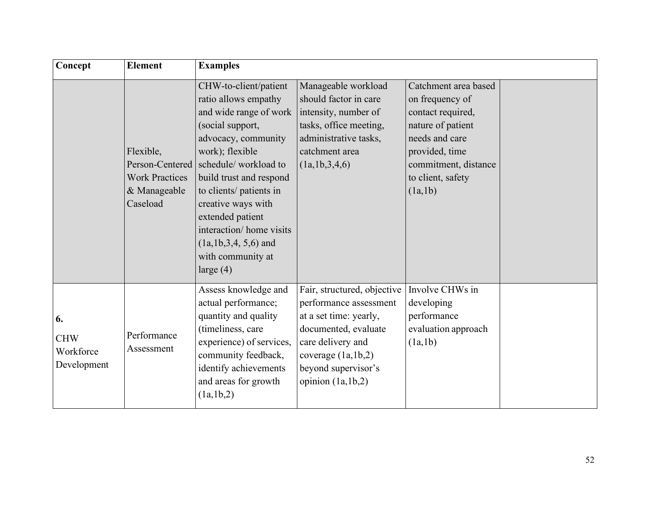| Concept                                      | <b>Element</b>                                                                    | <b>Examples</b>                                                                                                                                                                                                                                                                                                                                        |                                                                                                                                                                                                        |                                                                                                                                                                               |  |
|----------------------------------------------|-----------------------------------------------------------------------------------|--------------------------------------------------------------------------------------------------------------------------------------------------------------------------------------------------------------------------------------------------------------------------------------------------------------------------------------------------------|--------------------------------------------------------------------------------------------------------------------------------------------------------------------------------------------------------|-------------------------------------------------------------------------------------------------------------------------------------------------------------------------------|--|
|                                              | Flexible,<br>Person-Centered<br><b>Work Practices</b><br>& Manageable<br>Caseload | CHW-to-client/patient<br>ratio allows empathy<br>and wide range of work<br>(social support,<br>advocacy, community<br>work); flexible<br>schedule/workload to<br>build trust and respond<br>to clients/ patients in<br>creative ways with<br>extended patient<br>interaction/ home visits<br>$(la,1b,3,4,5,6)$ and<br>with community at<br>large $(4)$ | Manageable workload<br>should factor in care<br>intensity, number of<br>tasks, office meeting,<br>administrative tasks,<br>catchment area<br>(la,1b,3,4,6)                                             | Catchment area based<br>on frequency of<br>contact required,<br>nature of patient<br>needs and care<br>provided, time<br>commitment, distance<br>to client, safety<br>(la,1b) |  |
| 6.<br><b>CHW</b><br>Workforce<br>Development | Performance<br>Assessment                                                         | Assess knowledge and<br>actual performance;<br>quantity and quality<br>(timeliness, care<br>experience) of services,<br>community feedback,<br>identify achievements<br>and areas for growth<br>(la,1b,2)                                                                                                                                              | Fair, structured, objective<br>performance assessment<br>at a set time: yearly,<br>documented, evaluate<br>care delivery and<br>coverage $(la, lb, 2)$<br>beyond supervisor's<br>opinion $(la, lb, 2)$ | Involve CHWs in<br>developing<br>performance<br>evaluation approach<br>(la,1b)                                                                                                |  |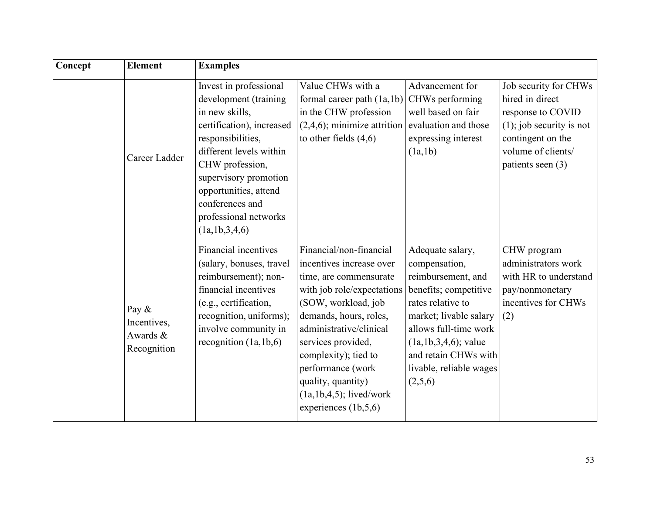| Concept | <b>Element</b>                                  | <b>Examples</b>                                                                                                                                                                                                                                                                  |                                                                                                                                                                                                                                                                                                                                        |                                                                                                                                                                                                                                                   |                                                                                                                                                              |
|---------|-------------------------------------------------|----------------------------------------------------------------------------------------------------------------------------------------------------------------------------------------------------------------------------------------------------------------------------------|----------------------------------------------------------------------------------------------------------------------------------------------------------------------------------------------------------------------------------------------------------------------------------------------------------------------------------------|---------------------------------------------------------------------------------------------------------------------------------------------------------------------------------------------------------------------------------------------------|--------------------------------------------------------------------------------------------------------------------------------------------------------------|
|         | Career Ladder                                   | Invest in professional<br>development (training<br>in new skills,<br>certification), increased<br>responsibilities,<br>different levels within<br>CHW profession,<br>supervisory promotion<br>opportunities, attend<br>conferences and<br>professional networks<br>(la,1b,3,4,6) | Value CHWs with a<br>formal career path $(1a,1b)$<br>in the CHW profession<br>$(2,4,6)$ ; minimize attrition<br>to other fields $(4,6)$                                                                                                                                                                                                | Advancement for<br>CHWs performing<br>well based on fair<br>evaluation and those<br>expressing interest<br>(la,1b)                                                                                                                                | Job security for CHWs<br>hired in direct<br>response to COVID<br>$(1)$ ; job security is not<br>contingent on the<br>volume of clients/<br>patients seen (3) |
|         | Pay &<br>Incentives,<br>Awards &<br>Recognition | <b>Financial incentives</b><br>(salary, bonuses, travel<br>reimbursement); non-<br>financial incentives<br>(e.g., certification,<br>recognition, uniforms);<br>involve community in<br>recognition $(la, lb, 6)$                                                                 | Financial/non-financial<br>incentives increase over<br>time, are commensurate<br>with job role/expectations<br>(SOW, workload, job<br>demands, hours, roles,<br>administrative/clinical<br>services provided,<br>complexity); tied to<br>performance (work<br>quality, quantity)<br>$(la,1b,4,5)$ ; lived/work<br>experiences (1b,5,6) | Adequate salary,<br>compensation,<br>reimbursement, and<br>benefits; competitive<br>rates relative to<br>market; livable salary<br>allows full-time work<br>$(la,1b,3,4,6)$ ; value<br>and retain CHWs with<br>livable, reliable wages<br>(2,5,6) | CHW program<br>administrators work<br>with HR to understand<br>pay/nonmonetary<br>incentives for CHWs<br>(2)                                                 |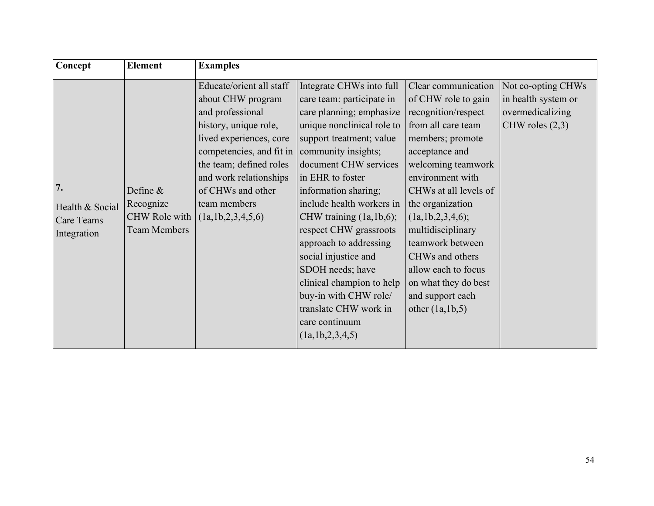| Concept                                                   | <b>Element</b>                                                  | <b>Examples</b>                                                                                                                                                                                                                                                        |                                                                                                                                                                                                                                                                                                                                                                                                                                                                                                                       |                                                                                                                                                                                                                                                                                                                                                                                                     |                                                                                    |
|-----------------------------------------------------------|-----------------------------------------------------------------|------------------------------------------------------------------------------------------------------------------------------------------------------------------------------------------------------------------------------------------------------------------------|-----------------------------------------------------------------------------------------------------------------------------------------------------------------------------------------------------------------------------------------------------------------------------------------------------------------------------------------------------------------------------------------------------------------------------------------------------------------------------------------------------------------------|-----------------------------------------------------------------------------------------------------------------------------------------------------------------------------------------------------------------------------------------------------------------------------------------------------------------------------------------------------------------------------------------------------|------------------------------------------------------------------------------------|
| 7.<br>Health & Social<br><b>Care Teams</b><br>Integration | Define $&$<br>Recognize<br>CHW Role with<br><b>Team Members</b> | Educate/orient all staff<br>about CHW program<br>and professional<br>history, unique role,<br>lived experiences, core<br>competencies, and fit in<br>the team; defined roles<br>and work relationships<br>of CHWs and other<br>team members<br>(1a, 1b, 2, 3, 4, 5, 6) | Integrate CHWs into full<br>care team: participate in<br>care planning; emphasize<br>unique nonclinical role to<br>support treatment; value<br>community insights;<br>document CHW services<br>in EHR to foster<br>information sharing;<br>include health workers in<br>CHW training (1a, 1b, 6);<br>respect CHW grassroots<br>approach to addressing<br>social injustice and<br>SDOH needs; have<br>clinical champion to help<br>buy-in with CHW role/<br>translate CHW work in<br>care continuum<br>(la,1b,2,3,4,5) | Clear communication<br>of CHW role to gain<br>recognition/respect<br>from all care team<br>members; promote<br>acceptance and<br>welcoming teamwork<br>environment with<br>CHWs at all levels of<br>the organization<br>(1a, 1b, 2, 3, 4, 6);<br>multidisciplinary<br>teamwork between<br>CHWs and others<br>allow each to focus<br>on what they do best<br>and support each<br>other $(la, lb, 5)$ | Not co-opting CHWs<br>in health system or<br>overmedicalizing<br>CHW roles $(2,3)$ |
|                                                           |                                                                 |                                                                                                                                                                                                                                                                        |                                                                                                                                                                                                                                                                                                                                                                                                                                                                                                                       |                                                                                                                                                                                                                                                                                                                                                                                                     |                                                                                    |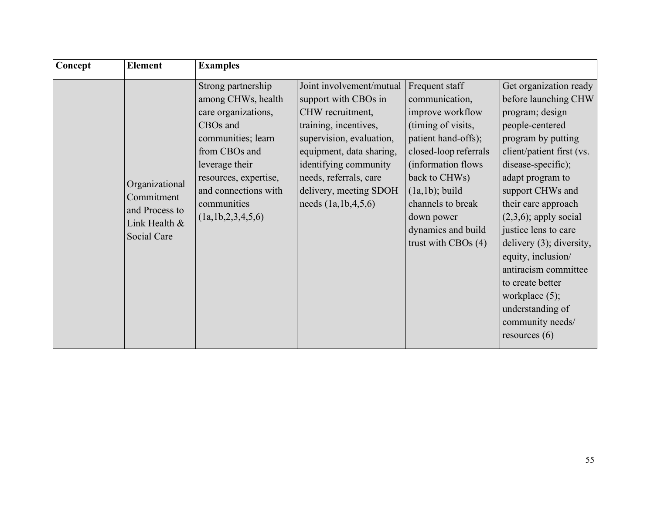| Concept | <b>Element</b>                                                                 | <b>Examples</b>                                                                                                                                                                                                           |                                                                                                                                                                                                                                                                 |                                                                                                                                                                                                                                                                         |                                                                                                                                                                                                                                                                                                                                                                                                                                                                |
|---------|--------------------------------------------------------------------------------|---------------------------------------------------------------------------------------------------------------------------------------------------------------------------------------------------------------------------|-----------------------------------------------------------------------------------------------------------------------------------------------------------------------------------------------------------------------------------------------------------------|-------------------------------------------------------------------------------------------------------------------------------------------------------------------------------------------------------------------------------------------------------------------------|----------------------------------------------------------------------------------------------------------------------------------------------------------------------------------------------------------------------------------------------------------------------------------------------------------------------------------------------------------------------------------------------------------------------------------------------------------------|
|         | Organizational<br>Commitment<br>and Process to<br>Link Health &<br>Social Care | Strong partnership<br>among CHWs, health<br>care organizations,<br>CBOs and<br>communities; learn<br>from CBOs and<br>leverage their<br>resources, expertise,<br>and connections with<br>communities<br>(la,1b,2,3,4,5,6) | Joint involvement/mutual<br>support with CBOs in<br>CHW recruitment,<br>training, incentives,<br>supervision, evaluation,<br>equipment, data sharing,<br>identifying community<br>needs, referrals, care<br>delivery, meeting SDOH<br>needs $(1a, 1b, 4, 5, 6)$ | Frequent staff<br>communication,<br>improve workflow<br>(timing of visits,<br>patient hand-offs);<br>closed-loop referrals<br>(information flows)<br>back to CHWs)<br>$(1a,1b)$ ; build<br>channels to break<br>down power<br>dynamics and build<br>trust with CBOs (4) | Get organization ready<br>before launching CHW<br>program; design<br>people-centered<br>program by putting<br>client/patient first (vs.<br>disease-specific);<br>adapt program to<br>support CHWs and<br>their care approach<br>$(2,3,6)$ ; apply social<br>justice lens to care<br>delivery (3); diversity,<br>equity, inclusion/<br>antiracism committee<br>to create better<br>workplace $(5)$ ;<br>understanding of<br>community needs/<br>resources $(6)$ |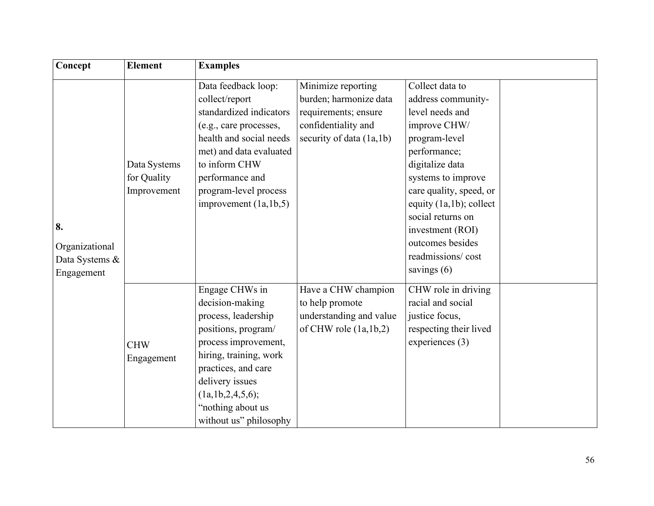| Concept                                              | <b>Element</b>                             | <b>Examples</b>                                                                                                                                                                                                                                     |                                                                                                                         |                                                                                                                                                                                                                                                                                                             |  |
|------------------------------------------------------|--------------------------------------------|-----------------------------------------------------------------------------------------------------------------------------------------------------------------------------------------------------------------------------------------------------|-------------------------------------------------------------------------------------------------------------------------|-------------------------------------------------------------------------------------------------------------------------------------------------------------------------------------------------------------------------------------------------------------------------------------------------------------|--|
| 8.<br>Organizational<br>Data Systems &<br>Engagement | Data Systems<br>for Quality<br>Improvement | Data feedback loop:<br>collect/report<br>standardized indicators<br>(e.g., care processes,<br>health and social needs<br>met) and data evaluated<br>to inform CHW<br>performance and<br>program-level process<br>improvement $(la, lb, 5)$          | Minimize reporting<br>burden; harmonize data<br>requirements; ensure<br>confidentiality and<br>security of data (1a,1b) | Collect data to<br>address community-<br>level needs and<br>improve CHW/<br>program-level<br>performance;<br>digitalize data<br>systems to improve<br>care quality, speed, or<br>equity (1a,1b); collect<br>social returns on<br>investment (ROI)<br>outcomes besides<br>readmissions/cost<br>savings $(6)$ |  |
|                                                      | <b>CHW</b><br>Engagement                   | Engage CHWs in<br>decision-making<br>process, leadership<br>positions, program/<br>process improvement,<br>hiring, training, work<br>practices, and care<br>delivery issues<br>(1a, 1b, 2, 4, 5, 6);<br>"nothing about us<br>without us" philosophy | Have a CHW champion<br>to help promote<br>understanding and value<br>of CHW role $(1a,1b,2)$                            | CHW role in driving<br>racial and social<br>justice focus,<br>respecting their lived<br>experiences (3)                                                                                                                                                                                                     |  |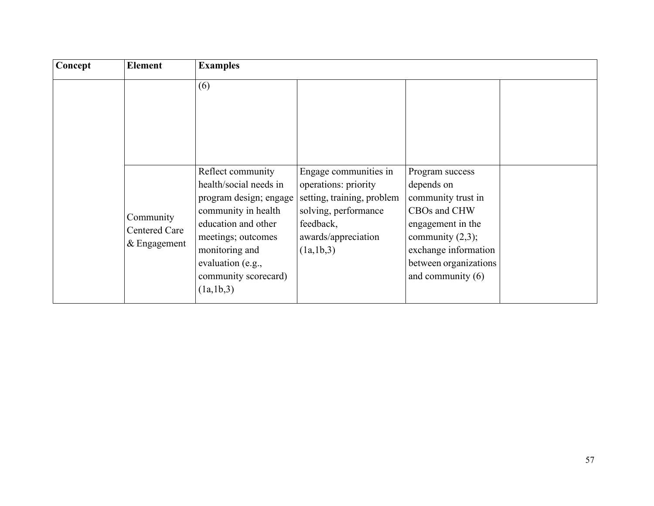| Concept | <b>Element</b>                                    | <b>Examples</b>                                                                                                                                                                                                         |                                                                                                                                                      |                                                                                                                                                                                         |  |
|---------|---------------------------------------------------|-------------------------------------------------------------------------------------------------------------------------------------------------------------------------------------------------------------------------|------------------------------------------------------------------------------------------------------------------------------------------------------|-----------------------------------------------------------------------------------------------------------------------------------------------------------------------------------------|--|
|         |                                                   | (6)                                                                                                                                                                                                                     |                                                                                                                                                      |                                                                                                                                                                                         |  |
|         | Community<br><b>Centered Care</b><br>& Engagement | Reflect community<br>health/social needs in<br>program design; engage<br>community in health<br>education and other<br>meetings; outcomes<br>monitoring and<br>evaluation (e.g.,<br>community scorecard)<br>(la, lb, 3) | Engage communities in<br>operations: priority<br>setting, training, problem<br>solving, performance<br>feedback,<br>awards/appreciation<br>(la,1b,3) | Program success<br>depends on<br>community trust in<br>CBOs and CHW<br>engagement in the<br>community $(2,3)$ ;<br>exchange information<br>between organizations<br>and community $(6)$ |  |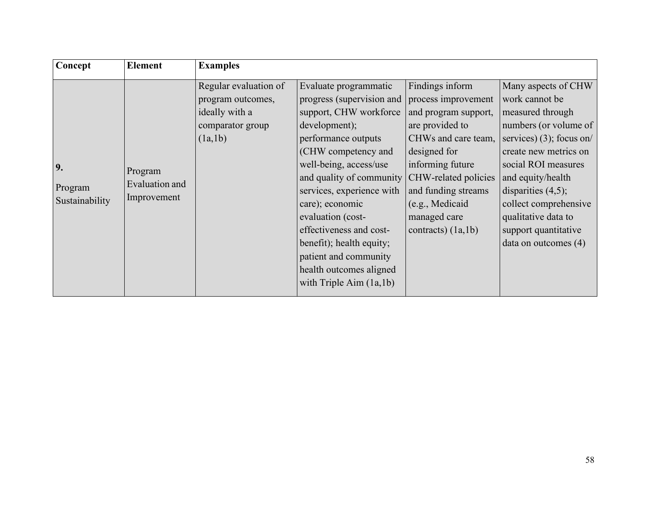| Findings inform<br>Regular evaluation of<br>Evaluate programmatic<br>progress (supervision and<br>process improvement<br>work cannot be<br>program outcomes,<br>ideally with a<br>support, CHW workforce<br>measured through<br>and program support,<br>development);<br>are provided to<br>comparator group<br>CHWs and care team,<br>(la,1b)<br>performance outputs<br>designed for<br>(CHW competency and<br>well-being, access/use<br>informing future<br>social ROI measures<br>9.<br>Program<br>and quality of community CHW-related policies<br>and equity/health<br>Evaluation and<br>Program<br>and funding streams<br>disparities $(4,5)$ ;<br>services, experience with<br>Improvement<br>Sustainability<br>care); economic<br>(c.g., Medical)<br>evaluation (cost-<br>managed care<br>qualitative data to<br>effectiveness and cost-<br>contracts) $(1a,1b)$<br>support quantitative<br>benefit); health equity;<br>data on outcomes (4)<br>patient and community<br>health outcomes aligned | Concept | <b>Element</b> | <b>Examples</b> |  |                                                                                                                            |
|----------------------------------------------------------------------------------------------------------------------------------------------------------------------------------------------------------------------------------------------------------------------------------------------------------------------------------------------------------------------------------------------------------------------------------------------------------------------------------------------------------------------------------------------------------------------------------------------------------------------------------------------------------------------------------------------------------------------------------------------------------------------------------------------------------------------------------------------------------------------------------------------------------------------------------------------------------------------------------------------------------|---------|----------------|-----------------|--|----------------------------------------------------------------------------------------------------------------------------|
| with Triple Aim $(1a,1b)$                                                                                                                                                                                                                                                                                                                                                                                                                                                                                                                                                                                                                                                                                                                                                                                                                                                                                                                                                                                |         |                |                 |  | Many aspects of CHW<br>numbers (or volume of<br>services) (3); focus on/<br>create new metrics on<br>collect comprehensive |